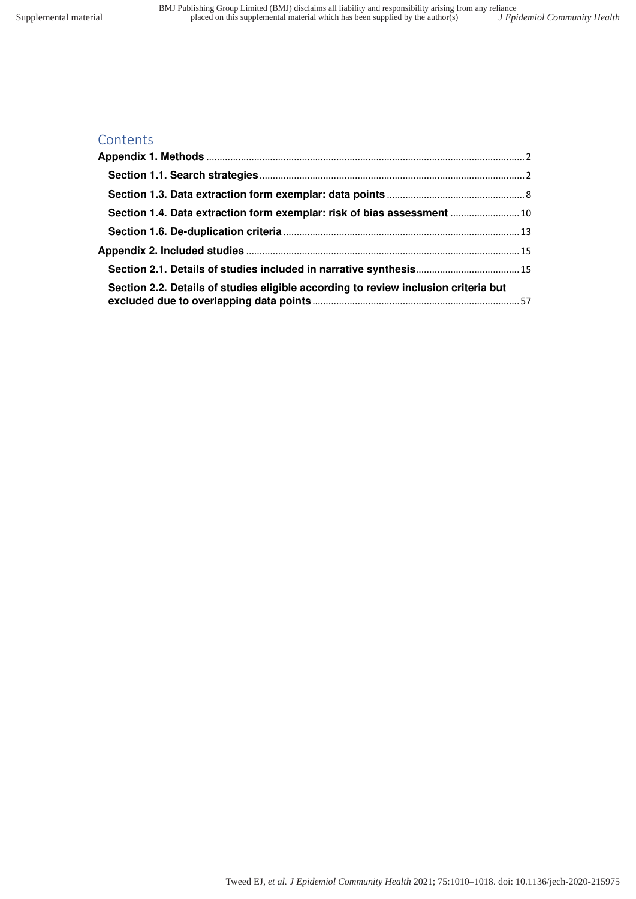# **Contents**

| Section 1.4. Data extraction form exemplar: risk of bias assessment  10             |  |
|-------------------------------------------------------------------------------------|--|
|                                                                                     |  |
|                                                                                     |  |
|                                                                                     |  |
| Section 2.2. Details of studies eligible according to review inclusion criteria but |  |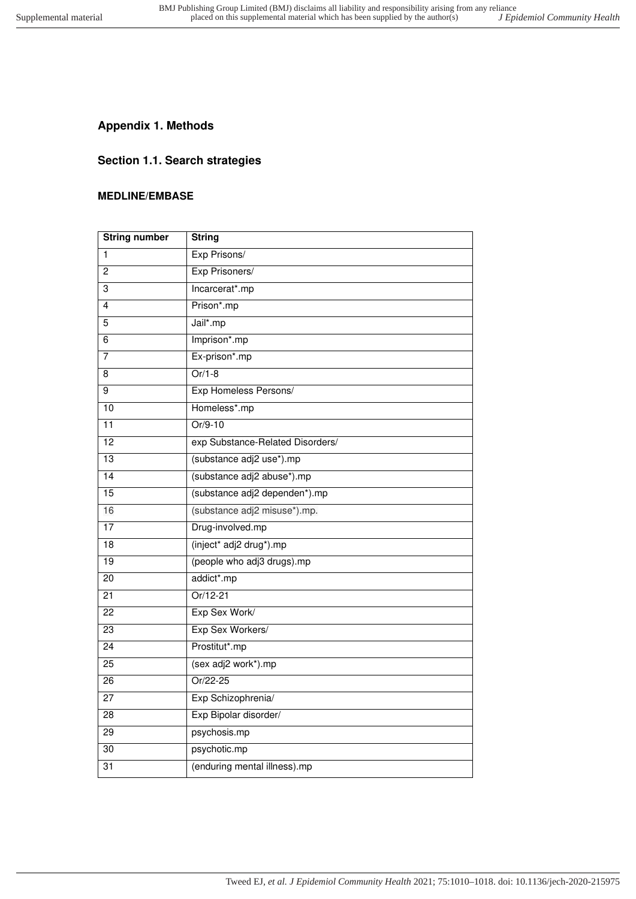# <span id="page-1-1"></span><span id="page-1-0"></span>**Appendix 1. Methods**

## **Section 1.1. Search strategies**

#### **MEDLINE/EMBASE**

| <b>String number</b> | <b>String</b>                    |
|----------------------|----------------------------------|
| $\mathbf{1}$         | Exp Prisons/                     |
| 2                    | Exp Prisoners/                   |
| 3                    | Incarcerat*.mp                   |
| 4                    | Prison*.mp                       |
| 5                    | Jail*.mp                         |
| 6                    | Imprison*.mp                     |
| 7                    | Ex-prison*.mp                    |
| 8                    | $Or/1-8$                         |
| 9                    | Exp Homeless Persons/            |
| $\overline{10}$      | Homeless*.mp                     |
| 11                   | $Or/9-10$                        |
| $\overline{12}$      | exp Substance-Related Disorders/ |
| 13                   | (substance adj2 use*).mp         |
| 14                   | (substance adj2 abuse*).mp       |
| 15                   | (substance adj2 dependen*).mp    |
| 16                   | (substance adj2 misuse*).mp.     |
| 17                   | Drug-involved.mp                 |
| 18                   | (inject* adj2 drug*).mp          |
| 19                   | (people who adj3 drugs).mp       |
| $\overline{20}$      | addict*.mp                       |
| 21                   | $Or/12-21$                       |
| 22                   | Exp Sex Work/                    |
| 23                   | Exp Sex Workers/                 |
| $\overline{24}$      | Prostitut*.mp                    |
| 25                   | (sex adj2 work*).mp              |
| 26                   | Or/22-25                         |
| 27                   | Exp Schizophrenia/               |
| 28                   | Exp Bipolar disorder/            |
| 29                   | psychosis.mp                     |
| 30                   | psychotic.mp                     |
| 31                   | (enduring mental illness).mp     |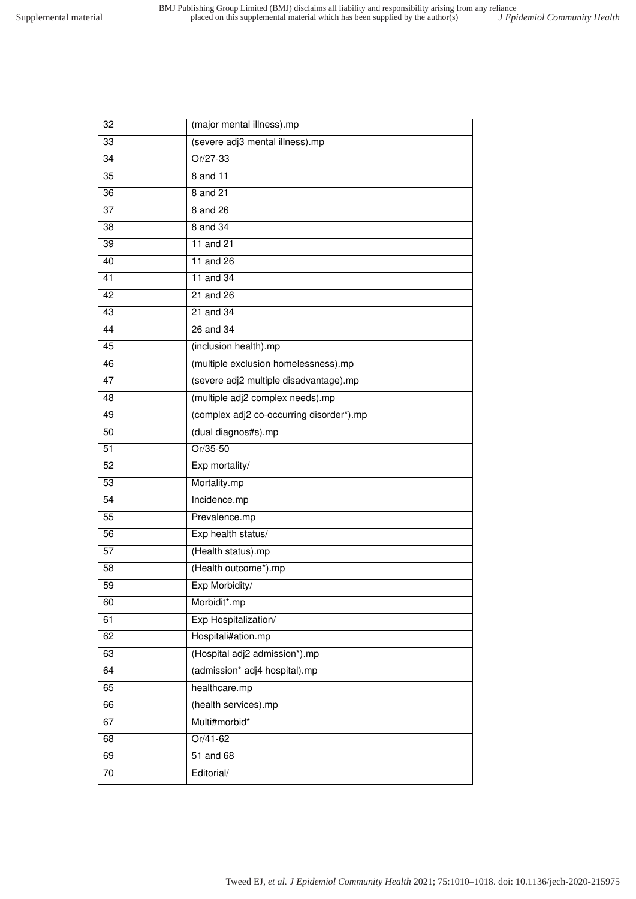| (severe adj3 mental illness).mp<br>33<br>Or/27-33<br>34<br>8 and 11<br>35<br>8 and 21<br>36<br>37<br>8 and 26<br>8 and 34<br>38<br>11 and 21<br>39<br>11 and 26<br>40<br>$11$ and $34$<br>41<br>42<br>21 and 26<br>$21$ and $34$<br>43<br>26 and 34<br>44<br>(inclusion health).mp<br>45<br>(multiple exclusion homelessness).mp<br>46<br>(severe adj2 multiple disadvantage).mp<br>47<br>(multiple adj2 complex needs).mp<br>48<br>(complex adj2 co-occurring disorder*).mp<br>49<br>(dual diagnos#s).mp<br>50<br>Or/35-50<br>51<br>Exp mortality/<br>52<br>Mortality.mp<br>53<br>$\overline{54}$<br>Incidence.mp<br>55<br>Prevalence.mp<br>Exp health status/<br>56<br>(Health status).mp<br>57<br>(Health outcome*).mp<br>58<br>Exp Morbidity/<br>59<br>60<br>Morbidit*.mp<br>Exp Hospitalization/<br>61<br>Hospitali#ation.mp<br>62<br>(Hospital adj2 admission*).mp<br>63<br>64<br>(admission* adj4 hospital).mp<br>healthcare.mp<br>65<br>(health services).mp<br>66<br>Multi#morbid*<br>67<br>Or/41-62<br>68<br>51 and 68<br>69<br>Editorial/<br>70 | 32 | (major mental illness).mp |
|------------------------------------------------------------------------------------------------------------------------------------------------------------------------------------------------------------------------------------------------------------------------------------------------------------------------------------------------------------------------------------------------------------------------------------------------------------------------------------------------------------------------------------------------------------------------------------------------------------------------------------------------------------------------------------------------------------------------------------------------------------------------------------------------------------------------------------------------------------------------------------------------------------------------------------------------------------------------------------------------------------------------------------------------------------|----|---------------------------|
|                                                                                                                                                                                                                                                                                                                                                                                                                                                                                                                                                                                                                                                                                                                                                                                                                                                                                                                                                                                                                                                            |    |                           |
|                                                                                                                                                                                                                                                                                                                                                                                                                                                                                                                                                                                                                                                                                                                                                                                                                                                                                                                                                                                                                                                            |    |                           |
|                                                                                                                                                                                                                                                                                                                                                                                                                                                                                                                                                                                                                                                                                                                                                                                                                                                                                                                                                                                                                                                            |    |                           |
|                                                                                                                                                                                                                                                                                                                                                                                                                                                                                                                                                                                                                                                                                                                                                                                                                                                                                                                                                                                                                                                            |    |                           |
|                                                                                                                                                                                                                                                                                                                                                                                                                                                                                                                                                                                                                                                                                                                                                                                                                                                                                                                                                                                                                                                            |    |                           |
|                                                                                                                                                                                                                                                                                                                                                                                                                                                                                                                                                                                                                                                                                                                                                                                                                                                                                                                                                                                                                                                            |    |                           |
|                                                                                                                                                                                                                                                                                                                                                                                                                                                                                                                                                                                                                                                                                                                                                                                                                                                                                                                                                                                                                                                            |    |                           |
|                                                                                                                                                                                                                                                                                                                                                                                                                                                                                                                                                                                                                                                                                                                                                                                                                                                                                                                                                                                                                                                            |    |                           |
|                                                                                                                                                                                                                                                                                                                                                                                                                                                                                                                                                                                                                                                                                                                                                                                                                                                                                                                                                                                                                                                            |    |                           |
|                                                                                                                                                                                                                                                                                                                                                                                                                                                                                                                                                                                                                                                                                                                                                                                                                                                                                                                                                                                                                                                            |    |                           |
|                                                                                                                                                                                                                                                                                                                                                                                                                                                                                                                                                                                                                                                                                                                                                                                                                                                                                                                                                                                                                                                            |    |                           |
|                                                                                                                                                                                                                                                                                                                                                                                                                                                                                                                                                                                                                                                                                                                                                                                                                                                                                                                                                                                                                                                            |    |                           |
|                                                                                                                                                                                                                                                                                                                                                                                                                                                                                                                                                                                                                                                                                                                                                                                                                                                                                                                                                                                                                                                            |    |                           |
|                                                                                                                                                                                                                                                                                                                                                                                                                                                                                                                                                                                                                                                                                                                                                                                                                                                                                                                                                                                                                                                            |    |                           |
|                                                                                                                                                                                                                                                                                                                                                                                                                                                                                                                                                                                                                                                                                                                                                                                                                                                                                                                                                                                                                                                            |    |                           |
|                                                                                                                                                                                                                                                                                                                                                                                                                                                                                                                                                                                                                                                                                                                                                                                                                                                                                                                                                                                                                                                            |    |                           |
|                                                                                                                                                                                                                                                                                                                                                                                                                                                                                                                                                                                                                                                                                                                                                                                                                                                                                                                                                                                                                                                            |    |                           |
|                                                                                                                                                                                                                                                                                                                                                                                                                                                                                                                                                                                                                                                                                                                                                                                                                                                                                                                                                                                                                                                            |    |                           |
|                                                                                                                                                                                                                                                                                                                                                                                                                                                                                                                                                                                                                                                                                                                                                                                                                                                                                                                                                                                                                                                            |    |                           |
|                                                                                                                                                                                                                                                                                                                                                                                                                                                                                                                                                                                                                                                                                                                                                                                                                                                                                                                                                                                                                                                            |    |                           |
|                                                                                                                                                                                                                                                                                                                                                                                                                                                                                                                                                                                                                                                                                                                                                                                                                                                                                                                                                                                                                                                            |    |                           |
|                                                                                                                                                                                                                                                                                                                                                                                                                                                                                                                                                                                                                                                                                                                                                                                                                                                                                                                                                                                                                                                            |    |                           |
|                                                                                                                                                                                                                                                                                                                                                                                                                                                                                                                                                                                                                                                                                                                                                                                                                                                                                                                                                                                                                                                            |    |                           |
|                                                                                                                                                                                                                                                                                                                                                                                                                                                                                                                                                                                                                                                                                                                                                                                                                                                                                                                                                                                                                                                            |    |                           |
|                                                                                                                                                                                                                                                                                                                                                                                                                                                                                                                                                                                                                                                                                                                                                                                                                                                                                                                                                                                                                                                            |    |                           |
|                                                                                                                                                                                                                                                                                                                                                                                                                                                                                                                                                                                                                                                                                                                                                                                                                                                                                                                                                                                                                                                            |    |                           |
|                                                                                                                                                                                                                                                                                                                                                                                                                                                                                                                                                                                                                                                                                                                                                                                                                                                                                                                                                                                                                                                            |    |                           |
|                                                                                                                                                                                                                                                                                                                                                                                                                                                                                                                                                                                                                                                                                                                                                                                                                                                                                                                                                                                                                                                            |    |                           |
|                                                                                                                                                                                                                                                                                                                                                                                                                                                                                                                                                                                                                                                                                                                                                                                                                                                                                                                                                                                                                                                            |    |                           |
|                                                                                                                                                                                                                                                                                                                                                                                                                                                                                                                                                                                                                                                                                                                                                                                                                                                                                                                                                                                                                                                            |    |                           |
|                                                                                                                                                                                                                                                                                                                                                                                                                                                                                                                                                                                                                                                                                                                                                                                                                                                                                                                                                                                                                                                            |    |                           |
|                                                                                                                                                                                                                                                                                                                                                                                                                                                                                                                                                                                                                                                                                                                                                                                                                                                                                                                                                                                                                                                            |    |                           |
|                                                                                                                                                                                                                                                                                                                                                                                                                                                                                                                                                                                                                                                                                                                                                                                                                                                                                                                                                                                                                                                            |    |                           |
|                                                                                                                                                                                                                                                                                                                                                                                                                                                                                                                                                                                                                                                                                                                                                                                                                                                                                                                                                                                                                                                            |    |                           |
|                                                                                                                                                                                                                                                                                                                                                                                                                                                                                                                                                                                                                                                                                                                                                                                                                                                                                                                                                                                                                                                            |    |                           |
|                                                                                                                                                                                                                                                                                                                                                                                                                                                                                                                                                                                                                                                                                                                                                                                                                                                                                                                                                                                                                                                            |    |                           |
|                                                                                                                                                                                                                                                                                                                                                                                                                                                                                                                                                                                                                                                                                                                                                                                                                                                                                                                                                                                                                                                            |    |                           |
|                                                                                                                                                                                                                                                                                                                                                                                                                                                                                                                                                                                                                                                                                                                                                                                                                                                                                                                                                                                                                                                            |    |                           |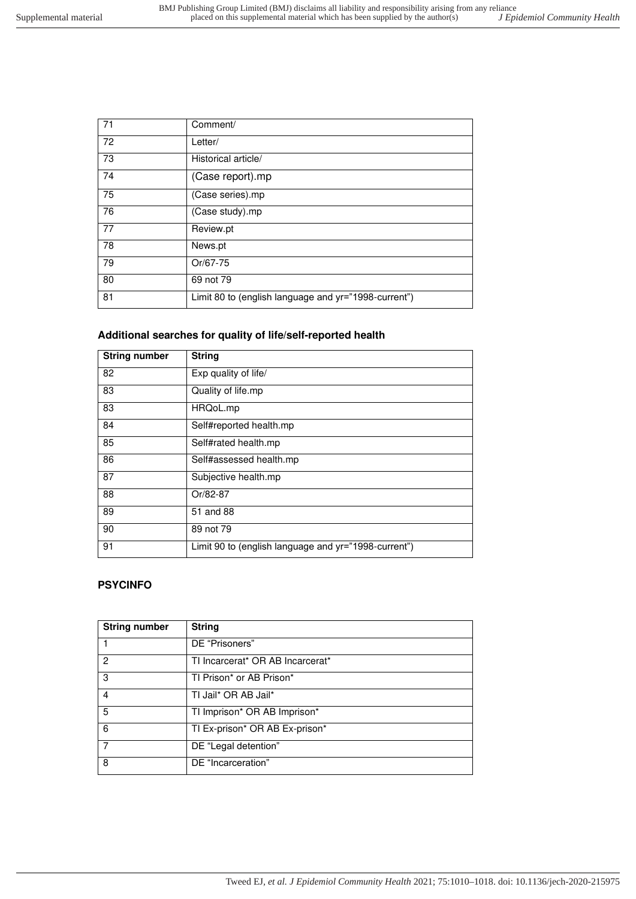| 71 | Comment/                                             |
|----|------------------------------------------------------|
| 72 | Letter/                                              |
| 73 | Historical article/                                  |
| 74 | (Case report).mp                                     |
| 75 | (Case series).mp                                     |
| 76 | (Case study).mp                                      |
| 77 | Review.pt                                            |
| 78 | News.pt                                              |
| 79 | Or/67-75                                             |
| 80 | 69 not 79                                            |
| 81 | Limit 80 to (english language and yr="1998-current") |

## **Additional searches for quality of life/self-reported health**

| <b>String number</b> | <b>String</b>                                        |
|----------------------|------------------------------------------------------|
| 82                   | Exp quality of life/                                 |
| 83                   | Quality of life.mp                                   |
| 83                   | HRQoL.mp                                             |
| 84                   | Self#reported health.mp                              |
| 85                   | Self#rated health.mp                                 |
| 86                   | Self#assessed health.mp                              |
| 87                   | Subjective health.mp                                 |
| 88                   | Or/82-87                                             |
| 89                   | 51 and 88                                            |
| 90                   | 89 not 79                                            |
| 91                   | Limit 90 to (english language and yr="1998-current") |

### **PSYCINFO**

| <b>String number</b> | <b>String</b>                    |
|----------------------|----------------------------------|
|                      | DE "Prisoners"                   |
| 2                    | TI Incarcerat* OR AB Incarcerat* |
| 3                    | TI Prison* or AB Prison*         |
| 4                    | TI Jail* OR AB Jail*             |
| 5                    | TI Imprison* OR AB Imprison*     |
| 6                    | TI Ex-prison* OR AB Ex-prison*   |
| 7                    | DE "Legal detention"             |
| 8                    | DE "Incarceration"               |

Tweed EJ*, et al. J Epidemiol Community Health* 2021; 75:1010–1018. doi: 10.1136/jech-2020-215975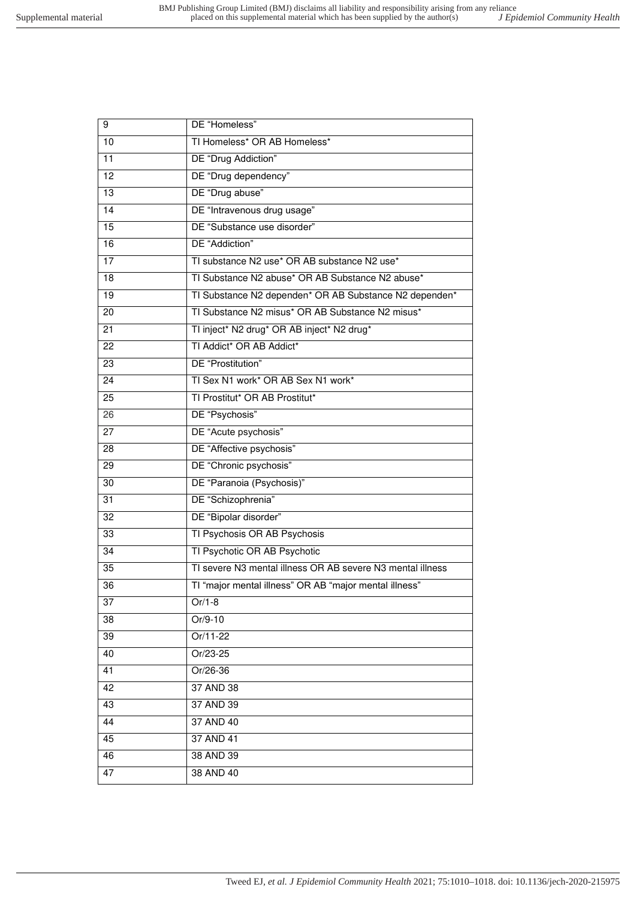| 9               | DE "Homeless"                                              |
|-----------------|------------------------------------------------------------|
| 10              | TI Homeless* OR AB Homeless*                               |
| 11              | DE "Drug Addiction"                                        |
| $\overline{12}$ | DE "Drug dependency"                                       |
| 13              | DE "Drug abuse"                                            |
| 14              | DE "Intravenous drug usage"                                |
| $\overline{15}$ | DE "Substance use disorder"                                |
| 16              | DE "Addiction"                                             |
| $\overline{17}$ | TI substance N2 use* OR AB substance N2 use*               |
| 18              | TI Substance N2 abuse* OR AB Substance N2 abuse*           |
| 19              | TI Substance N2 dependen* OR AB Substance N2 dependen*     |
| 20              | TI Substance N2 misus* OR AB Substance N2 misus*           |
| 21              | TI inject* N2 drug* OR AB inject* N2 drug*                 |
| 22              | TI Addict* OR AB Addict*                                   |
| 23              | DE "Prostitution"                                          |
| 24              | TI Sex N1 work* OR AB Sex N1 work*                         |
| 25              | TI Prostitut* OR AB Prostitut*                             |
| 26              | DE "Psychosis"                                             |
| 27              | DE "Acute psychosis"                                       |
| 28              | DE "Affective psychosis"                                   |
| 29              | DE "Chronic psychosis"                                     |
| 30              | DE "Paranoia (Psychosis)"                                  |
| 31              | DE "Schizophrenia"                                         |
| $\overline{32}$ | DE "Bipolar disorder"                                      |
| 33              | TI Psychosis OR AB Psychosis                               |
| 34              | TI Psychotic OR AB Psychotic                               |
| $\overline{35}$ | TI severe N3 mental illness OR AB severe N3 mental illness |
| 36              | TI "major mental illness" OR AB "major mental illness"     |
| $\overline{37}$ | $Or/1-8$                                                   |
| 38              | Or/9-10                                                    |
| 39              | Or/11-22                                                   |
| 40              | Or/23-25                                                   |
| 41              | Or/26-36                                                   |
| 42              | 37 AND 38                                                  |
| 43              | 37 AND 39                                                  |
| 44              | 37 AND 40                                                  |
| 45              | 37 AND 41                                                  |
| 46              | 38 AND 39                                                  |
| 47              | 38 AND 40                                                  |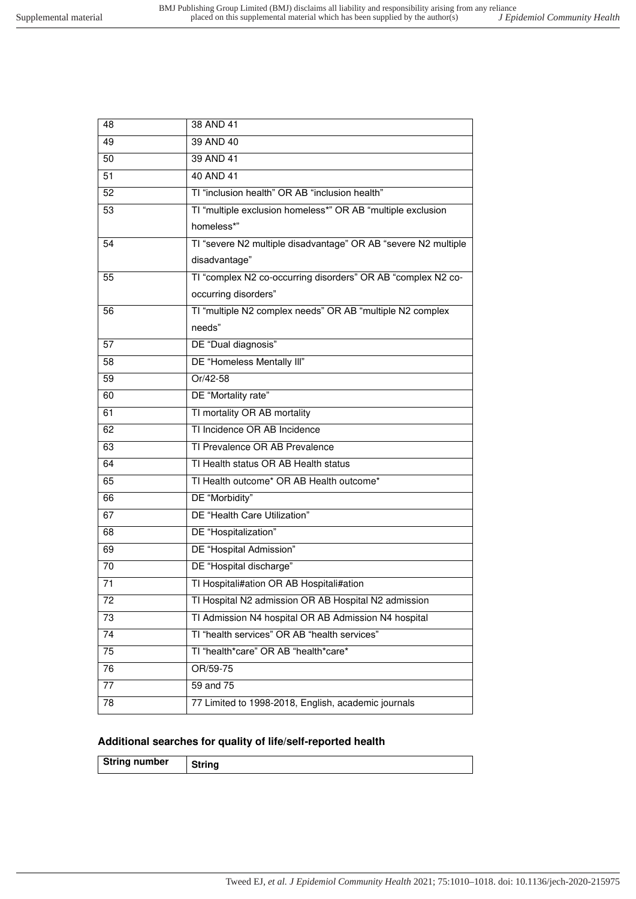| 48              | 38 AND 41                                                      |
|-----------------|----------------------------------------------------------------|
| 49              | 39 AND 40                                                      |
| 50              | 39 AND 41                                                      |
| 51              | 40 AND 41                                                      |
| 52              | TI "inclusion health" OR AB "inclusion health"                 |
| 53              | TI "multiple exclusion homeless*" OR AB "multiple exclusion    |
|                 | homeless*"                                                     |
| 54              | TI "severe N2 multiple disadvantage" OR AB "severe N2 multiple |
|                 | disadvantage"                                                  |
| 55              | TI "complex N2 co-occurring disorders" OR AB "complex N2 co-   |
|                 | occurring disorders"                                           |
| 56              | TI "multiple N2 complex needs" OR AB "multiple N2 complex      |
|                 | needs"                                                         |
| 57              | DE "Dual diagnosis"                                            |
| 58              | DE "Homeless Mentally III"                                     |
| 59              | Or/42-58                                                       |
| 60              | DE "Mortality rate"                                            |
| 61              | TI mortality OR AB mortality                                   |
| 62              | TI Incidence OR AB Incidence                                   |
| 63              | TI Prevalence OR AB Prevalence                                 |
| 64              | TI Health status OR AB Health status                           |
| 65              | TI Health outcome* OR AB Health outcome*                       |
| 66              | DE "Morbidity"                                                 |
| 67              | DE "Health Care Utilization"                                   |
| 68              | DE "Hospitalization"                                           |
| 69              | DE "Hospital Admission"                                        |
| 70              | DE "Hospital discharge"                                        |
| 71              | TI Hospitali#ation OR AB Hospitali#ation                       |
| 72              | TI Hospital N2 admission OR AB Hospital N2 admission           |
| 73              | TI Admission N4 hospital OR AB Admission N4 hospital           |
| $\overline{74}$ | TI "health services" OR AB "health services"                   |
| 75              | TI "health*care" OR AB "health*care*                           |
| 76              | OR/59-75                                                       |
| $\overline{77}$ | 59 and 75                                                      |
| 78              | 77 Limited to 1998-2018, English, academic journals            |
|                 |                                                                |

#### **Additional searches for quality of life/self-reported health**

|--|

ן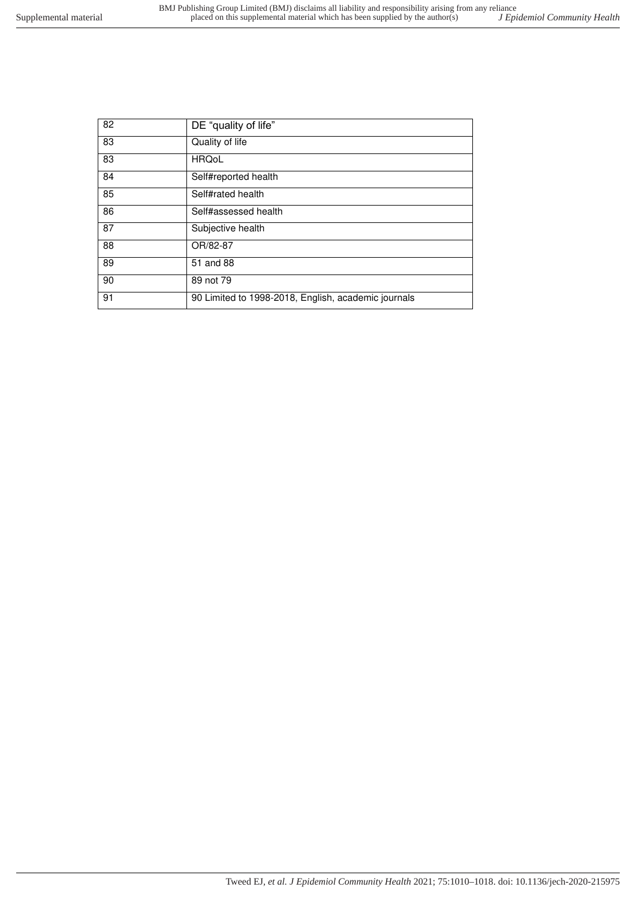| 82 | DE "quality of life"                                |
|----|-----------------------------------------------------|
| 83 | Quality of life                                     |
| 83 | <b>HRQoL</b>                                        |
| 84 | Self#reported health                                |
| 85 | Self#rated health                                   |
| 86 | Self#assessed health                                |
| 87 | Subjective health                                   |
| 88 | OR/82-87                                            |
| 89 | 51 and 88                                           |
| 90 | 89 not 79                                           |
| 91 | 90 Limited to 1998-2018, English, academic journals |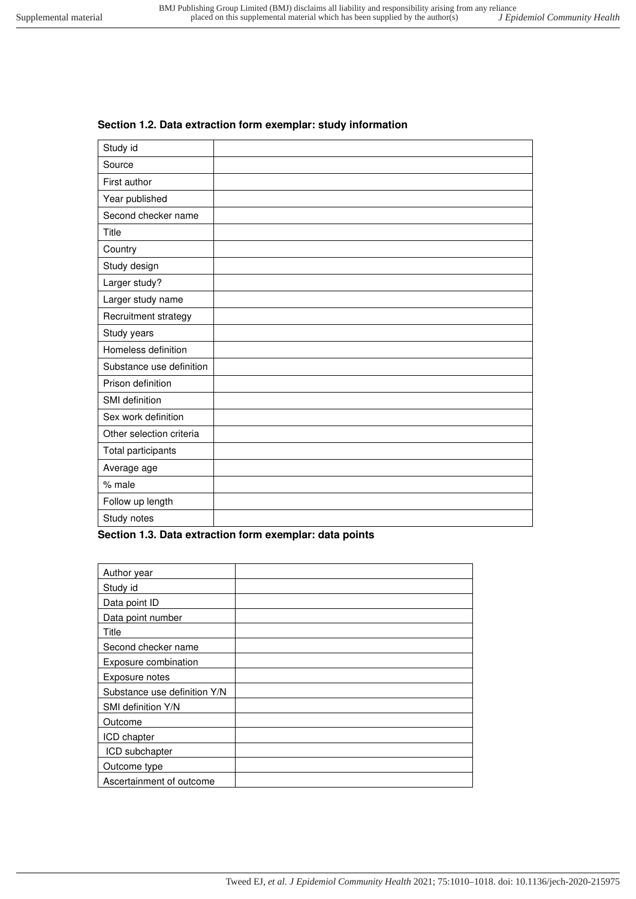# Study id Source First author Year published Second checker name Title **Country** Study design Larger study? Larger study name

#### **Section 1.2. Data extraction form exemplar: study information**

| Uluuy ucaiyii            |  |
|--------------------------|--|
| Larger study?            |  |
| Larger study name        |  |
| Recruitment strategy     |  |
| Study years              |  |
| Homeless definition      |  |
| Substance use definition |  |
| Prison definition        |  |
| SMI definition           |  |
| Sex work definition      |  |
| Other selection criteria |  |
| Total participants       |  |
| Average age              |  |
| % male                   |  |
| Follow up length         |  |
| Study notes              |  |

#### <span id="page-7-0"></span>**Section 1.3. Data extraction form exemplar: data points**

| Author year                  |  |
|------------------------------|--|
| Study id                     |  |
| Data point ID                |  |
| Data point number            |  |
| Title                        |  |
| Second checker name          |  |
| Exposure combination         |  |
| Exposure notes               |  |
| Substance use definition Y/N |  |
| SMI definition Y/N           |  |
| Outcome                      |  |
| ICD chapter                  |  |
| ICD subchapter               |  |
| Outcome type                 |  |
| Ascertainment of outcome     |  |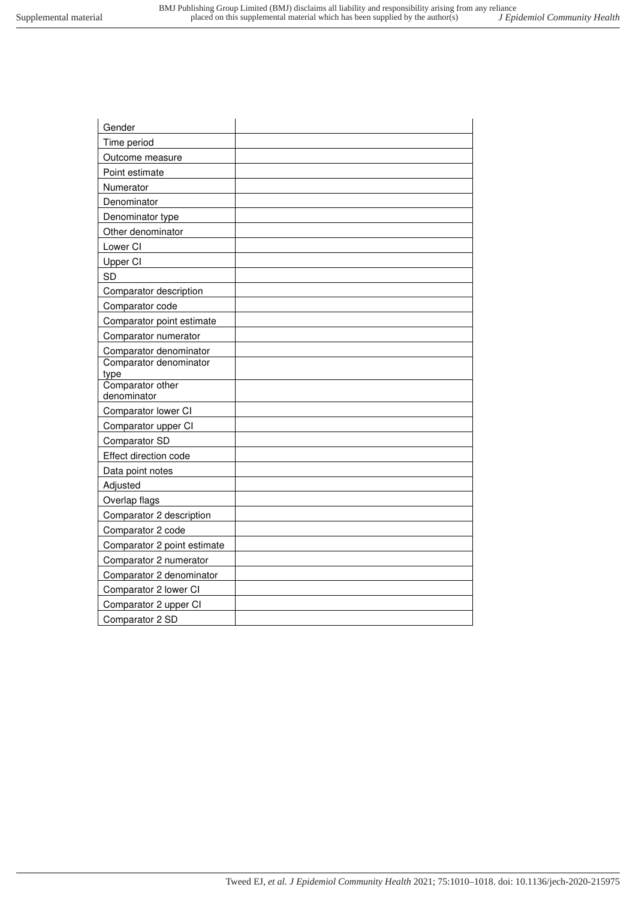| Gender                      |  |
|-----------------------------|--|
| Time period                 |  |
| Outcome measure             |  |
| Point estimate              |  |
| Numerator                   |  |
| Denominator                 |  |
| Denominator type            |  |
| Other denominator           |  |
| Lower CI                    |  |
| Upper CI                    |  |
| <b>SD</b>                   |  |
| Comparator description      |  |
| Comparator code             |  |
| Comparator point estimate   |  |
| Comparator numerator        |  |
| Comparator denominator      |  |
| Comparator denominator      |  |
| type<br>Comparator other    |  |
| denominator                 |  |
| Comparator lower CI         |  |
| Comparator upper CI         |  |
| Comparator SD               |  |
| Effect direction code       |  |
| Data point notes            |  |
| Adjusted                    |  |
| Overlap flags               |  |
| Comparator 2 description    |  |
| Comparator 2 code           |  |
| Comparator 2 point estimate |  |
| Comparator 2 numerator      |  |
| Comparator 2 denominator    |  |
| Comparator 2 lower CI       |  |
| Comparator 2 upper CI       |  |
| Comparator 2 SD             |  |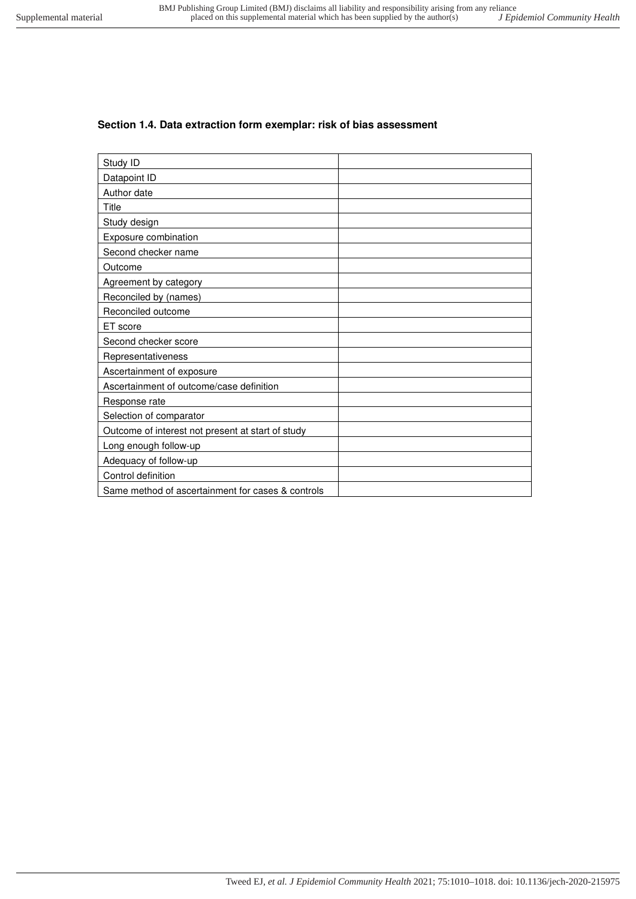#### <span id="page-9-0"></span>**Section 1.4. Data extraction form exemplar: risk of bias assessment**

| Study ID                                          |  |
|---------------------------------------------------|--|
| Datapoint ID                                      |  |
| Author date                                       |  |
| Title                                             |  |
| Study design                                      |  |
| Exposure combination                              |  |
| Second checker name                               |  |
| Outcome                                           |  |
| Agreement by category                             |  |
| Reconciled by (names)                             |  |
| Reconciled outcome                                |  |
| ET score                                          |  |
| Second checker score                              |  |
| Representativeness                                |  |
| Ascertainment of exposure                         |  |
| Ascertainment of outcome/case definition          |  |
| Response rate                                     |  |
| Selection of comparator                           |  |
| Outcome of interest not present at start of study |  |
| Long enough follow-up                             |  |
| Adequacy of follow-up                             |  |
| Control definition                                |  |
| Same method of ascertainment for cases & controls |  |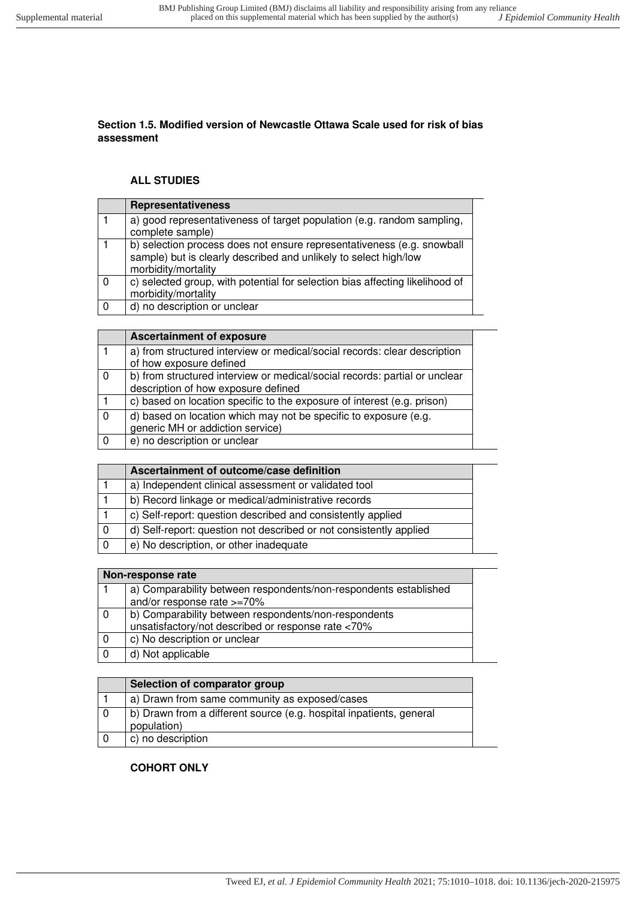#### **Section 1.5. Modified version of Newcastle Ottawa Scale used for risk of bias assessment**

#### **ALL STUDIES**

|              | <b>Representativeness</b>                                                                                                                                         |
|--------------|-------------------------------------------------------------------------------------------------------------------------------------------------------------------|
|              | a) good representativeness of target population (e.g. random sampling,<br>complete sample)                                                                        |
|              | b) selection process does not ensure representativeness (e.g. snowball<br>sample) but is clearly described and unlikely to select high/low<br>morbidity/mortality |
| $\Omega$     | c) selected group, with potential for selection bias affecting likelihood of<br>morbidity/mortality                                                               |
| $\mathbf{0}$ | d) no description or unclear                                                                                                                                      |

|                | <b>Ascertainment of exposure</b>                                                                                  |
|----------------|-------------------------------------------------------------------------------------------------------------------|
|                | a) from structured interview or medical/social records: clear description<br>of how exposure defined              |
| $\overline{0}$ | b) from structured interview or medical/social records: partial or unclear<br>description of how exposure defined |
|                | c) based on location specific to the exposure of interest (e.g. prison)                                           |
| $\overline{0}$ | d) based on location which may not be specific to exposure (e.g.<br>generic MH or addiction service)              |
| - 0            | e) no description or unclear                                                                                      |

| Ascertainment of outcome/case definition                           |  |
|--------------------------------------------------------------------|--|
| a) Independent clinical assessment or validated tool               |  |
| b) Record linkage or medical/administrative records                |  |
| c) Self-report: question described and consistently applied        |  |
| d) Self-report: question not described or not consistently applied |  |
| e) No description, or other inadequate                             |  |

|     | Non-response rate                                                |  |
|-----|------------------------------------------------------------------|--|
|     | a) Comparability between respondents/non-respondents established |  |
|     | and/or response rate >=70%                                       |  |
| - 0 | b) Comparability between respondents/non-respondents             |  |
|     | unsatisfactory/not described or response rate <70%               |  |
|     | c) No description or unclear                                     |  |
|     | d) Not applicable                                                |  |

| Selection of comparator group                                                      |
|------------------------------------------------------------------------------------|
| a) Drawn from same community as exposed/cases                                      |
| b) Drawn from a different source (e.g. hospital inpatients, general<br>population) |
| c) no description                                                                  |

#### **COHORT ONLY**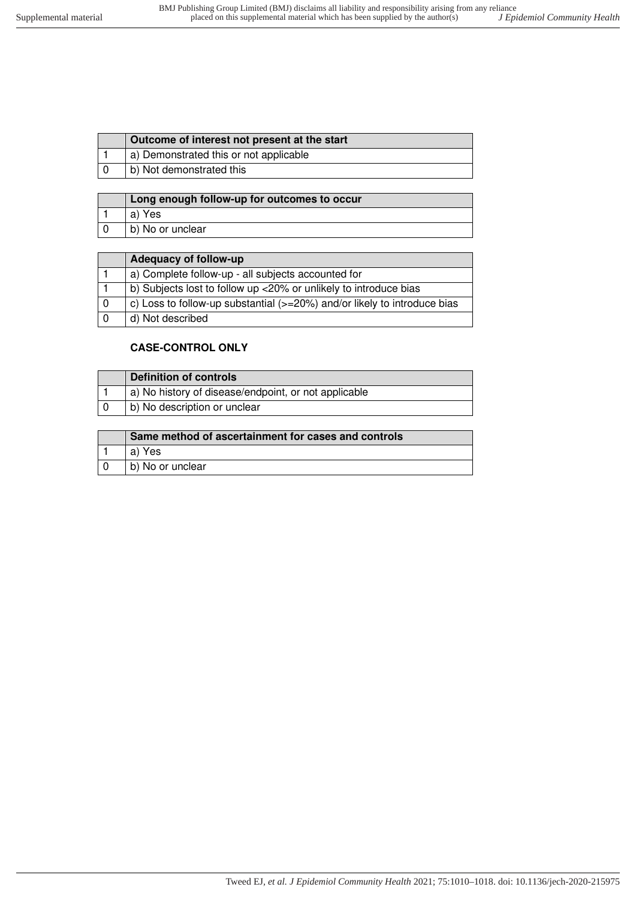| a) Demonstrated this or not applicable<br>b) Not demonstrated this | Outcome of interest not present at the start |
|--------------------------------------------------------------------|----------------------------------------------|
|                                                                    |                                              |
|                                                                    |                                              |

| Long enough follow-up for outcomes to occur |
|---------------------------------------------|
| a) Yes                                      |
| b) No or unclear                            |

| Adequacy of follow-up                                                    |
|--------------------------------------------------------------------------|
| a) Complete follow-up - all subjects accounted for                       |
| b) Subjects lost to follow up <20% or unlikely to introduce bias         |
| c) Loss to follow-up substantial (>=20%) and/or likely to introduce bias |
| d) Not described                                                         |

#### **CASE-CONTROL ONLY**

| Definition of controls                               |
|------------------------------------------------------|
| a) No history of disease/endpoint, or not applicable |
| b) No description or unclear                         |

| Same method of ascertainment for cases and controls |
|-----------------------------------------------------|
| a) Yes                                              |
| b) No or unclear                                    |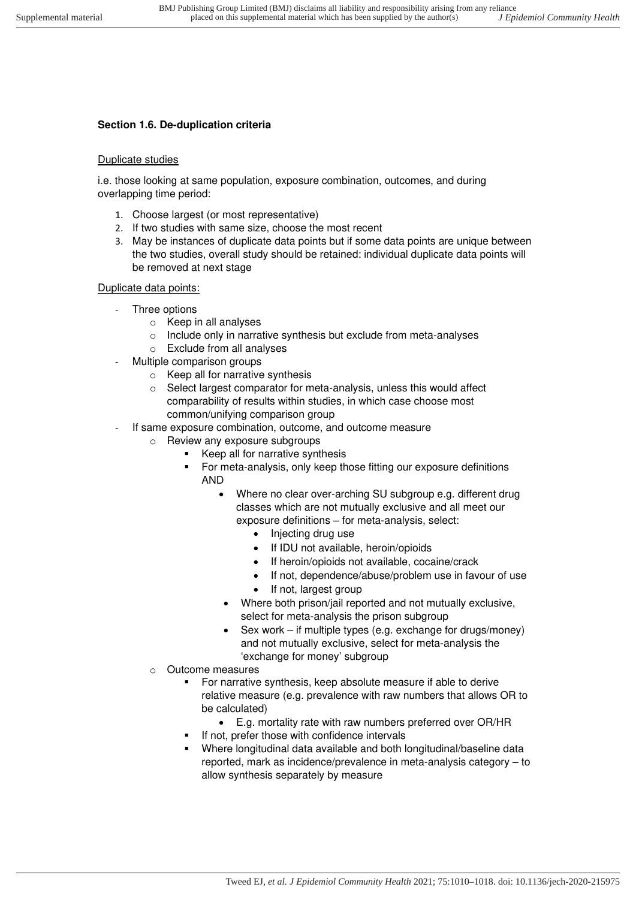# <span id="page-12-0"></span>**Section 1.6. De-duplication criteria**

#### Duplicate studies

i.e. those looking at same population, exposure combination, outcomes, and during overlapping time period:

- 1. Choose largest (or most representative)
- 2. If two studies with same size, choose the most recent
- 3. May be instances of duplicate data points but if some data points are unique between the two studies, overall study should be retained: individual duplicate data points will be removed at next stage

#### Duplicate data points:

- Three options
	- o Keep in all analyses
	- o Include only in narrative synthesis but exclude from meta-analyses
	- o Exclude from all analyses
- Multiple comparison groups
	- o Keep all for narrative synthesis
	- o Select largest comparator for meta-analysis, unless this would affect comparability of results within studies, in which case choose most common/unifying comparison group
- If same exposure combination, outcome, and outcome measure
	- o Review any exposure subgroups
		- Keep all for narrative synthesis
		- For meta-analysis, only keep those fitting our exposure definitions AND
			- Where no clear over-arching SU subgroup e.g. different drug classes which are not mutually exclusive and all meet our exposure definitions – for meta-analysis, select:
				- Injecting drug use
				- If IDU not available, heroin/opioids
				- If heroin/opioids not available, cocaine/crack
				- If not, dependence/abuse/problem use in favour of use
				- If not, largest group
				- Where both prison/jail reported and not mutually exclusive, select for meta-analysis the prison subgroup
			- Sex work if multiple types (e.g. exchange for drugs/money) and not mutually exclusive, select for meta-analysis the 'exchange for money' subgroup
	- o Outcome measures
		- For narrative synthesis, keep absolute measure if able to derive relative measure (e.g. prevalence with raw numbers that allows OR to be calculated)
			- E.g. mortality rate with raw numbers preferred over OR/HR
		- If not, prefer those with confidence intervals
		- Where longitudinal data available and both longitudinal/baseline data reported, mark as incidence/prevalence in meta-analysis category – to allow synthesis separately by measure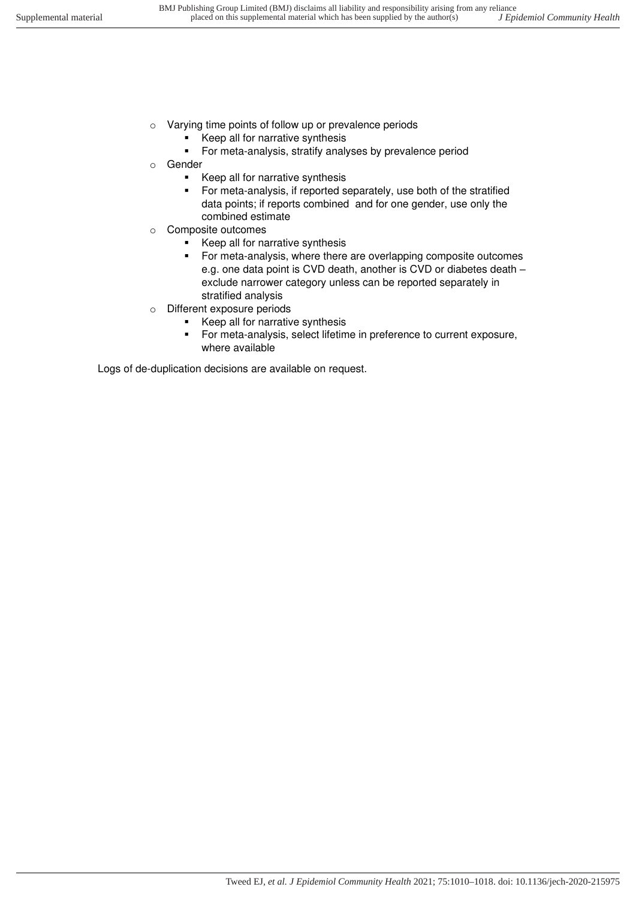- o Varying time points of follow up or prevalence periods
	- Keep all for narrative synthesis
	- For meta-analysis, stratify analyses by prevalence period
- o Gender
	- Keep all for narrative synthesis
	- For meta-analysis, if reported separately, use both of the stratified data points; if reports combined and for one gender, use only the combined estimate
- o Composite outcomes
	- Keep all for narrative synthesis
	- For meta-analysis, where there are overlapping composite outcomes e.g. one data point is CVD death, another is CVD or diabetes death – exclude narrower category unless can be reported separately in stratified analysis
- o Different exposure periods
	- Keep all for narrative synthesis
	- For meta-analysis, select lifetime in preference to current exposure, where available

Logs of de-duplication decisions are available on request.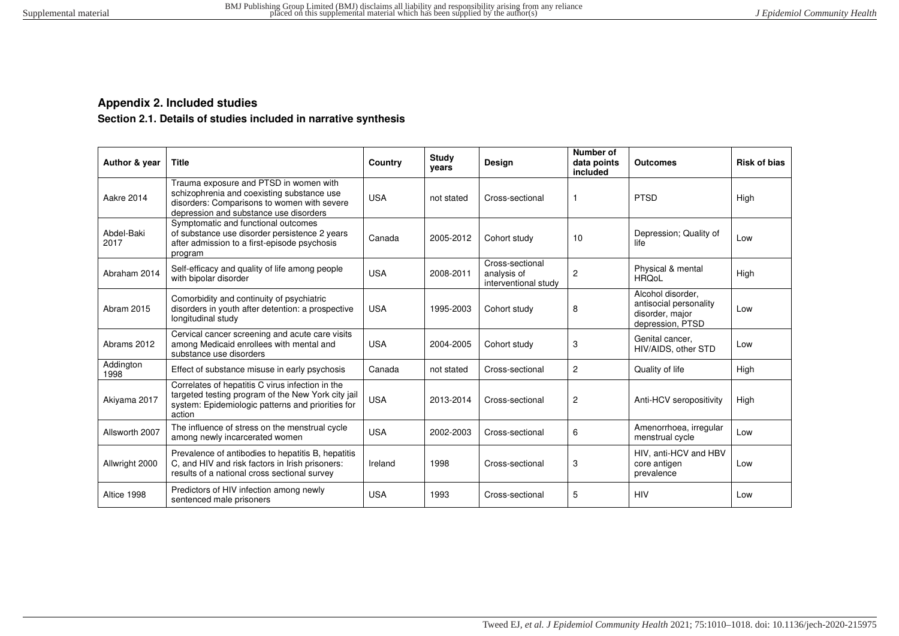#### **Appendix 2. Included studies**

#### **Section 2.1. Details of studies included in narrative synthesis**

<span id="page-14-1"></span><span id="page-14-0"></span>

| Author & year      | <b>Title</b>                                                                                                                                                                  | Country    | <b>Study</b><br>years | Design                                                 | Number of<br>data points<br>included | <b>Outcomes</b>                                                                    | <b>Risk of bias</b> |
|--------------------|-------------------------------------------------------------------------------------------------------------------------------------------------------------------------------|------------|-----------------------|--------------------------------------------------------|--------------------------------------|------------------------------------------------------------------------------------|---------------------|
| Aakre 2014         | Trauma exposure and PTSD in women with<br>schizophrenia and coexisting substance use<br>disorders: Comparisons to women with severe<br>depression and substance use disorders | <b>USA</b> | not stated            | Cross-sectional                                        |                                      | <b>PTSD</b>                                                                        | High                |
| Abdel-Baki<br>2017 | Symptomatic and functional outcomes<br>of substance use disorder persistence 2 years<br>after admission to a first-episode psychosis<br>program                               | Canada     | 2005-2012             | Cohort study                                           | 10                                   | Depression; Quality of<br>life                                                     | Low                 |
| Abraham 2014       | Self-efficacy and quality of life among people<br>with bipolar disorder                                                                                                       | <b>USA</b> | 2008-2011             | Cross-sectional<br>analysis of<br>interventional study | $\overline{2}$                       | Physical & mental<br><b>HROoL</b>                                                  | High                |
| Abram 2015         | Comorbidity and continuity of psychiatric<br>disorders in youth after detention: a prospective<br>longitudinal study                                                          | <b>USA</b> | 1995-2003             | Cohort study                                           | 8                                    | Alcohol disorder.<br>antisocial personality<br>disorder, major<br>depression, PTSD | Low                 |
| Abrams 2012        | Cervical cancer screening and acute care visits<br>among Medicaid enrollees with mental and<br>substance use disorders                                                        | <b>USA</b> | 2004-2005             | Cohort study                                           | 3                                    | Genital cancer,<br>HIV/AIDS, other STD                                             | Low                 |
| Addington<br>1998  | Effect of substance misuse in early psychosis                                                                                                                                 | Canada     | not stated            | Cross-sectional                                        | $\mathbf{2}$                         | Quality of life                                                                    | High                |
| Akiyama 2017       | Correlates of hepatitis C virus infection in the<br>targeted testing program of the New York city jail<br>system: Epidemiologic patterns and priorities for<br>action         | <b>USA</b> | 2013-2014             | Cross-sectional                                        | 2                                    | Anti-HCV seropositivity                                                            | High                |
| Allsworth 2007     | The influence of stress on the menstrual cycle<br>among newly incarcerated women                                                                                              | <b>USA</b> | 2002-2003             | Cross-sectional                                        | 6                                    | Amenorrhoea, irregular<br>menstrual cycle                                          | Low                 |
| Allwright 2000     | Prevalence of antibodies to hepatitis B, hepatitis<br>C, and HIV and risk factors in Irish prisoners:<br>results of a national cross sectional survey                         | Ireland    | 1998                  | Cross-sectional                                        | 3                                    | HIV, anti-HCV and HBV<br>core antigen<br>prevalence                                | Low                 |
| Altice 1998        | Predictors of HIV infection among newly<br>sentenced male prisoners                                                                                                           | <b>USA</b> | 1993                  | Cross-sectional                                        | 5                                    | <b>HIV</b>                                                                         | Low                 |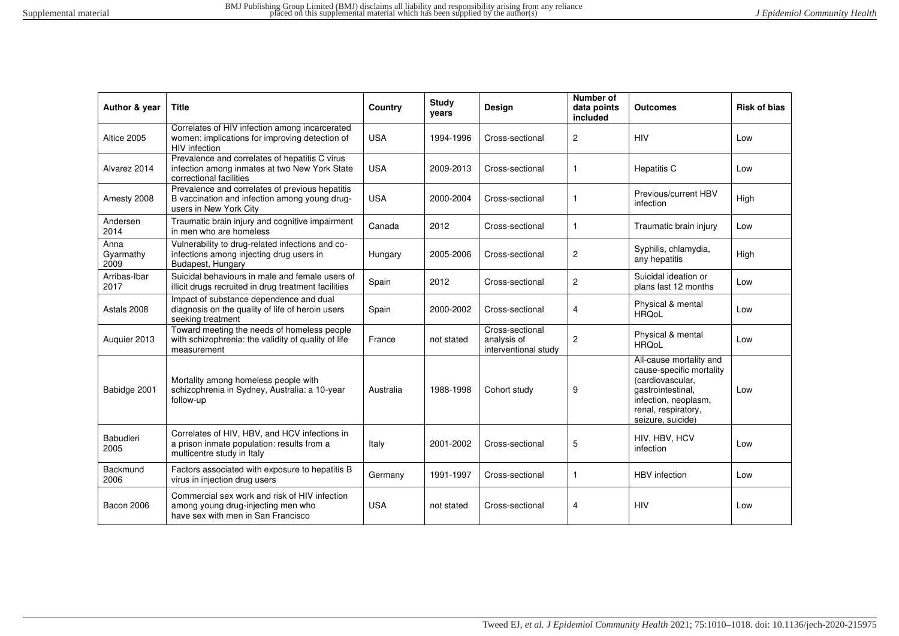| Author & year             | <b>Title</b>                                                                                                               | <b>Country</b> | <b>Study</b><br>years | <b>Design</b>                                          | Number of<br>data points<br>included | <b>Outcomes</b>                                                                                                                                                  | <b>Risk of bias</b> |
|---------------------------|----------------------------------------------------------------------------------------------------------------------------|----------------|-----------------------|--------------------------------------------------------|--------------------------------------|------------------------------------------------------------------------------------------------------------------------------------------------------------------|---------------------|
| Altice 2005               | Correlates of HIV infection among incarcerated<br>women: implications for improving detection of<br>HIV infection          | <b>USA</b>     | 1994-1996             | Cross-sectional                                        | $\overline{2}$                       | HIV                                                                                                                                                              | Low                 |
| Alvarez 2014              | Prevalence and correlates of hepatitis C virus<br>infection among inmates at two New York State<br>correctional facilities | <b>USA</b>     | 2009-2013             | Cross-sectional                                        | $\mathbf{1}$                         | <b>Hepatitis C</b>                                                                                                                                               | Low                 |
| Amesty 2008               | Prevalence and correlates of previous hepatitis<br>B vaccination and infection among young drug-<br>users in New York City | <b>USA</b>     | 2000-2004             | Cross-sectional                                        |                                      | Previous/current HBV<br>infection                                                                                                                                | High                |
| Andersen<br>2014          | Traumatic brain injury and cognitive impairment<br>in men who are homeless                                                 | Canada         | 2012                  | Cross-sectional                                        | $\mathbf{1}$                         | Traumatic brain injury                                                                                                                                           | Low                 |
| Anna<br>Gyarmathy<br>2009 | Vulnerability to drug-related infections and co-<br>infections among injecting drug users in<br>Budapest, Hungary          | Hungary        | 2005-2006             | Cross-sectional                                        | $\overline{c}$                       | Syphilis, chlamydia,<br>any hepatitis                                                                                                                            | High                |
| Arribas-Ibar<br>2017      | Suicidal behaviours in male and female users of<br>illicit drugs recruited in drug treatment facilities                    | Spain          | 2012                  | Cross-sectional                                        | $\overline{2}$                       | Suicidal ideation or<br>plans last 12 months                                                                                                                     | Low                 |
| Astals 2008               | Impact of substance dependence and dual<br>diagnosis on the quality of life of heroin users<br>seeking treatment           | Spain          | 2000-2002             | Cross-sectional                                        | 4                                    | Physical & mental<br><b>HROoL</b>                                                                                                                                | Low                 |
| Auguier 2013              | Toward meeting the needs of homeless people<br>with schizophrenia: the validity of quality of life<br>measurement          | France         | not stated            | Cross-sectional<br>analysis of<br>interventional study | 2                                    | Physical & mental<br><b>HRQoL</b>                                                                                                                                | Low                 |
| Babidge 2001              | Mortality among homeless people with<br>schizophrenia in Sydney, Australia: a 10-year<br>follow-up                         | Australia      | 1988-1998             | Cohort study                                           | 9                                    | All-cause mortality and<br>cause-specific mortality<br>(cardiovascular,<br>gastrointestinal,<br>infection, neoplasm,<br>renal, respiratory,<br>seizure, suicide) | Low                 |
| Babudieri<br>2005         | Correlates of HIV, HBV, and HCV infections in<br>a prison inmate population: results from a<br>multicentre study in Italy  | Italy          | 2001-2002             | Cross-sectional                                        | 5                                    | HIV, HBV, HCV<br>infection                                                                                                                                       | Low                 |
| Backmund<br>2006          | Factors associated with exposure to hepatitis B<br>virus in injection drug users                                           | Germany        | 1991-1997             | Cross-sectional                                        | $\mathbf{1}$                         | <b>HBV</b> infection                                                                                                                                             | Low                 |
| <b>Bacon 2006</b>         | Commercial sex work and risk of HIV infection<br>among young drug-injecting men who<br>have sex with men in San Francisco  | <b>USA</b>     | not stated            | Cross-sectional                                        | 4                                    | <b>HIV</b>                                                                                                                                                       | Low                 |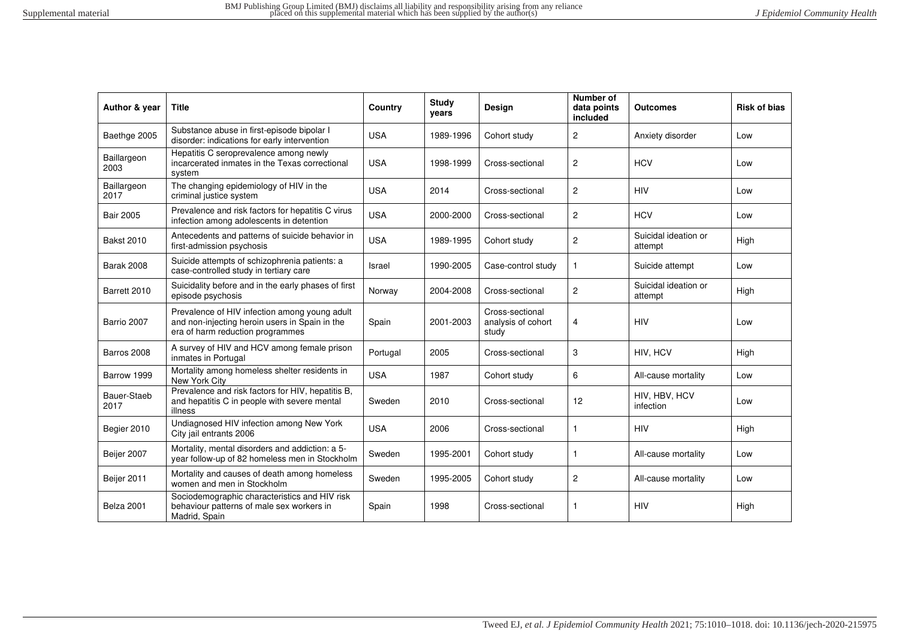| Author & year       | <b>Title</b>                                                                                                                        | Country    | <b>Study</b><br>years | Design                                         | Number of<br>data points<br>included | Outcomes                        | <b>Risk of bias</b> |
|---------------------|-------------------------------------------------------------------------------------------------------------------------------------|------------|-----------------------|------------------------------------------------|--------------------------------------|---------------------------------|---------------------|
| Baethge 2005        | Substance abuse in first-episode bipolar I<br>disorder: indications for early intervention                                          | <b>USA</b> | 1989-1996             | Cohort study                                   | $\overline{c}$                       | Anxiety disorder                | Low                 |
| Baillargeon<br>2003 | Hepatitis C seroprevalence among newly<br>incarcerated inmates in the Texas correctional<br>system                                  | <b>USA</b> | 1998-1999             | Cross-sectional                                | $\overline{c}$                       | <b>HCV</b>                      | Low                 |
| Baillargeon<br>2017 | The changing epidemiology of HIV in the<br>criminal justice system                                                                  | <b>USA</b> | 2014                  | Cross-sectional                                | $\overline{c}$                       | <b>HIV</b>                      | Low                 |
| <b>Bair 2005</b>    | Prevalence and risk factors for hepatitis C virus<br>infection among adolescents in detention                                       | <b>USA</b> | 2000-2000             | Cross-sectional                                | 2                                    | <b>HCV</b>                      | Low                 |
| <b>Bakst 2010</b>   | Antecedents and patterns of suicide behavior in<br>first-admission psychosis                                                        | <b>USA</b> | 1989-1995             | Cohort study                                   | $\overline{c}$                       | Suicidal ideation or<br>attempt | High                |
| <b>Barak 2008</b>   | Suicide attempts of schizophrenia patients: a<br>case-controlled study in tertiary care                                             | Israel     | 1990-2005             | Case-control study                             | $\mathbf{1}$                         | Suicide attempt                 | Low                 |
| Barrett 2010        | Suicidality before and in the early phases of first<br>episode psychosis                                                            | Norway     | 2004-2008             | Cross-sectional                                | $\overline{c}$                       | Suicidal ideation or<br>attempt | High                |
| Barrio 2007         | Prevalence of HIV infection among young adult<br>and non-injecting heroin users in Spain in the<br>era of harm reduction programmes | Spain      | 2001-2003             | Cross-sectional<br>analysis of cohort<br>study | 4                                    | <b>HIV</b>                      | Low                 |
| Barros 2008         | A survey of HIV and HCV among female prison<br>inmates in Portugal                                                                  | Portugal   | 2005                  | Cross-sectional                                | 3                                    | HIV, HCV                        | High                |
| Barrow 1999         | Mortality among homeless shelter residents in<br>New York City                                                                      | <b>USA</b> | 1987                  | Cohort study                                   | 6                                    | All-cause mortality             | Low                 |
| Bauer-Staeb<br>2017 | Prevalence and risk factors for HIV, hepatitis B,<br>and hepatitis C in people with severe mental<br>illness                        | Sweden     | 2010                  | Cross-sectional                                | 12                                   | HIV, HBV, HCV<br>infection      | Low                 |
| Begier 2010         | Undiagnosed HIV infection among New York<br>City jail entrants 2006                                                                 | <b>USA</b> | 2006                  | Cross-sectional                                | $\mathbf{1}$                         | <b>HIV</b>                      | High                |
| Beijer 2007         | Mortality, mental disorders and addiction: a 5-<br>year follow-up of 82 homeless men in Stockholm                                   | Sweden     | 1995-2001             | Cohort study                                   | $\mathbf{1}$                         | All-cause mortality             | Low                 |
| Beijer 2011         | Mortality and causes of death among homeless<br>women and men in Stockholm                                                          | Sweden     | 1995-2005             | Cohort study                                   | $\overline{c}$                       | All-cause mortality             | Low                 |
| Belza 2001          | Sociodemographic characteristics and HIV risk<br>behaviour patterns of male sex workers in<br>Madrid, Spain                         | Spain      | 1998                  | Cross-sectional                                | $\mathbf{1}$                         | <b>HIV</b>                      | High                |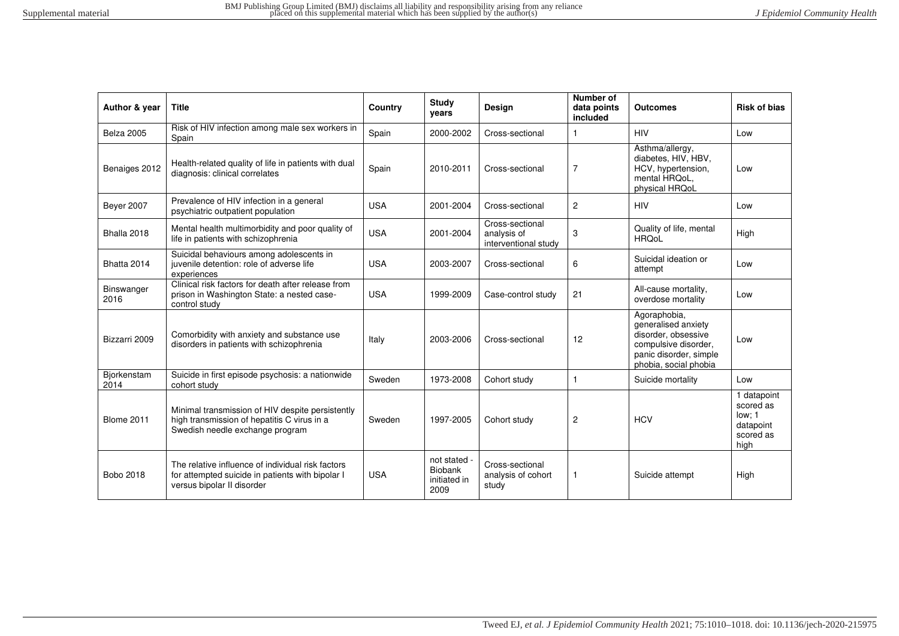| Author & year       | <b>Title</b>                                                                                                                        | Country    | <b>Study</b><br>years                                  | Design                                                 | Number of<br>data points<br>included | <b>Outcomes</b>                                                                                                                       | <b>Risk of bias</b>                                                  |
|---------------------|-------------------------------------------------------------------------------------------------------------------------------------|------------|--------------------------------------------------------|--------------------------------------------------------|--------------------------------------|---------------------------------------------------------------------------------------------------------------------------------------|----------------------------------------------------------------------|
| Belza 2005          | Risk of HIV infection among male sex workers in<br>Spain                                                                            | Spain      | 2000-2002                                              | Cross-sectional                                        |                                      | <b>HIV</b>                                                                                                                            | Low                                                                  |
| Benaiges 2012       | Health-related quality of life in patients with dual<br>diagnosis: clinical correlates                                              | Spain      | 2010-2011                                              | Cross-sectional                                        | 7                                    | Asthma/allergy,<br>diabetes, HIV, HBV,<br>HCV, hypertension,<br>mental HRQoL.<br>physical HRQoL                                       | Low                                                                  |
| <b>Beyer 2007</b>   | Prevalence of HIV infection in a general<br>psychiatric outpatient population                                                       | <b>USA</b> | 2001-2004                                              | Cross-sectional                                        | $\overline{2}$                       | <b>HIV</b>                                                                                                                            | Low                                                                  |
| Bhalla 2018         | Mental health multimorbidity and poor quality of<br>life in patients with schizophrenia                                             | <b>USA</b> | 2001-2004                                              | Cross-sectional<br>analysis of<br>interventional study | 3                                    | Quality of life, mental<br><b>HRQoL</b>                                                                                               | High                                                                 |
| Bhatta 2014         | Suicidal behaviours among adolescents in<br>juvenile detention: role of adverse life<br>experiences                                 | <b>USA</b> | 2003-2007                                              | Cross-sectional                                        | 6                                    | Suicidal ideation or<br>attempt                                                                                                       | Low                                                                  |
| Binswanger<br>2016  | Clinical risk factors for death after release from<br>prison in Washington State: a nested case-<br>control study                   | <b>USA</b> | 1999-2009                                              | Case-control study                                     | 21                                   | All-cause mortality,<br>overdose mortality                                                                                            | Low                                                                  |
| Bizzarri 2009       | Comorbidity with anxiety and substance use<br>disorders in patients with schizophrenia                                              | Italy      | 2003-2006                                              | Cross-sectional                                        | 12                                   | Agoraphobia,<br>generalised anxiety<br>disorder, obsessive<br>compulsive disorder,<br>panic disorder, simple<br>phobia, social phobia | Low                                                                  |
| Biorkenstam<br>2014 | Suicide in first episode psychosis: a nationwide<br>cohort study                                                                    | Sweden     | 1973-2008                                              | Cohort study                                           | $\mathbf{1}$                         | Suicide mortality                                                                                                                     | Low                                                                  |
| <b>Blome 2011</b>   | Minimal transmission of HIV despite persistently<br>high transmission of hepatitis C virus in a<br>Swedish needle exchange program  | Sweden     | 1997-2005                                              | Cohort study                                           | $\overline{c}$                       | <b>HCV</b>                                                                                                                            | 1 datapoint<br>scored as<br>low: 1<br>datapoint<br>scored as<br>high |
| Bobo 2018           | The relative influence of individual risk factors<br>for attempted suicide in patients with bipolar I<br>versus bipolar II disorder | <b>USA</b> | not stated -<br><b>Biobank</b><br>initiated in<br>2009 | Cross-sectional<br>analysis of cohort<br>study         | $\mathbf{1}$                         | Suicide attempt                                                                                                                       | High                                                                 |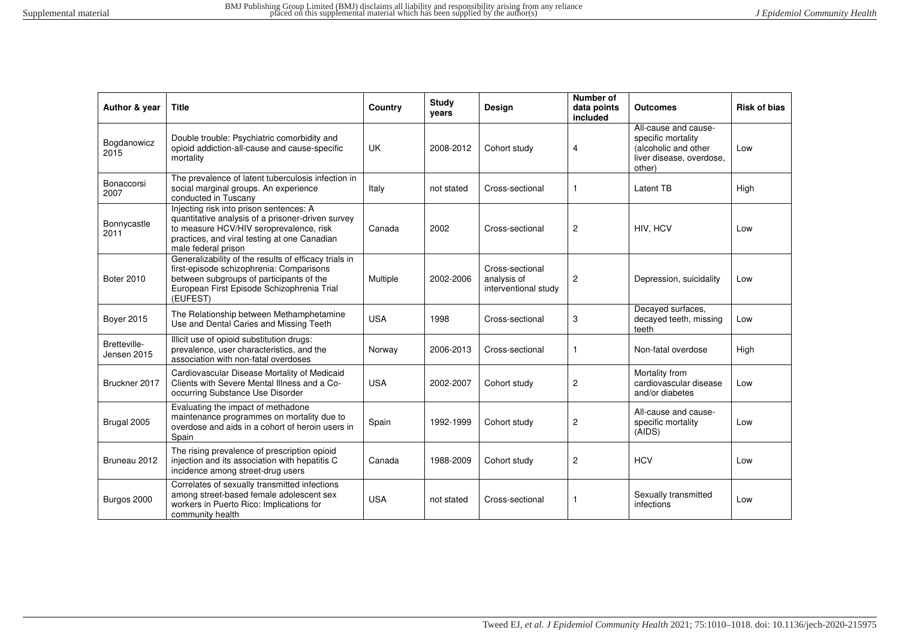| Author & year               | <b>Title</b>                                                                                                                                                                                                   | Country    | Study<br>years | Design                                                 | Number of<br>data points<br>included | <b>Outcomes</b>                                                                                          | <b>Risk of bias</b> |
|-----------------------------|----------------------------------------------------------------------------------------------------------------------------------------------------------------------------------------------------------------|------------|----------------|--------------------------------------------------------|--------------------------------------|----------------------------------------------------------------------------------------------------------|---------------------|
| Bogdanowicz<br>2015         | Double trouble: Psychiatric comorbidity and<br>opioid addiction-all-cause and cause-specific<br>mortality                                                                                                      | <b>UK</b>  | 2008-2012      | Cohort study                                           | 4                                    | All-cause and cause-<br>specific mortality<br>(alcoholic and other<br>liver disease, overdose,<br>other) | Low                 |
| Bonaccorsi<br>2007          | The prevalence of latent tuberculosis infection in<br>social marginal groups. An experience<br>conducted in Tuscany                                                                                            | Italy      | not stated     | Cross-sectional                                        | 1                                    | Latent TB                                                                                                | High                |
| Bonnycastle<br>2011         | Injecting risk into prison sentences: A<br>quantitative analysis of a prisoner-driven survey<br>to measure HCV/HIV seroprevalence, risk<br>practices, and viral testing at one Canadian<br>male federal prison | Canada     | 2002           | Cross-sectional                                        | $\overline{c}$                       | HIV, HCV                                                                                                 | Low                 |
| <b>Boter 2010</b>           | Generalizability of the results of efficacy trials in<br>first-episode schizophrenia: Comparisons<br>between subgroups of participants of the<br>European First Episode Schizophrenia Trial<br>(EUFEST)        | Multiple   | 2002-2006      | Cross-sectional<br>analysis of<br>interventional study | 2                                    | Depression, suicidality                                                                                  | Low                 |
| <b>Bover 2015</b>           | The Relationship between Methamphetamine<br>Use and Dental Caries and Missing Teeth                                                                                                                            | <b>USA</b> | 1998           | Cross-sectional                                        | 3                                    | Decayed surfaces,<br>decayed teeth, missing<br>teeth                                                     | Low                 |
| Bretteville-<br>Jensen 2015 | Illicit use of opioid substitution drugs:<br>prevalence, user characteristics, and the<br>association with non-fatal overdoses                                                                                 | Norway     | 2006-2013      | Cross-sectional                                        | $\mathbf{1}$                         | Non-fatal overdose                                                                                       | High                |
| Bruckner 2017               | Cardiovascular Disease Mortality of Medicaid<br>Clients with Severe Mental Illness and a Co-<br>occurring Substance Use Disorder                                                                               | <b>USA</b> | 2002-2007      | Cohort study                                           | $\overline{c}$                       | Mortality from<br>cardiovascular disease<br>and/or diabetes                                              | Low                 |
| Brugal 2005                 | Evaluating the impact of methadone<br>maintenance programmes on mortality due to<br>overdose and aids in a cohort of heroin users in<br>Spain                                                                  | Spain      | 1992-1999      | Cohort study                                           | $\overline{\mathbf{c}}$              | All-cause and cause-<br>specific mortality<br>(AIDS)                                                     | Low                 |
| Bruneau 2012                | The rising prevalence of prescription opioid<br>injection and its association with hepatitis C<br>incidence among street-drug users                                                                            | Canada     | 1988-2009      | Cohort study                                           | $\overline{c}$                       | <b>HCV</b>                                                                                               | Low                 |
| Burgos 2000                 | Correlates of sexually transmitted infections<br>among street-based female adolescent sex<br>workers in Puerto Rico: Implications for<br>community health                                                      | <b>USA</b> | not stated     | Cross-sectional                                        | $\mathbf{1}$                         | Sexually transmitted<br>infections                                                                       | Low                 |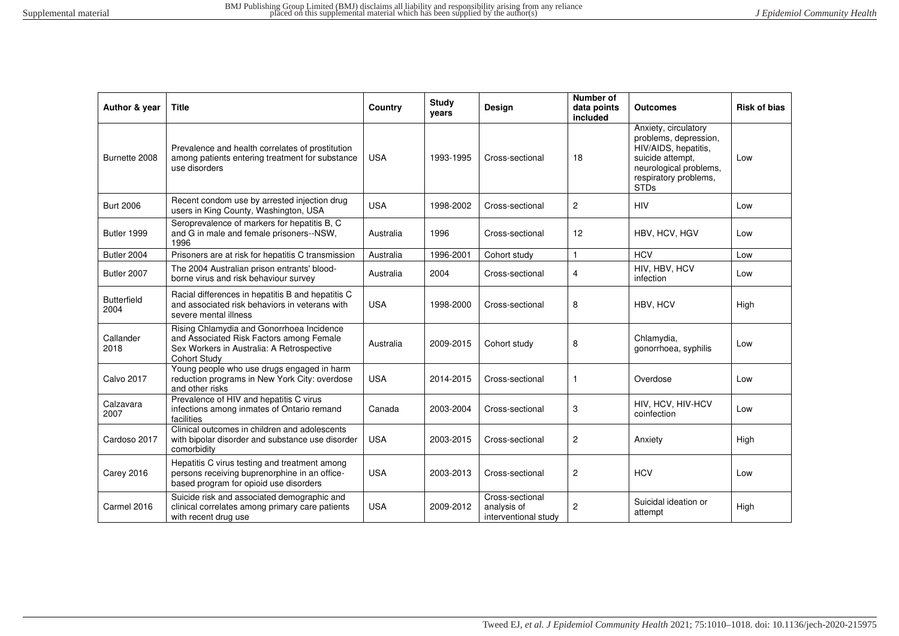| Author & year              | <b>Title</b>                                                                                                                                              | Country    | Study<br>vears | <b>Design</b>                                          | Number of<br>data points<br>included | <b>Outcomes</b>                                                                                                                                             | <b>Risk of bias</b> |
|----------------------------|-----------------------------------------------------------------------------------------------------------------------------------------------------------|------------|----------------|--------------------------------------------------------|--------------------------------------|-------------------------------------------------------------------------------------------------------------------------------------------------------------|---------------------|
| Burnette 2008              | Prevalence and health correlates of prostitution<br>among patients entering treatment for substance<br>use disorders                                      | <b>USA</b> | 1993-1995      | Cross-sectional                                        | 18                                   | Anxiety, circulatory<br>problems, depression,<br>HIV/AIDS, hepatitis,<br>suicide attempt,<br>neurological problems,<br>respiratory problems,<br><b>STDs</b> | Low                 |
| <b>Burt 2006</b>           | Recent condom use by arrested injection drug<br>users in King County, Washington, USA                                                                     | <b>USA</b> | 1998-2002      | Cross-sectional                                        | 2                                    | <b>HIV</b>                                                                                                                                                  | Low                 |
| Butler 1999                | Seroprevalence of markers for hepatitis B, C<br>and G in male and female prisoners--NSW,<br>1996                                                          | Australia  | 1996           | Cross-sectional                                        | 12                                   | HBV, HCV, HGV                                                                                                                                               | Low                 |
| Butler 2004                | Prisoners are at risk for hepatitis C transmission                                                                                                        | Australia  | 1996-2001      | Cohort study                                           | $\mathbf{1}$                         | <b>HCV</b>                                                                                                                                                  | Low                 |
| Butler 2007                | The 2004 Australian prison entrants' blood-<br>borne virus and risk behaviour survey                                                                      | Australia  | 2004           | Cross-sectional                                        | 4                                    | HIV, HBV, HCV<br>infection                                                                                                                                  | Low                 |
| <b>Butterfield</b><br>2004 | Racial differences in hepatitis B and hepatitis C<br>and associated risk behaviors in veterans with<br>severe mental illness                              | <b>USA</b> | 1998-2000      | Cross-sectional                                        | 8                                    | HBV, HCV                                                                                                                                                    | High                |
| Callander<br>2018          | Rising Chlamydia and Gonorrhoea Incidence<br>and Associated Risk Factors among Female<br>Sex Workers in Australia: A Retrospective<br><b>Cohort Study</b> | Australia  | 2009-2015      | Cohort study                                           | 8                                    | Chlamydia,<br>gonorrhoea, syphilis                                                                                                                          | Low                 |
| <b>Calvo 2017</b>          | Young people who use drugs engaged in harm<br>reduction programs in New York City: overdose<br>and other risks                                            | <b>USA</b> | 2014-2015      | Cross-sectional                                        | -1                                   | Overdose                                                                                                                                                    | Low                 |
| Calzavara<br>2007          | Prevalence of HIV and hepatitis C virus<br>infections among inmates of Ontario remand<br>facilities                                                       | Canada     | 2003-2004      | Cross-sectional                                        | 3                                    | HIV, HCV, HIV-HCV<br>coinfection                                                                                                                            | Low                 |
| Cardoso 2017               | Clinical outcomes in children and adolescents<br>with bipolar disorder and substance use disorder<br>comorbidity                                          | <b>USA</b> | 2003-2015      | Cross-sectional                                        | $\overline{c}$                       | Anxiety                                                                                                                                                     | High                |
| Carey 2016                 | Hepatitis C virus testing and treatment among<br>persons receiving buprenorphine in an office-<br>based program for opioid use disorders                  | <b>USA</b> | 2003-2013      | Cross-sectional                                        | 2                                    | <b>HCV</b>                                                                                                                                                  | Low                 |
| Carmel 2016                | Suicide risk and associated demographic and<br>clinical correlates among primary care patients<br>with recent drug use                                    | <b>USA</b> | 2009-2012      | Cross-sectional<br>analysis of<br>interventional study | 2                                    | Suicidal ideation or<br>attempt                                                                                                                             | High                |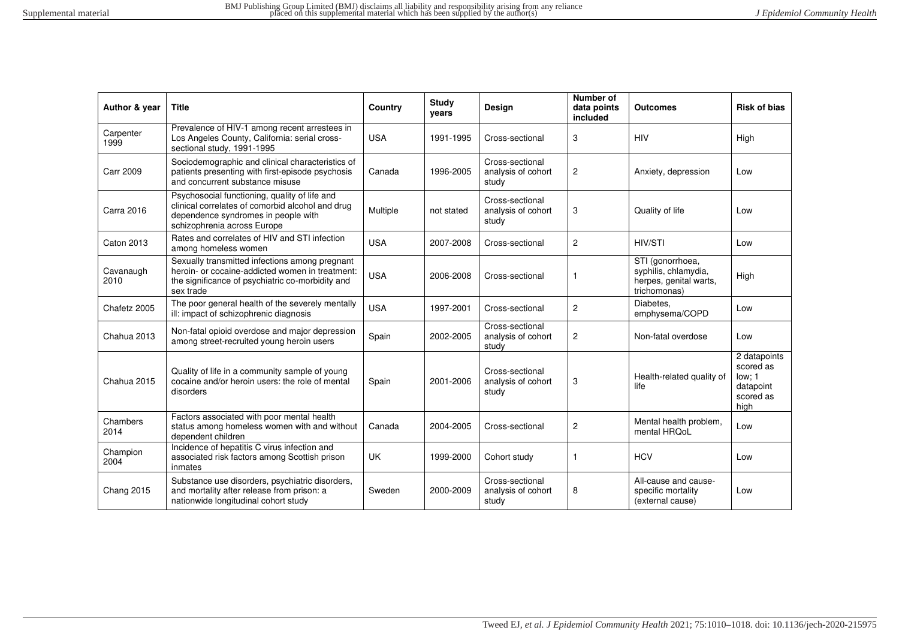| Author & year     | <b>Title</b>                                                                                                                                                            | Country    | <b>Study</b><br>years | <b>Design</b>                                  | Number of<br>data points<br>included | <b>Outcomes</b>                                                                    | <b>Risk of bias</b>                                                   |
|-------------------|-------------------------------------------------------------------------------------------------------------------------------------------------------------------------|------------|-----------------------|------------------------------------------------|--------------------------------------|------------------------------------------------------------------------------------|-----------------------------------------------------------------------|
| Carpenter<br>1999 | Prevalence of HIV-1 among recent arrestees in<br>Los Angeles County, California: serial cross-<br>sectional study, 1991-1995                                            | <b>USA</b> | 1991-1995             | Cross-sectional                                | 3                                    | <b>HIV</b>                                                                         | High                                                                  |
| <b>Carr 2009</b>  | Sociodemographic and clinical characteristics of<br>patients presenting with first-episode psychosis<br>and concurrent substance misuse                                 | Canada     | 1996-2005             | Cross-sectional<br>analysis of cohort<br>study | 2                                    | Anxiety, depression                                                                | Low                                                                   |
| Carra 2016        | Psychosocial functioning, quality of life and<br>clinical correlates of comorbid alcohol and drug<br>dependence syndromes in people with<br>schizophrenia across Europe | Multiple   | not stated            | Cross-sectional<br>analysis of cohort<br>study | 3                                    | Quality of life                                                                    | Low                                                                   |
| <b>Caton 2013</b> | Rates and correlates of HIV and STI infection<br>among homeless women                                                                                                   | <b>USA</b> | 2007-2008             | Cross-sectional                                | $\overline{2}$                       | HIV/STI                                                                            | Low                                                                   |
| Cavanaugh<br>2010 | Sexually transmitted infections among pregnant<br>heroin- or cocaine-addicted women in treatment:<br>the significance of psychiatric co-morbidity and<br>sex trade      | <b>USA</b> | 2006-2008             | Cross-sectional                                | 1                                    | STI (gonorrhoea,<br>syphilis, chlamydia,<br>herpes, genital warts,<br>trichomonas) | High                                                                  |
| Chafetz 2005      | The poor general health of the severely mentally<br>ill: impact of schizophrenic diagnosis                                                                              | <b>USA</b> | 1997-2001             | Cross-sectional                                | 2                                    | Diabetes.<br>emphysema/COPD                                                        | Low                                                                   |
| Chahua 2013       | Non-fatal opioid overdose and major depression<br>among street-recruited young heroin users                                                                             | Spain      | 2002-2005             | Cross-sectional<br>analysis of cohort<br>study | $\overline{2}$                       | Non-fatal overdose                                                                 | Low                                                                   |
| Chahua 2015       | Quality of life in a community sample of young<br>cocaine and/or heroin users: the role of mental<br>disorders                                                          | Spain      | 2001-2006             | Cross-sectional<br>analysis of cohort<br>study | 3                                    | Health-related quality of<br>life                                                  | 2 datapoints<br>scored as<br>low: 1<br>datapoint<br>scored as<br>high |
| Chambers<br>2014  | Factors associated with poor mental health<br>status among homeless women with and without<br>dependent children                                                        | Canada     | 2004-2005             | Cross-sectional                                | $\overline{c}$                       | Mental health problem,<br>mental HRQoL                                             | Low                                                                   |
| Champion<br>2004  | Incidence of hepatitis C virus infection and<br>associated risk factors among Scottish prison<br>inmates                                                                | UK         | 1999-2000             | Cohort study                                   | $\mathbf{1}$                         | <b>HCV</b>                                                                         | Low                                                                   |
| <b>Chang 2015</b> | Substance use disorders, psychiatric disorders,<br>and mortality after release from prison: a<br>nationwide longitudinal cohort study                                   | Sweden     | 2000-2009             | Cross-sectional<br>analysis of cohort<br>study | 8                                    | All-cause and cause-<br>specific mortality<br>(external cause)                     | Low                                                                   |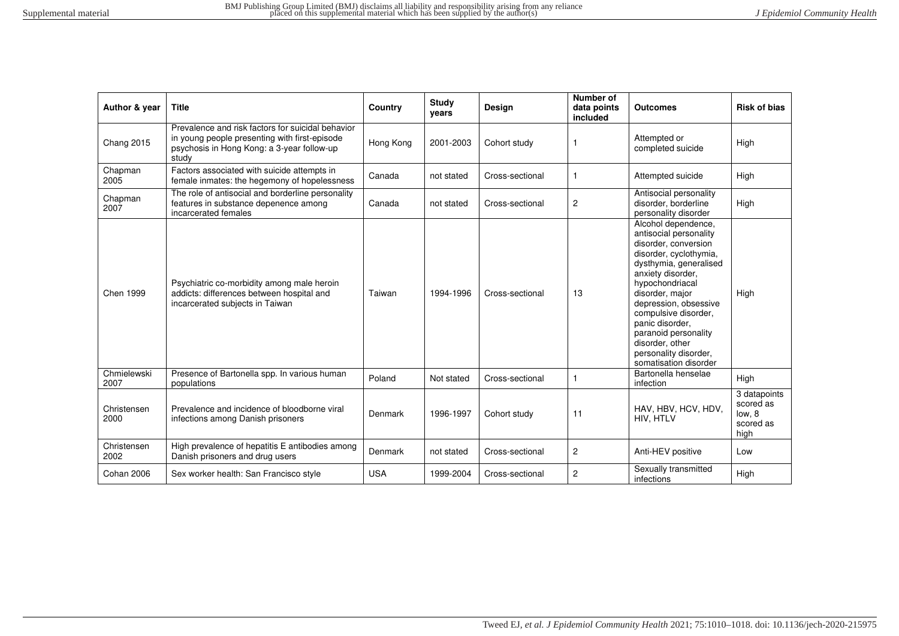| Author & year       | <b>Title</b>                                                                                                                                              | Country    | Study<br>years | Design          | Number of<br>data points<br>included | <b>Outcomes</b>                                                                                                                                                                                                                                                                                                                                       | <b>Risk of bias</b>                                      |
|---------------------|-----------------------------------------------------------------------------------------------------------------------------------------------------------|------------|----------------|-----------------|--------------------------------------|-------------------------------------------------------------------------------------------------------------------------------------------------------------------------------------------------------------------------------------------------------------------------------------------------------------------------------------------------------|----------------------------------------------------------|
| <b>Chang 2015</b>   | Prevalence and risk factors for suicidal behavior<br>in young people presenting with first-episode<br>psychosis in Hong Kong: a 3-year follow-up<br>study | Hong Kong  | 2001-2003      | Cohort study    |                                      | Attempted or<br>completed suicide                                                                                                                                                                                                                                                                                                                     | High                                                     |
| Chapman<br>2005     | Factors associated with suicide attempts in<br>female inmates: the hegemony of hopelessness                                                               | Canada     | not stated     | Cross-sectional |                                      | Attempted suicide                                                                                                                                                                                                                                                                                                                                     | High                                                     |
| Chapman<br>2007     | The role of antisocial and borderline personality<br>features in substance depenence among<br>incarcerated females                                        | Canada     | not stated     | Cross-sectional | $\overline{c}$                       | Antisocial personality<br>disorder, borderline<br>personality disorder                                                                                                                                                                                                                                                                                | High                                                     |
| Chen 1999           | Psychiatric co-morbidity among male heroin<br>addicts: differences between hospital and<br>incarcerated subjects in Taiwan                                | Taiwan     | 1994-1996      | Cross-sectional | 13                                   | Alcohol dependence,<br>antisocial personality<br>disorder, conversion<br>disorder, cyclothymia,<br>dysthymia, generalised<br>anxiety disorder,<br>hypochondriacal<br>disorder, major<br>depression, obsessive<br>compulsive disorder,<br>panic disorder.<br>paranoid personality<br>disorder, other<br>personality disorder,<br>somatisation disorder | High                                                     |
| Chmielewski<br>2007 | Presence of Bartonella spp. In various human<br>populations                                                                                               | Poland     | Not stated     | Cross-sectional | 1                                    | Bartonella henselae<br>infection                                                                                                                                                                                                                                                                                                                      | High                                                     |
| Christensen<br>2000 | Prevalence and incidence of bloodborne viral<br>infections among Danish prisoners                                                                         | Denmark    | 1996-1997      | Cohort study    | 11                                   | HAV, HBV, HCV, HDV,<br>HIV, HTLV                                                                                                                                                                                                                                                                                                                      | 3 datapoints<br>scored as<br>low. 8<br>scored as<br>high |
| Christensen<br>2002 | High prevalence of hepatitis E antibodies among<br>Danish prisoners and drug users                                                                        | Denmark    | not stated     | Cross-sectional | $\overline{c}$                       | Anti-HEV positive                                                                                                                                                                                                                                                                                                                                     | Low                                                      |
| Cohan 2006          | Sex worker health: San Francisco style                                                                                                                    | <b>USA</b> | 1999-2004      | Cross-sectional | 2                                    | Sexually transmitted<br>infections                                                                                                                                                                                                                                                                                                                    | High                                                     |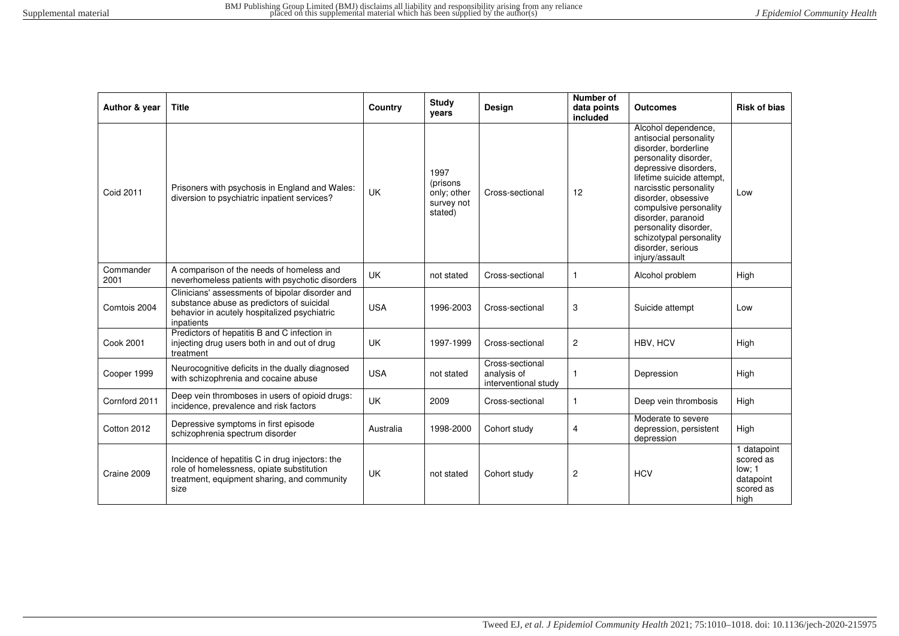| Author & year     | <b>Title</b>                                                                                                                                               | Country    | Study<br>years                                            | Design                                                 | Number of<br>data points<br>included | <b>Outcomes</b>                                                                                                                                                                                                                                                                                                                                  | <b>Risk of bias</b>                                                  |
|-------------------|------------------------------------------------------------------------------------------------------------------------------------------------------------|------------|-----------------------------------------------------------|--------------------------------------------------------|--------------------------------------|--------------------------------------------------------------------------------------------------------------------------------------------------------------------------------------------------------------------------------------------------------------------------------------------------------------------------------------------------|----------------------------------------------------------------------|
| <b>Coid 2011</b>  | Prisoners with psychosis in England and Wales:<br>diversion to psychiatric inpatient services?                                                             | <b>UK</b>  | 1997<br>(prisons)<br>only; other<br>survey not<br>stated) | Cross-sectional                                        | 12                                   | Alcohol dependence,<br>antisocial personality<br>disorder, borderline<br>personality disorder,<br>depressive disorders.<br>lifetime suicide attempt.<br>narcisstic personality<br>disorder, obsessive<br>compulsive personality<br>disorder, paranoid<br>personality disorder,<br>schizotypal personality<br>disorder, serious<br>injury/assault | Low                                                                  |
| Commander<br>2001 | A comparison of the needs of homeless and<br>neverhomeless patients with psychotic disorders                                                               | <b>UK</b>  | not stated                                                | Cross-sectional                                        | $\mathbf{1}$                         | Alcohol problem                                                                                                                                                                                                                                                                                                                                  | High                                                                 |
| Comtois 2004      | Clinicians' assessments of bipolar disorder and<br>substance abuse as predictors of suicidal<br>behavior in acutely hospitalized psychiatric<br>inpatients | <b>USA</b> | 1996-2003                                                 | Cross-sectional                                        | 3                                    | Suicide attempt                                                                                                                                                                                                                                                                                                                                  | Low                                                                  |
| Cook 2001         | Predictors of hepatitis B and C infection in<br>injecting drug users both in and out of drug<br>treatment                                                  | <b>UK</b>  | 1997-1999                                                 | Cross-sectional                                        | 2                                    | HBV, HCV                                                                                                                                                                                                                                                                                                                                         | High                                                                 |
| Cooper 1999       | Neurocognitive deficits in the dually diagnosed<br>with schizophrenia and cocaine abuse                                                                    | <b>USA</b> | not stated                                                | Cross-sectional<br>analysis of<br>interventional study | 1                                    | Depression                                                                                                                                                                                                                                                                                                                                       | High                                                                 |
| Cornford 2011     | Deep vein thromboses in users of opioid drugs:<br>incidence, prevalence and risk factors                                                                   | <b>UK</b>  | 2009                                                      | Cross-sectional                                        | $\mathbf{1}$                         | Deep vein thrombosis                                                                                                                                                                                                                                                                                                                             | High                                                                 |
| Cotton 2012       | Depressive symptoms in first episode<br>schizophrenia spectrum disorder                                                                                    | Australia  | 1998-2000                                                 | Cohort study                                           | $\overline{4}$                       | Moderate to severe<br>depression, persistent<br>depression                                                                                                                                                                                                                                                                                       | High                                                                 |
| Craine 2009       | Incidence of hepatitis C in drug injectors: the<br>role of homelessness, opiate substitution<br>treatment, equipment sharing, and community<br>size        | <b>UK</b>  | not stated                                                | Cohort study                                           | $\overline{2}$                       | <b>HCV</b>                                                                                                                                                                                                                                                                                                                                       | 1 datapoint<br>scored as<br>low: 1<br>datapoint<br>scored as<br>high |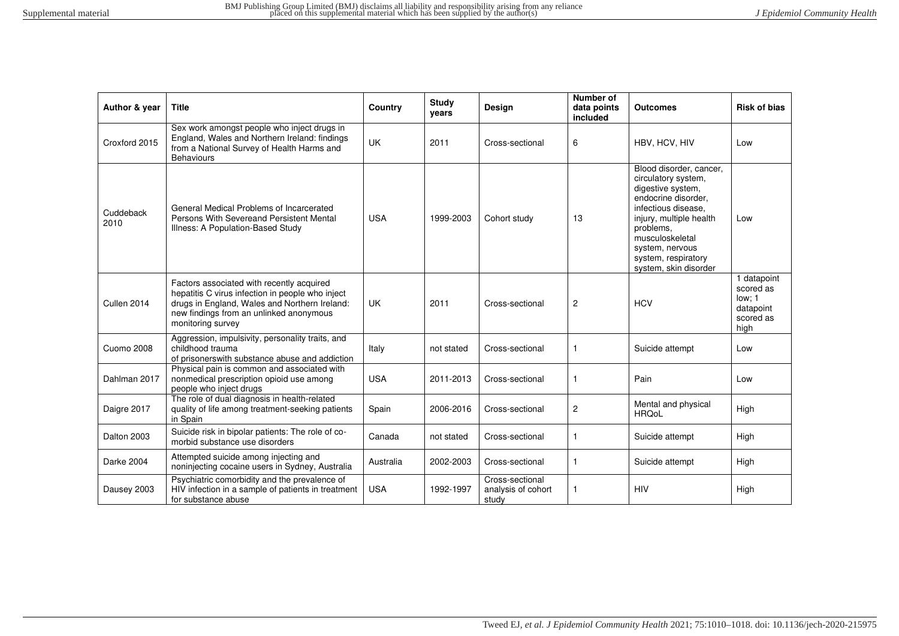| Author & year     | <b>Title</b>                                                                                                                                                                                                   | Country    | <b>Study</b><br>vears | <b>Design</b>                                  | <b>Number of</b><br>data points<br>included | <b>Outcomes</b>                                                                                                                                                                                                                                 | <b>Risk of bias</b>                                                  |
|-------------------|----------------------------------------------------------------------------------------------------------------------------------------------------------------------------------------------------------------|------------|-----------------------|------------------------------------------------|---------------------------------------------|-------------------------------------------------------------------------------------------------------------------------------------------------------------------------------------------------------------------------------------------------|----------------------------------------------------------------------|
| Croxford 2015     | Sex work amongst people who inject drugs in<br>England, Wales and Northern Ireland: findings<br>from a National Survey of Health Harms and<br><b>Behaviours</b>                                                | <b>UK</b>  | 2011                  | Cross-sectional                                | 6                                           | HBV, HCV, HIV                                                                                                                                                                                                                                   | Low                                                                  |
| Cuddeback<br>2010 | General Medical Problems of Incarcerated<br>Persons With Severeand Persistent Mental<br>Illness: A Population-Based Study                                                                                      | <b>USA</b> | 1999-2003             | Cohort study                                   | 13                                          | Blood disorder, cancer,<br>circulatory system,<br>digestive system,<br>endocrine disorder,<br>infectious disease.<br>injury, multiple health<br>problems.<br>musculoskeletal<br>system, nervous<br>system, respiratory<br>system, skin disorder | Low                                                                  |
| Cullen 2014       | Factors associated with recently acquired<br>hepatitis C virus infection in people who inject<br>drugs in England, Wales and Northern Ireland:<br>new findings from an unlinked anonymous<br>monitoring survey | <b>UK</b>  | 2011                  | Cross-sectional                                | $\overline{c}$                              | <b>HCV</b>                                                                                                                                                                                                                                      | 1 datapoint<br>scored as<br>low: 1<br>datapoint<br>scored as<br>high |
| <b>Cuomo 2008</b> | Aggression, impulsivity, personality traits, and<br>childhood trauma<br>of prisonerswith substance abuse and addiction                                                                                         | Italy      | not stated            | Cross-sectional                                | $\mathbf{1}$                                | Suicide attempt                                                                                                                                                                                                                                 | Low                                                                  |
| Dahlman 2017      | Physical pain is common and associated with<br>nonmedical prescription opioid use among<br>people who inject drugs                                                                                             | <b>USA</b> | 2011-2013             | Cross-sectional                                | 1                                           | Pain                                                                                                                                                                                                                                            | Low                                                                  |
| Daigre 2017       | The role of dual diagnosis in health-related<br>quality of life among treatment-seeking patients<br>in Spain                                                                                                   | Spain      | 2006-2016             | Cross-sectional                                | $\overline{2}$                              | Mental and physical<br><b>HRQoL</b>                                                                                                                                                                                                             | High                                                                 |
| Dalton 2003       | Suicide risk in bipolar patients: The role of co-<br>morbid substance use disorders                                                                                                                            | Canada     | not stated            | Cross-sectional                                | $\mathbf{1}$                                | Suicide attempt                                                                                                                                                                                                                                 | High                                                                 |
| Darke 2004        | Attempted suicide among injecting and<br>noninjecting cocaine users in Sydney, Australia                                                                                                                       | Australia  | 2002-2003             | Cross-sectional                                | $\mathbf{1}$                                | Suicide attempt                                                                                                                                                                                                                                 | High                                                                 |
| Dausey 2003       | Psychiatric comorbidity and the prevalence of<br>HIV infection in a sample of patients in treatment<br>for substance abuse                                                                                     | <b>USA</b> | 1992-1997             | Cross-sectional<br>analysis of cohort<br>study | 1                                           | <b>HIV</b>                                                                                                                                                                                                                                      | High                                                                 |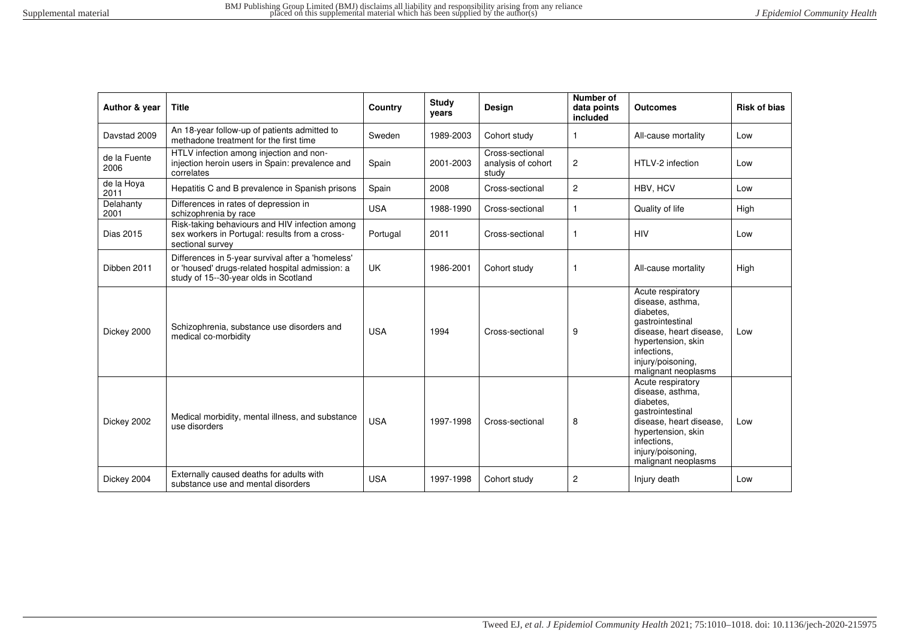| Author & year        | <b>Title</b>                                                                                                                                  | Country    | <b>Study</b><br>vears | <b>Design</b>                                  | Number of<br>data points<br>included | <b>Outcomes</b>                                                                                                                                                                    | <b>Risk of bias</b> |
|----------------------|-----------------------------------------------------------------------------------------------------------------------------------------------|------------|-----------------------|------------------------------------------------|--------------------------------------|------------------------------------------------------------------------------------------------------------------------------------------------------------------------------------|---------------------|
| Davstad 2009         | An 18-year follow-up of patients admitted to<br>methadone treatment for the first time                                                        | Sweden     | 1989-2003             | Cohort study                                   | $\mathbf{1}$                         | All-cause mortality                                                                                                                                                                | Low                 |
| de la Fuente<br>2006 | HTLV infection among injection and non-<br>injection heroin users in Spain: prevalence and<br>correlates                                      | Spain      | 2001-2003             | Cross-sectional<br>analysis of cohort<br>study | $\overline{c}$                       | HTLV-2 infection                                                                                                                                                                   | Low                 |
| de la Hova<br>2011   | Hepatitis C and B prevalence in Spanish prisons                                                                                               | Spain      | 2008                  | Cross-sectional                                | $\overline{2}$                       | HBV, HCV                                                                                                                                                                           | Low                 |
| Delahanty<br>2001    | Differences in rates of depression in<br>schizophrenia by race                                                                                | <b>USA</b> | 1988-1990             | Cross-sectional                                | $\mathbf{1}$                         | Quality of life                                                                                                                                                                    | High                |
| Dias 2015            | Risk-taking behaviours and HIV infection among<br>sex workers in Portugal: results from a cross-<br>sectional survey                          | Portugal   | 2011                  | Cross-sectional                                | -1                                   | <b>HIV</b>                                                                                                                                                                         | Low                 |
| Dibben 2011          | Differences in 5-year survival after a 'homeless'<br>or 'housed' drugs-related hospital admission: a<br>study of 15--30-year olds in Scotland | <b>UK</b>  | 1986-2001             | Cohort study                                   | $\mathbf{1}$                         | All-cause mortality                                                                                                                                                                | High                |
| Dickey 2000          | Schizophrenia, substance use disorders and<br>medical co-morbidity                                                                            | <b>USA</b> | 1994                  | Cross-sectional                                | 9                                    | Acute respiratory<br>disease, asthma,<br>diabetes.<br>gastrointestinal<br>disease, heart disease,<br>hypertension, skin<br>infections.<br>injury/poisoning.<br>malignant neoplasms | Low                 |
| Dickey 2002          | Medical morbidity, mental illness, and substance<br>use disorders                                                                             | <b>USA</b> | 1997-1998             | Cross-sectional                                | 8                                    | Acute respiratory<br>disease, asthma,<br>diabetes.<br>gastrointestinal<br>disease, heart disease,<br>hypertension, skin<br>infections.<br>injury/poisoning,<br>malignant neoplasms | Low                 |
| Dickey 2004          | Externally caused deaths for adults with<br>substance use and mental disorders                                                                | <b>USA</b> | 1997-1998             | Cohort study                                   | $\overline{2}$                       | Injury death                                                                                                                                                                       | Low                 |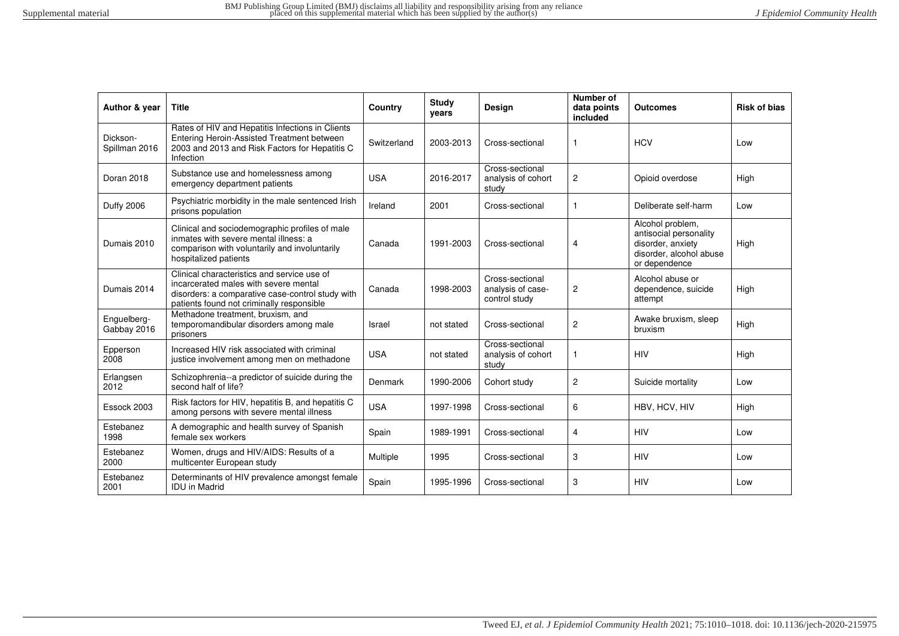| Author & year              | <b>Title</b>                                                                                                                                                                          | Country     | <b>Study</b><br>vears | Design                                                | Number of<br>data points<br>included | Outcomes                                                                                                    | <b>Risk of bias</b> |
|----------------------------|---------------------------------------------------------------------------------------------------------------------------------------------------------------------------------------|-------------|-----------------------|-------------------------------------------------------|--------------------------------------|-------------------------------------------------------------------------------------------------------------|---------------------|
| Dickson-<br>Spillman 2016  | Rates of HIV and Hepatitis Infections in Clients<br>Entering Heroin-Assisted Treatment between<br>2003 and 2013 and Risk Factors for Hepatitis C<br>Infection                         | Switzerland | 2003-2013             | Cross-sectional                                       | $\mathbf{1}$                         | <b>HCV</b>                                                                                                  | Low                 |
| Doran 2018                 | Substance use and homelessness among<br>emergency department patients                                                                                                                 | <b>USA</b>  | 2016-2017             | Cross-sectional<br>analysis of cohort<br>study        | $\overline{c}$                       | Opioid overdose                                                                                             | High                |
| <b>Duffy 2006</b>          | Psychiatric morbidity in the male sentenced Irish<br>prisons population                                                                                                               | Ireland     | 2001                  | Cross-sectional                                       | 1                                    | Deliberate self-harm                                                                                        | Low                 |
| Dumais 2010                | Clinical and sociodemographic profiles of male<br>inmates with severe mental illness: a<br>comparison with voluntarily and involuntarily<br>hospitalized patients                     | Canada      | 1991-2003             | Cross-sectional                                       | 4                                    | Alcohol problem,<br>antisocial personality<br>disorder, anxiety<br>disorder, alcohol abuse<br>or dependence | High                |
| Dumais 2014                | Clinical characteristics and service use of<br>incarcerated males with severe mental<br>disorders: a comparative case-control study with<br>patients found not criminally responsible | Canada      | 1998-2003             | Cross-sectional<br>analysis of case-<br>control study | $\overline{c}$                       | Alcohol abuse or<br>dependence, suicide<br>attempt                                                          | High                |
| Enguelberg-<br>Gabbay 2016 | Methadone treatment, bruxism, and<br>temporomandibular disorders among male<br>prisoners                                                                                              | Israel      | not stated            | Cross-sectional                                       | $\overline{c}$                       | Awake bruxism, sleep<br>bruxism                                                                             | High                |
| Epperson<br>2008           | Increased HIV risk associated with criminal<br>justice involvement among men on methadone                                                                                             | <b>USA</b>  | not stated            | Cross-sectional<br>analysis of cohort<br>study        | 1                                    | <b>HIV</b>                                                                                                  | High                |
| Erlangsen<br>2012          | Schizophrenia--a predictor of suicide during the<br>second half of life?                                                                                                              | Denmark     | 1990-2006             | Cohort study                                          | 2                                    | Suicide mortality                                                                                           | Low                 |
| Essock 2003                | Risk factors for HIV, hepatitis B, and hepatitis C<br>among persons with severe mental illness                                                                                        | <b>USA</b>  | 1997-1998             | Cross-sectional                                       | 6                                    | HBV, HCV, HIV                                                                                               | High                |
| Estebanez<br>1998          | A demographic and health survey of Spanish<br>female sex workers                                                                                                                      | Spain       | 1989-1991             | Cross-sectional                                       | 4                                    | <b>HIV</b>                                                                                                  | Low                 |
| Estebanez<br>2000          | Women, drugs and HIV/AIDS: Results of a<br>multicenter European study                                                                                                                 | Multiple    | 1995                  | Cross-sectional                                       | 3                                    | <b>HIV</b>                                                                                                  | Low                 |
| Estebanez<br>2001          | Determinants of HIV prevalence amongst female<br><b>IDU</b> in Madrid                                                                                                                 | Spain       | 1995-1996             | Cross-sectional                                       | 3                                    | <b>HIV</b>                                                                                                  | Low                 |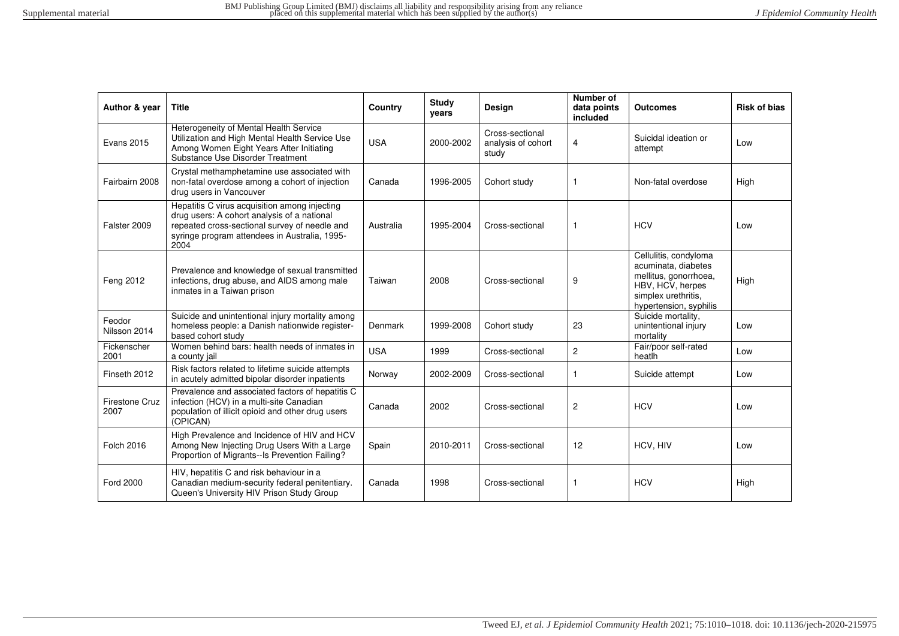| Author & year          | <b>Title</b>                                                                                                                                                                                           | Country    | <b>Study</b><br>vears | Design                                         | Number of<br>data points<br>included | <b>Outcomes</b>                                                                                                                            | <b>Risk of bias</b> |
|------------------------|--------------------------------------------------------------------------------------------------------------------------------------------------------------------------------------------------------|------------|-----------------------|------------------------------------------------|--------------------------------------|--------------------------------------------------------------------------------------------------------------------------------------------|---------------------|
| <b>Evans 2015</b>      | Heterogeneity of Mental Health Service<br>Utilization and High Mental Health Service Use<br>Among Women Eight Years After Initiating<br>Substance Use Disorder Treatment                               | <b>USA</b> | 2000-2002             | Cross-sectional<br>analysis of cohort<br>study | 4                                    | Suicidal ideation or<br>attempt                                                                                                            | Low                 |
| Fairbairn 2008         | Crystal methamphetamine use associated with<br>non-fatal overdose among a cohort of injection<br>drug users in Vancouver                                                                               | Canada     | 1996-2005             | Cohort study                                   | 1                                    | Non-fatal overdose                                                                                                                         | High                |
| Falster 2009           | Hepatitis C virus acquisition among injecting<br>drug users: A cohort analysis of a national<br>repeated cross-sectional survey of needle and<br>syringe program attendees in Australia, 1995-<br>2004 | Australia  | 1995-2004             | Cross-sectional                                | 1                                    | <b>HCV</b>                                                                                                                                 | Low                 |
| Feng 2012              | Prevalence and knowledge of sexual transmitted<br>infections, drug abuse, and AIDS among male<br>inmates in a Taiwan prison                                                                            | Taiwan     | 2008                  | Cross-sectional                                | 9                                    | Cellulitis, condyloma<br>acuminata, diabetes<br>mellitus, gonorrhoea,<br>HBV, HCV, herpes<br>simplex urethritis,<br>hypertension, syphilis | High                |
| Feodor<br>Nilsson 2014 | Suicide and unintentional injury mortality among<br>homeless people: a Danish nationwide register-<br>based cohort study                                                                               | Denmark    | 1999-2008             | Cohort study                                   | 23                                   | Suicide mortality,<br>unintentional injury<br>mortality                                                                                    | Low                 |
| Fickenscher<br>2001    | Women behind bars: health needs of inmates in<br>a county jail                                                                                                                                         | <b>USA</b> | 1999                  | Cross-sectional                                | 2                                    | Fair/poor self-rated<br>heatlh                                                                                                             | Low                 |
| Finseth 2012           | Risk factors related to lifetime suicide attempts<br>in acutely admitted bipolar disorder inpatients                                                                                                   | Norway     | 2002-2009             | Cross-sectional                                | 1                                    | Suicide attempt                                                                                                                            | Low                 |
| Firestone Cruz<br>2007 | Prevalence and associated factors of hepatitis C<br>infection (HCV) in a multi-site Canadian<br>population of illicit opioid and other drug users<br>(OPICAN)                                          | Canada     | 2002                  | Cross-sectional                                | 2                                    | <b>HCV</b>                                                                                                                                 | Low                 |
| <b>Folch 2016</b>      | High Prevalence and Incidence of HIV and HCV<br>Among New Injecting Drug Users With a Large<br>Proportion of Migrants--Is Prevention Failing?                                                          | Spain      | 2010-2011             | Cross-sectional                                | 12                                   | HCV, HIV                                                                                                                                   | Low                 |
| <b>Ford 2000</b>       | HIV, hepatitis C and risk behaviour in a<br>Canadian medium-security federal penitentiary.<br>Queen's University HIV Prison Study Group                                                                | Canada     | 1998                  | Cross-sectional                                |                                      | <b>HCV</b>                                                                                                                                 | High                |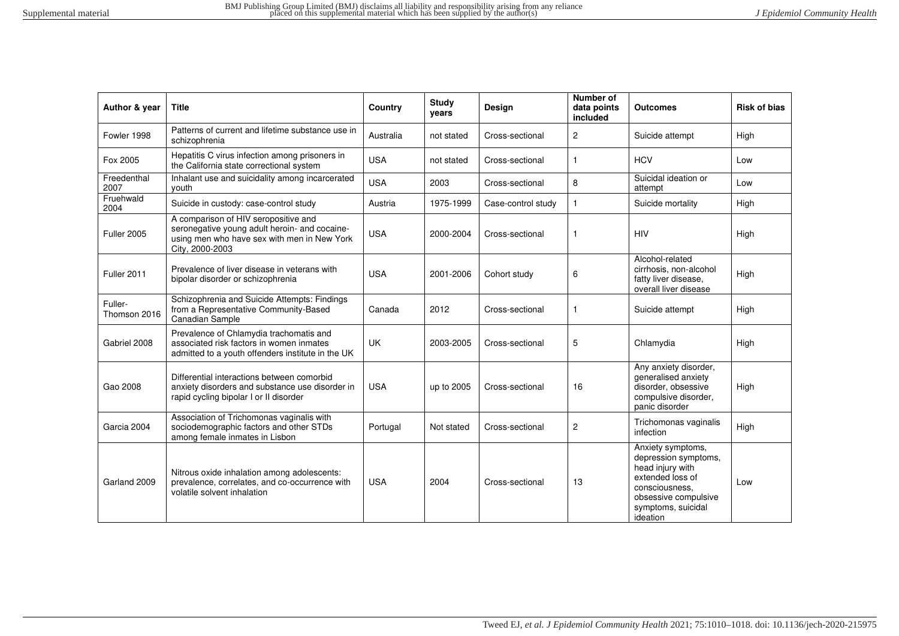| Author & year           | <b>Title</b>                                                                                                                                            | Country    | <b>Study</b><br>years | Design             | Number of<br>data points<br>included | <b>Outcomes</b>                                                                                                                                               | <b>Risk of bias</b> |
|-------------------------|---------------------------------------------------------------------------------------------------------------------------------------------------------|------------|-----------------------|--------------------|--------------------------------------|---------------------------------------------------------------------------------------------------------------------------------------------------------------|---------------------|
| Fowler 1998             | Patterns of current and lifetime substance use in<br>schizophrenia                                                                                      | Australia  | not stated            | Cross-sectional    | 2                                    | Suicide attempt                                                                                                                                               | High                |
| Fox 2005                | Hepatitis C virus infection among prisoners in<br>the California state correctional system                                                              | <b>USA</b> | not stated            | Cross-sectional    | 1                                    | <b>HCV</b>                                                                                                                                                    | Low                 |
| Freedenthal<br>2007     | Inhalant use and suicidality among incarcerated<br>vouth                                                                                                | <b>USA</b> | 2003                  | Cross-sectional    | 8                                    | Suicidal ideation or<br>attempt                                                                                                                               | Low                 |
| Fruehwald<br>2004       | Suicide in custody: case-control study                                                                                                                  | Austria    | 1975-1999             | Case-control study | 1                                    | Suicide mortality                                                                                                                                             | High                |
| Fuller 2005             | A comparison of HIV seropositive and<br>seronegative young adult heroin- and cocaine-<br>using men who have sex with men in New York<br>City, 2000-2003 | <b>USA</b> | 2000-2004             | Cross-sectional    | 1                                    | <b>HIV</b>                                                                                                                                                    | High                |
| Fuller 2011             | Prevalence of liver disease in veterans with<br>bipolar disorder or schizophrenia                                                                       | <b>USA</b> | 2001-2006             | Cohort study       | 6                                    | Alcohol-related<br>cirrhosis, non-alcohol<br>fatty liver disease,<br>overall liver disease                                                                    | High                |
| Fuller-<br>Thomson 2016 | Schizophrenia and Suicide Attempts: Findings<br>from a Representative Community-Based<br>Canadian Sample                                                | Canada     | 2012                  | Cross-sectional    | 1                                    | Suicide attempt                                                                                                                                               | High                |
| Gabriel 2008            | Prevalence of Chlamydia trachomatis and<br>associated risk factors in women inmates<br>admitted to a youth offenders institute in the UK                | UK         | 2003-2005             | Cross-sectional    | 5                                    | Chlamydia                                                                                                                                                     | High                |
| Gao 2008                | Differential interactions between comorbid<br>anxiety disorders and substance use disorder in<br>rapid cycling bipolar I or II disorder                 | <b>USA</b> | up to 2005            | Cross-sectional    | 16                                   | Any anxiety disorder,<br>generalised anxiety<br>disorder, obsessive<br>compulsive disorder,<br>panic disorder                                                 | High                |
| Garcia 2004             | Association of Trichomonas vaginalis with<br>sociodemographic factors and other STDs<br>among female inmates in Lisbon                                  | Portugal   | Not stated            | Cross-sectional    | $\overline{c}$                       | Trichomonas vaginalis<br>infection                                                                                                                            | High                |
| Garland 2009            | Nitrous oxide inhalation among adolescents:<br>prevalence, correlates, and co-occurrence with<br>volatile solvent inhalation                            | <b>USA</b> | 2004                  | Cross-sectional    | 13                                   | Anxiety symptoms,<br>depression symptoms,<br>head injury with<br>extended loss of<br>consciousness.<br>obsessive compulsive<br>symptoms, suicidal<br>ideation | Low                 |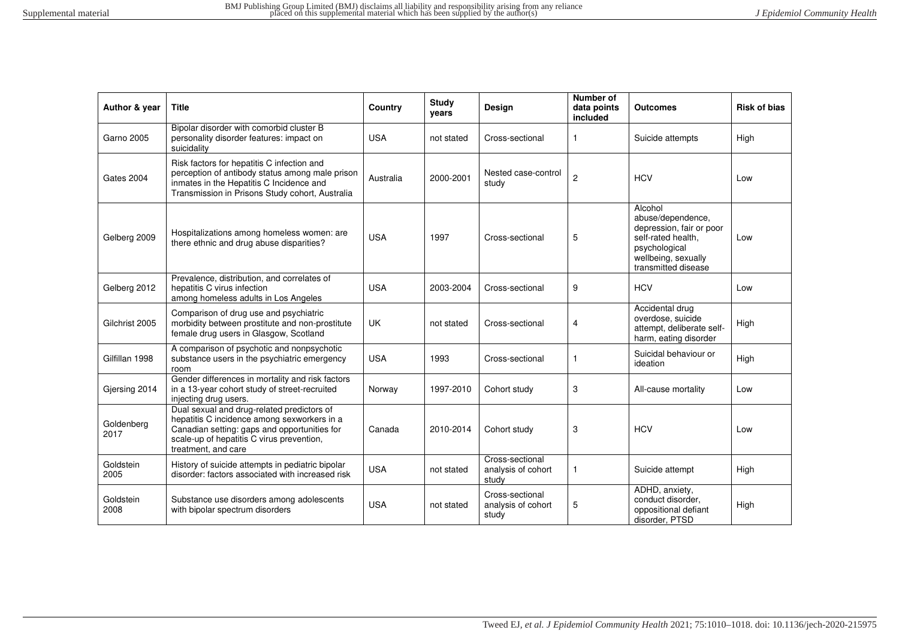| Author & year      | <b>Title</b>                                                                                                                                                                                                  | Country    | <b>Study</b><br>years | Design                                         | Number of<br>data points<br>included | <b>Outcomes</b>                                                                                                                               | <b>Risk of bias</b> |
|--------------------|---------------------------------------------------------------------------------------------------------------------------------------------------------------------------------------------------------------|------------|-----------------------|------------------------------------------------|--------------------------------------|-----------------------------------------------------------------------------------------------------------------------------------------------|---------------------|
| <b>Garno 2005</b>  | Bipolar disorder with comorbid cluster B<br>personality disorder features: impact on<br>suicidality                                                                                                           | <b>USA</b> | not stated            | Cross-sectional                                |                                      | Suicide attempts                                                                                                                              | High                |
| Gates 2004         | Risk factors for hepatitis C infection and<br>perception of antibody status among male prison<br>inmates in the Hepatitis C Incidence and<br>Transmission in Prisons Study cohort, Australia                  | Australia  | 2000-2001             | Nested case-control<br>study                   | $\overline{c}$                       | <b>HCV</b>                                                                                                                                    | Low                 |
| Gelberg 2009       | Hospitalizations among homeless women: are<br>there ethnic and drug abuse disparities?                                                                                                                        | <b>USA</b> | 1997                  | Cross-sectional                                | 5                                    | Alcohol<br>abuse/dependence,<br>depression, fair or poor<br>self-rated health,<br>psychological<br>wellbeing, sexually<br>transmitted disease | Low                 |
| Gelberg 2012       | Prevalence, distribution, and correlates of<br>hepatitis C virus infection<br>among homeless adults in Los Angeles                                                                                            | <b>USA</b> | 2003-2004             | Cross-sectional                                | 9                                    | <b>HCV</b>                                                                                                                                    | Low                 |
| Gilchrist 2005     | Comparison of drug use and psychiatric<br>morbidity between prostitute and non-prostitute<br>female drug users in Glasgow, Scotland                                                                           | <b>UK</b>  | not stated            | Cross-sectional                                | 4                                    | Accidental drug<br>overdose, suicide<br>attempt, deliberate self-<br>harm, eating disorder                                                    | High                |
| Gilfillan 1998     | A comparison of psychotic and nonpsychotic<br>substance users in the psychiatric emergency<br>room                                                                                                            | <b>USA</b> | 1993                  | Cross-sectional                                |                                      | Suicidal behaviour or<br>ideation                                                                                                             | High                |
| Gjersing 2014      | Gender differences in mortality and risk factors<br>in a 13-year cohort study of street-recruited<br>injecting drug users.                                                                                    | Norway     | 1997-2010             | Cohort study                                   | 3                                    | All-cause mortality                                                                                                                           | Low                 |
| Goldenberg<br>2017 | Dual sexual and drug-related predictors of<br>hepatitis C incidence among sexworkers in a<br>Canadian setting: gaps and opportunities for<br>scale-up of hepatitis C virus prevention,<br>treatment, and care | Canada     | 2010-2014             | Cohort study                                   | 3                                    | <b>HCV</b>                                                                                                                                    | Low                 |
| Goldstein<br>2005  | History of suicide attempts in pediatric bipolar<br>disorder: factors associated with increased risk                                                                                                          | <b>USA</b> | not stated            | Cross-sectional<br>analysis of cohort<br>study | 1                                    | Suicide attempt                                                                                                                               | High                |
| Goldstein<br>2008  | Substance use disorders among adolescents<br>with bipolar spectrum disorders                                                                                                                                  | <b>USA</b> | not stated            | Cross-sectional<br>analysis of cohort<br>study | 5                                    | ADHD, anxiety,<br>conduct disorder.<br>oppositional defiant<br>disorder, PTSD                                                                 | High                |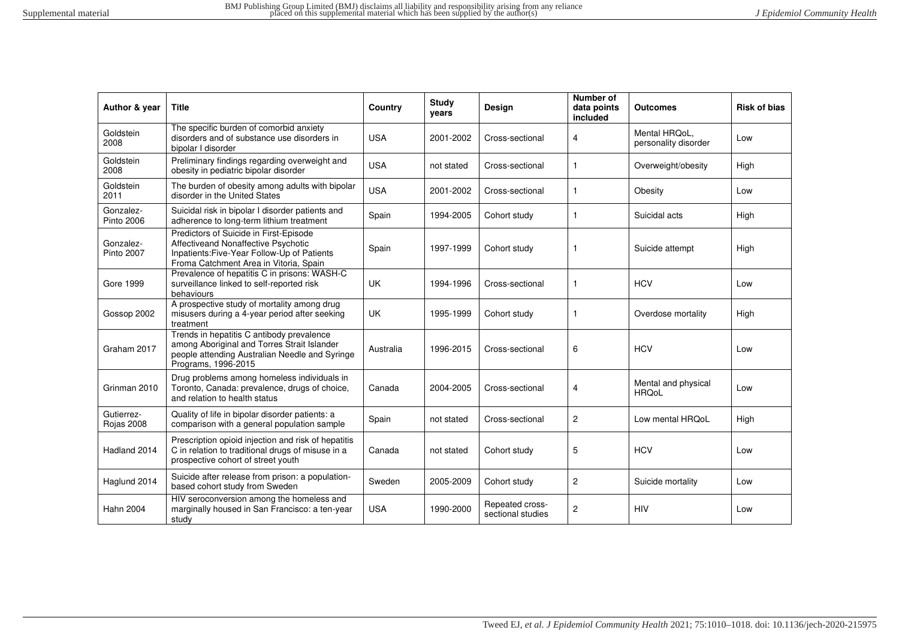| Author & year                  | <b>Title</b>                                                                                                                                                           | Country    | <b>Study</b><br>years | Design                               | Number of<br>data points<br>included | <b>Outcomes</b>                       | <b>Risk of bias</b> |
|--------------------------------|------------------------------------------------------------------------------------------------------------------------------------------------------------------------|------------|-----------------------|--------------------------------------|--------------------------------------|---------------------------------------|---------------------|
| Goldstein<br>2008              | The specific burden of comorbid anxiety<br>disorders and of substance use disorders in<br>bipolar I disorder                                                           | <b>USA</b> | 2001-2002             | Cross-sectional                      | 4                                    | Mental HRQoL,<br>personality disorder | Low                 |
| Goldstein<br>2008              | Preliminary findings regarding overweight and<br>obesity in pediatric bipolar disorder                                                                                 | <b>USA</b> | not stated            | Cross-sectional                      | $\mathbf{1}$                         | Overweight/obesity                    | High                |
| Goldstein<br>2011              | The burden of obesity among adults with bipolar<br>disorder in the United States                                                                                       | <b>USA</b> | 2001-2002             | Cross-sectional                      | $\mathbf{1}$                         | Obesity                               | Low                 |
| Gonzalez-<br>Pinto 2006        | Suicidal risk in bipolar I disorder patients and<br>adherence to long-term lithium treatment                                                                           | Spain      | 1994-2005             | Cohort study                         | -1                                   | Suicidal acts                         | High                |
| Gonzalez-<br><b>Pinto 2007</b> | Predictors of Suicide in First-Episode<br>Affectiveand Nonaffective Psychotic<br>Inpatients: Five-Year Follow-Up of Patients<br>Froma Catchment Area in Vitoria, Spain | Spain      | 1997-1999             | Cohort study                         | -1                                   | Suicide attempt                       | High                |
| <b>Gore 1999</b>               | Prevalence of hepatitis C in prisons: WASH-C<br>surveillance linked to self-reported risk<br>behaviours                                                                | UK         | 1994-1996             | Cross-sectional                      | $\mathbf{1}$                         | <b>HCV</b>                            | Low                 |
| Gossop 2002                    | A prospective study of mortality among drug<br>misusers during a 4-year period after seeking<br>treatment                                                              | <b>UK</b>  | 1995-1999             | Cohort study                         | -1                                   | Overdose mortality                    | High                |
| Graham 2017                    | Trends in hepatitis C antibody prevalence<br>among Aboriginal and Torres Strait Islander<br>people attending Australian Needle and Syringe<br>Programs, 1996-2015      | Australia  | 1996-2015             | Cross-sectional                      | 6                                    | <b>HCV</b>                            | Low                 |
| Grinman 2010                   | Drug problems among homeless individuals in<br>Toronto, Canada: prevalence, drugs of choice,<br>and relation to health status                                          | Canada     | 2004-2005             | Cross-sectional                      | 4                                    | Mental and physical<br><b>HRQoL</b>   | Low                 |
| Gutierrez-<br>Rojas 2008       | Quality of life in bipolar disorder patients: a<br>comparison with a general population sample                                                                         | Spain      | not stated            | Cross-sectional                      | $\overline{2}$                       | Low mental HRQoL                      | High                |
| Hadland 2014                   | Prescription opioid injection and risk of hepatitis<br>C in relation to traditional drugs of misuse in a<br>prospective cohort of street youth                         | Canada     | not stated            | Cohort study                         | 5                                    | <b>HCV</b>                            | Low                 |
| Haglund 2014                   | Suicide after release from prison: a population-<br>based cohort study from Sweden                                                                                     | Sweden     | 2005-2009             | Cohort study                         | $\overline{c}$                       | Suicide mortality                     | Low                 |
| <b>Hahn 2004</b>               | HIV seroconversion among the homeless and<br>marginally housed in San Francisco: a ten-year<br>study                                                                   | <b>USA</b> | 1990-2000             | Repeated cross-<br>sectional studies | $\overline{c}$                       | <b>HIV</b>                            | Low                 |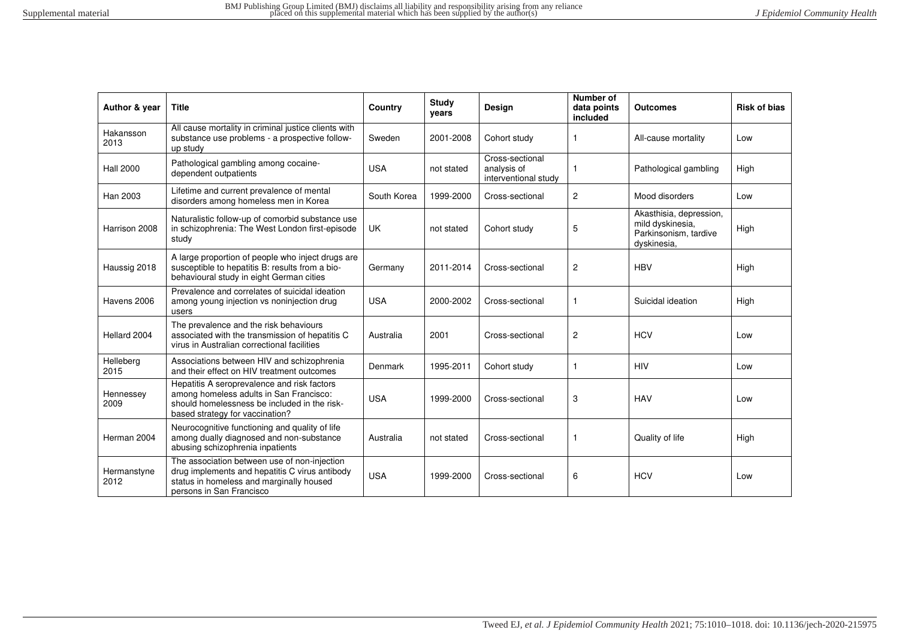| Author & year       | <b>Title</b>                                                                                                                                                              | Country     | <b>Study</b><br>years | Design                                                 | Number of<br>data points<br>included | <b>Outcomes</b>                                                                     | <b>Risk of bias</b> |
|---------------------|---------------------------------------------------------------------------------------------------------------------------------------------------------------------------|-------------|-----------------------|--------------------------------------------------------|--------------------------------------|-------------------------------------------------------------------------------------|---------------------|
| Hakansson<br>2013   | All cause mortality in criminal justice clients with<br>substance use problems - a prospective follow-<br>up study                                                        | Sweden      | 2001-2008             | Cohort study                                           | 1                                    | All-cause mortality                                                                 | Low                 |
| <b>Hall 2000</b>    | Pathological gambling among cocaine-<br>dependent outpatients                                                                                                             | <b>USA</b>  | not stated            | Cross-sectional<br>analysis of<br>interventional study | 1                                    | Pathological gambling                                                               | High                |
| Han 2003            | Lifetime and current prevalence of mental<br>disorders among homeless men in Korea                                                                                        | South Korea | 1999-2000             | Cross-sectional                                        | $\overline{2}$                       | Mood disorders                                                                      | Low                 |
| Harrison 2008       | Naturalistic follow-up of comorbid substance use<br>in schizophrenia: The West London first-episode<br>study                                                              | UK          | not stated            | Cohort study                                           | 5                                    | Akasthisia, depression,<br>mild dyskinesia.<br>Parkinsonism, tardive<br>dyskinesia, | High                |
| Haussig 2018        | A large proportion of people who inject drugs are<br>susceptible to hepatitis B: results from a bio-<br>behavioural study in eight German cities                          | Germany     | 2011-2014             | Cross-sectional                                        | $\mathbf{2}$                         | <b>HBV</b>                                                                          | High                |
| Havens 2006         | Prevalence and correlates of suicidal ideation<br>among young injection vs noninjection drug<br>users                                                                     | <b>USA</b>  | 2000-2002             | Cross-sectional                                        | 1                                    | Suicidal ideation                                                                   | High                |
| Hellard 2004        | The prevalence and the risk behaviours<br>associated with the transmission of hepatitis C<br>virus in Australian correctional facilities                                  | Australia   | 2001                  | Cross-sectional                                        | $\mathbf{2}$                         | <b>HCV</b>                                                                          | Low                 |
| Helleberg<br>2015   | Associations between HIV and schizophrenia<br>and their effect on HIV treatment outcomes                                                                                  | Denmark     | 1995-2011             | Cohort study                                           | 1                                    | <b>HIV</b>                                                                          | Low                 |
| Hennessey<br>2009   | Hepatitis A seroprevalence and risk factors<br>among homeless adults in San Francisco:<br>should homelessness be included in the risk-<br>based strategy for vaccination? | <b>USA</b>  | 1999-2000             | Cross-sectional                                        | 3                                    | <b>HAV</b>                                                                          | Low                 |
| Herman 2004         | Neurocognitive functioning and quality of life<br>among dually diagnosed and non-substance<br>abusing schizophrenia inpatients                                            | Australia   | not stated            | Cross-sectional                                        | 1                                    | Quality of life                                                                     | High                |
| Hermanstyne<br>2012 | The association between use of non-injection<br>drug implements and hepatitis C virus antibody<br>status in homeless and marginally housed<br>persons in San Francisco    | <b>USA</b>  | 1999-2000             | Cross-sectional                                        | 6                                    | <b>HCV</b>                                                                          | Low                 |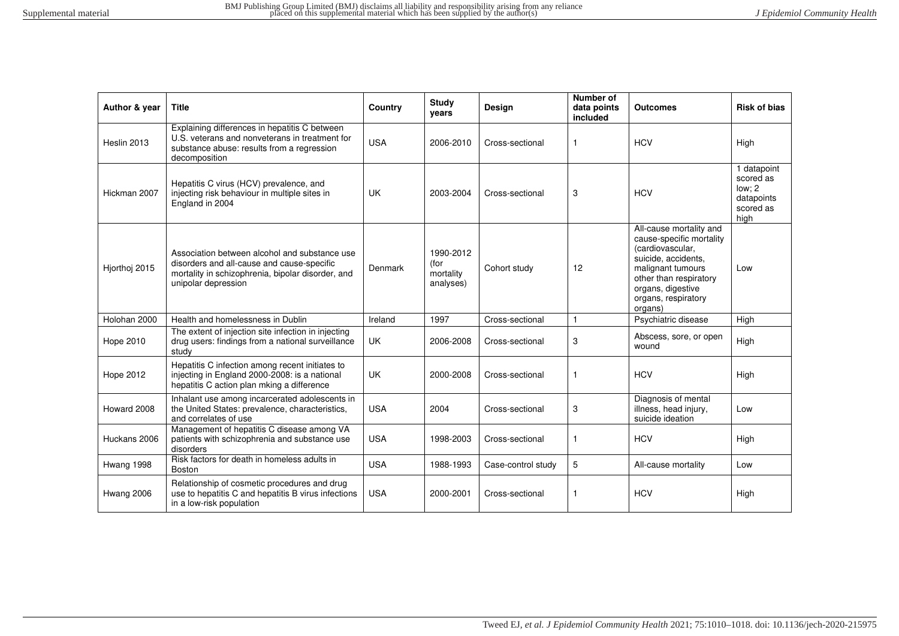| Author & year | <b>Title</b>                                                                                                                                                            | Country    | <b>Study</b><br>years                       | Design             | Number of<br>data points<br>included | <b>Outcomes</b>                                                                                                                                                                                      | <b>Risk of bias</b>                                                   |
|---------------|-------------------------------------------------------------------------------------------------------------------------------------------------------------------------|------------|---------------------------------------------|--------------------|--------------------------------------|------------------------------------------------------------------------------------------------------------------------------------------------------------------------------------------------------|-----------------------------------------------------------------------|
| Heslin 2013   | Explaining differences in hepatitis C between<br>U.S. veterans and nonveterans in treatment for<br>substance abuse: results from a regression<br>decomposition          | <b>USA</b> | 2006-2010                                   | Cross-sectional    | $\mathbf{1}$                         | <b>HCV</b>                                                                                                                                                                                           | High                                                                  |
| Hickman 2007  | Hepatitis C virus (HCV) prevalence, and<br>injecting risk behaviour in multiple sites in<br>England in 2004                                                             | <b>UK</b>  | 2003-2004                                   | Cross-sectional    | 3                                    | <b>HCV</b>                                                                                                                                                                                           | 1 datapoint<br>scored as<br>low: 2<br>datapoints<br>scored as<br>high |
| Hjorthoj 2015 | Association between alcohol and substance use<br>disorders and all-cause and cause-specific<br>mortality in schizophrenia, bipolar disorder, and<br>unipolar depression | Denmark    | 1990-2012<br>(for<br>mortality<br>analyses) | Cohort study       | 12                                   | All-cause mortality and<br>cause-specific mortality<br>(cardiovascular,<br>suicide, accidents,<br>malignant tumours<br>other than respiratory<br>organs, digestive<br>organs, respiratory<br>organs) | Low                                                                   |
| Holohan 2000  | Health and homelessness in Dublin                                                                                                                                       | Ireland    | 1997                                        | Cross-sectional    | $\mathbf{1}$                         | Psychiatric disease                                                                                                                                                                                  | High                                                                  |
| Hope 2010     | The extent of injection site infection in injecting<br>drug users: findings from a national surveillance<br>study                                                       | <b>UK</b>  | 2006-2008                                   | Cross-sectional    | 3                                    | Abscess, sore, or open<br>wound                                                                                                                                                                      | High                                                                  |
| Hope 2012     | Hepatitis C infection among recent initiates to<br>injecting in England 2000-2008: is a national<br>hepatitis C action plan mking a difference                          | <b>UK</b>  | 2000-2008                                   | Cross-sectional    | $\mathbf{1}$                         | <b>HCV</b>                                                                                                                                                                                           | High                                                                  |
| Howard 2008   | Inhalant use among incarcerated adolescents in<br>the United States: prevalence, characteristics,<br>and correlates of use                                              | <b>USA</b> | 2004                                        | Cross-sectional    | 3                                    | Diagnosis of mental<br>illness, head injury,<br>suicide ideation                                                                                                                                     | Low                                                                   |
| Huckans 2006  | Management of hepatitis C disease among VA<br>patients with schizophrenia and substance use<br>disorders                                                                | <b>USA</b> | 1998-2003                                   | Cross-sectional    |                                      | <b>HCV</b>                                                                                                                                                                                           | High                                                                  |
| Hwang 1998    | Risk factors for death in homeless adults in<br>Boston                                                                                                                  | <b>USA</b> | 1988-1993                                   | Case-control study | 5                                    | All-cause mortality                                                                                                                                                                                  | Low                                                                   |
| Hwang 2006    | Relationship of cosmetic procedures and drug<br>use to hepatitis C and hepatitis B virus infections<br>in a low-risk population                                         | <b>USA</b> | 2000-2001                                   | Cross-sectional    | $\mathbf{1}$                         | <b>HCV</b>                                                                                                                                                                                           | High                                                                  |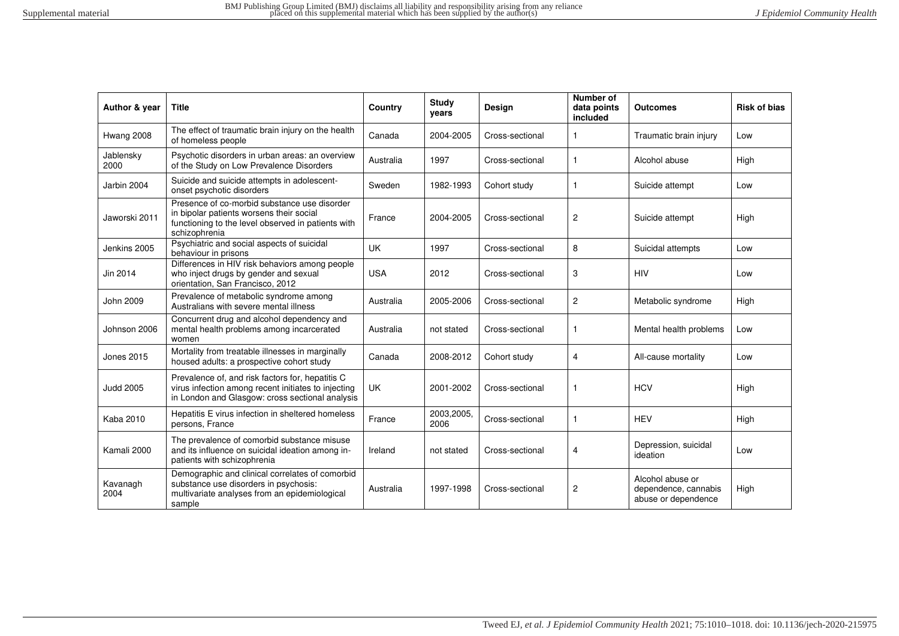| Author & year     | <b>Title</b>                                                                                                                                                    | Country    | <b>Study</b><br>years | Design          | Number of<br>data points<br>included | <b>Outcomes</b>                                                 | <b>Risk of bias</b> |
|-------------------|-----------------------------------------------------------------------------------------------------------------------------------------------------------------|------------|-----------------------|-----------------|--------------------------------------|-----------------------------------------------------------------|---------------------|
| Hwang 2008        | The effect of traumatic brain injury on the health<br>of homeless people                                                                                        | Canada     | 2004-2005             | Cross-sectional | 1                                    | Traumatic brain injury                                          | Low                 |
| Jablensky<br>2000 | Psychotic disorders in urban areas: an overview<br>of the Study on Low Prevalence Disorders                                                                     | Australia  | 1997                  | Cross-sectional | $\mathbf{1}$                         | Alcohol abuse                                                   | High                |
| Jarbin 2004       | Suicide and suicide attempts in adolescent-<br>onset psychotic disorders                                                                                        | Sweden     | 1982-1993             | Cohort study    | -1                                   | Suicide attempt                                                 | Low                 |
| Jaworski 2011     | Presence of co-morbid substance use disorder<br>in bipolar patients worsens their social<br>functioning to the level observed in patients with<br>schizophrenia | France     | 2004-2005             | Cross-sectional | $\overline{2}$                       | Suicide attempt                                                 | High                |
| Jenkins 2005      | Psychiatric and social aspects of suicidal<br>behaviour in prisons                                                                                              | <b>UK</b>  | 1997                  | Cross-sectional | 8                                    | Suicidal attempts                                               | Low                 |
| Jin 2014          | Differences in HIV risk behaviors among people<br>who inject drugs by gender and sexual<br>orientation, San Francisco, 2012                                     | <b>USA</b> | 2012                  | Cross-sectional | 3                                    | <b>HIV</b>                                                      | Low                 |
| John 2009         | Prevalence of metabolic syndrome among<br>Australians with severe mental illness                                                                                | Australia  | 2005-2006             | Cross-sectional | 2                                    | Metabolic syndrome                                              | High                |
| Johnson 2006      | Concurrent drug and alcohol dependency and<br>mental health problems among incarcerated<br>women                                                                | Australia  | not stated            | Cross-sectional | 1                                    | Mental health problems                                          | Low                 |
| Jones 2015        | Mortality from treatable illnesses in marginally<br>housed adults: a prospective cohort study                                                                   | Canada     | 2008-2012             | Cohort study    | $\overline{4}$                       | All-cause mortality                                             | Low                 |
| <b>Judd 2005</b>  | Prevalence of, and risk factors for, hepatitis C<br>virus infection among recent initiates to injecting<br>in London and Glasgow: cross sectional analysis      | UK         | 2001-2002             | Cross-sectional |                                      | <b>HCV</b>                                                      | High                |
| <b>Kaba 2010</b>  | Hepatitis E virus infection in sheltered homeless<br>persons, France                                                                                            | France     | 2003,2005,<br>2006    | Cross-sectional | -1                                   | <b>HEV</b>                                                      | High                |
| Kamali 2000       | The prevalence of comorbid substance misuse<br>and its influence on suicidal ideation among in-<br>patients with schizophrenia                                  | Ireland    | not stated            | Cross-sectional | 4                                    | Depression, suicidal<br>ideation                                | Low                 |
| Kavanagh<br>2004  | Demographic and clinical correlates of comorbid<br>substance use disorders in psychosis:<br>multivariate analyses from an epidemiological<br>sample             | Australia  | 1997-1998             | Cross-sectional | $\overline{2}$                       | Alcohol abuse or<br>dependence, cannabis<br>abuse or dependence | High                |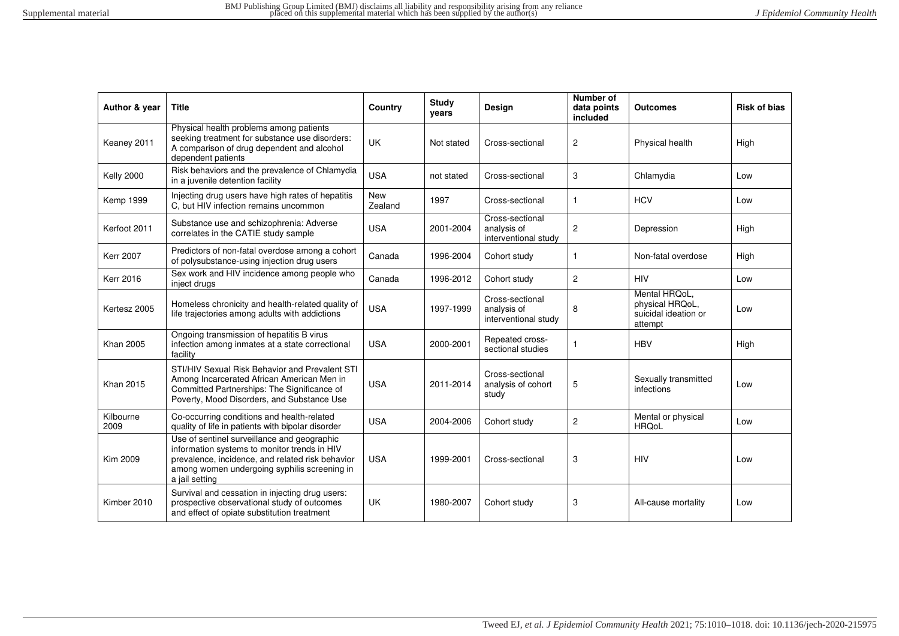| Author & year     | <b>Title</b>                                                                                                                                                                                                      | Country        | <b>Study</b><br>years | Design                                                 | Number of<br>data points<br>included | <b>Outcomes</b>                                                     | <b>Risk of bias</b> |
|-------------------|-------------------------------------------------------------------------------------------------------------------------------------------------------------------------------------------------------------------|----------------|-----------------------|--------------------------------------------------------|--------------------------------------|---------------------------------------------------------------------|---------------------|
| Keaney 2011       | Physical health problems among patients<br>seeking treatment for substance use disorders:<br>A comparison of drug dependent and alcohol<br>dependent patients                                                     | <b>UK</b>      | Not stated            | Cross-sectional                                        | $\overline{c}$                       | Physical health                                                     | High                |
| <b>Kelly 2000</b> | Risk behaviors and the prevalence of Chlamydia<br>in a juvenile detention facility                                                                                                                                | <b>USA</b>     | not stated            | Cross-sectional                                        | 3                                    | Chlamydia                                                           | Low                 |
| <b>Kemp 1999</b>  | Injecting drug users have high rates of hepatitis<br>C, but HIV infection remains uncommon                                                                                                                        | New<br>Zealand | 1997                  | Cross-sectional                                        | 1                                    | <b>HCV</b>                                                          | Low                 |
| Kerfoot 2011      | Substance use and schizophrenia: Adverse<br>correlates in the CATIE study sample                                                                                                                                  | <b>USA</b>     | 2001-2004             | Cross-sectional<br>analysis of<br>interventional study | 2                                    | Depression                                                          | High                |
| <b>Kerr 2007</b>  | Predictors of non-fatal overdose among a cohort<br>of polysubstance-using injection drug users                                                                                                                    | Canada         | 1996-2004             | Cohort study                                           | $\mathbf{1}$                         | Non-fatal overdose                                                  | High                |
| <b>Kerr 2016</b>  | Sex work and HIV incidence among people who<br>inject drugs                                                                                                                                                       | Canada         | 1996-2012             | Cohort study                                           | $\overline{c}$                       | <b>HIV</b>                                                          | Low                 |
| Kertesz 2005      | Homeless chronicity and health-related quality of<br>life trajectories among adults with addictions                                                                                                               | <b>USA</b>     | 1997-1999             | Cross-sectional<br>analysis of<br>interventional study | 8                                    | Mental HRQoL,<br>physical HRQoL,<br>suicidal ideation or<br>attempt | Low                 |
| <b>Khan 2005</b>  | Ongoing transmission of hepatitis B virus<br>infection among inmates at a state correctional<br>facility                                                                                                          | <b>USA</b>     | 2000-2001             | Repeated cross-<br>sectional studies                   |                                      | <b>HBV</b>                                                          | High                |
| <b>Khan 2015</b>  | STI/HIV Sexual Risk Behavior and Prevalent STI<br>Among Incarcerated African American Men in<br>Committed Partnerships: The Significance of<br>Poverty, Mood Disorders, and Substance Use                         | <b>USA</b>     | 2011-2014             | Cross-sectional<br>analysis of cohort<br>study         | 5                                    | Sexually transmitted<br>infections                                  | Low                 |
| Kilbourne<br>2009 | Co-occurring conditions and health-related<br>quality of life in patients with bipolar disorder                                                                                                                   | <b>USA</b>     | 2004-2006             | Cohort study                                           | $\overline{2}$                       | Mental or physical<br><b>HRQoL</b>                                  | Low                 |
| <b>Kim 2009</b>   | Use of sentinel surveillance and geographic<br>information systems to monitor trends in HIV<br>prevalence, incidence, and related risk behavior<br>among women undergoing syphilis screening in<br>a jail setting | <b>USA</b>     | 1999-2001             | Cross-sectional                                        | 3                                    | <b>HIV</b>                                                          | Low                 |
| Kimber 2010       | Survival and cessation in injecting drug users:<br>prospective observational study of outcomes<br>and effect of opiate substitution treatment                                                                     | <b>UK</b>      | 1980-2007             | Cohort study                                           | 3                                    | All-cause mortality                                                 | Low                 |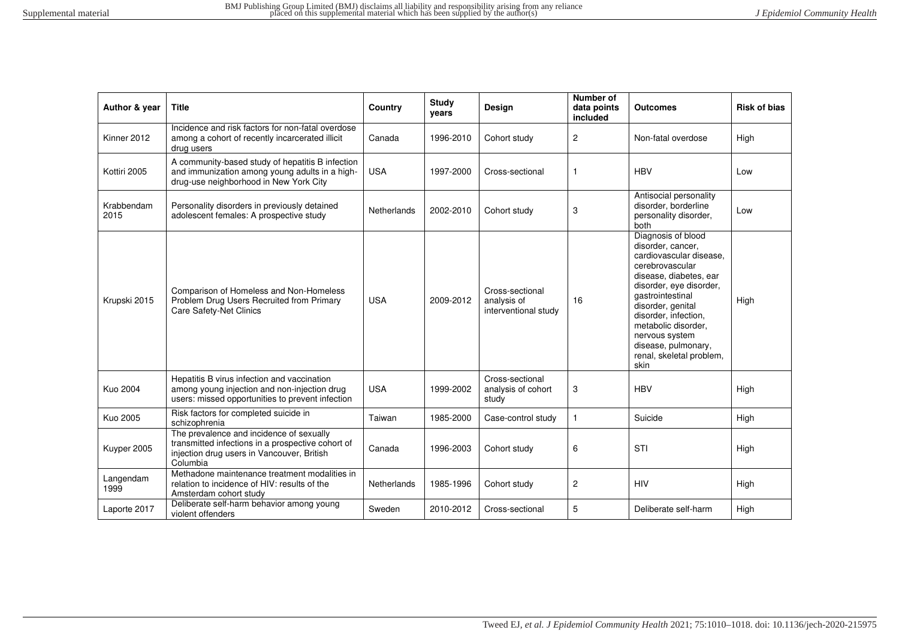| Author & year      | <b>Title</b>                                                                                                                                            | Country     | <b>Study</b><br>vears | Design                                                 | <b>Number of</b><br>data points<br>included | <b>Outcomes</b>                                                                                                                                                                                                                                                                                                 | <b>Risk of bias</b> |
|--------------------|---------------------------------------------------------------------------------------------------------------------------------------------------------|-------------|-----------------------|--------------------------------------------------------|---------------------------------------------|-----------------------------------------------------------------------------------------------------------------------------------------------------------------------------------------------------------------------------------------------------------------------------------------------------------------|---------------------|
| Kinner 2012        | Incidence and risk factors for non-fatal overdose<br>among a cohort of recently incarcerated illicit<br>drug users                                      | Canada      | 1996-2010             | Cohort study                                           | $\mathbf{2}$                                | Non-fatal overdose                                                                                                                                                                                                                                                                                              | High                |
| Kottiri 2005       | A community-based study of hepatitis B infection<br>and immunization among young adults in a high-<br>drug-use neighborhood in New York City            | <b>USA</b>  | 1997-2000             | Cross-sectional                                        | 1                                           | <b>HBV</b>                                                                                                                                                                                                                                                                                                      | Low                 |
| Krabbendam<br>2015 | Personality disorders in previously detained<br>adolescent females: A prospective study                                                                 | Netherlands | 2002-2010             | Cohort study                                           | 3                                           | Antisocial personality<br>disorder, borderline<br>personality disorder,<br>both                                                                                                                                                                                                                                 | Low                 |
| Krupski 2015       | Comparison of Homeless and Non-Homeless<br>Problem Drug Users Recruited from Primary<br>Care Safety-Net Clinics                                         | <b>USA</b>  | 2009-2012             | Cross-sectional<br>analysis of<br>interventional study | 16                                          | Diagnosis of blood<br>disorder, cancer,<br>cardiovascular disease.<br>cerebrovascular<br>disease, diabetes, ear<br>disorder, eye disorder,<br>qastrointestinal<br>disorder, genital<br>disorder, infection,<br>metabolic disorder,<br>nervous system<br>disease, pulmonary,<br>renal, skeletal problem,<br>skin | High                |
| <b>Kuo 2004</b>    | Hepatitis B virus infection and vaccination<br>among young injection and non-injection drug<br>users: missed opportunities to prevent infection         | <b>USA</b>  | 1999-2002             | Cross-sectional<br>analysis of cohort<br>study         | 3                                           | <b>HBV</b>                                                                                                                                                                                                                                                                                                      | High                |
| <b>Kuo 2005</b>    | Risk factors for completed suicide in<br>schizophrenia                                                                                                  | Taiwan      | 1985-2000             | Case-control study                                     | $\mathbf{1}$                                | Suicide                                                                                                                                                                                                                                                                                                         | High                |
| Kuyper 2005        | The prevalence and incidence of sexually<br>transmitted infections in a prospective cohort of<br>injection drug users in Vancouver, British<br>Columbia | Canada      | 1996-2003             | Cohort study                                           | 6                                           | <b>STI</b>                                                                                                                                                                                                                                                                                                      | High                |
| Langendam<br>1999  | Methadone maintenance treatment modalities in<br>relation to incidence of HIV: results of the<br>Amsterdam cohort study                                 | Netherlands | 1985-1996             | Cohort study                                           | $\mathbf{2}$                                | <b>HIV</b>                                                                                                                                                                                                                                                                                                      | High                |
| Laporte 2017       | Deliberate self-harm behavior among young<br>violent offenders                                                                                          | Sweden      | 2010-2012             | Cross-sectional                                        | 5                                           | Deliberate self-harm                                                                                                                                                                                                                                                                                            | High                |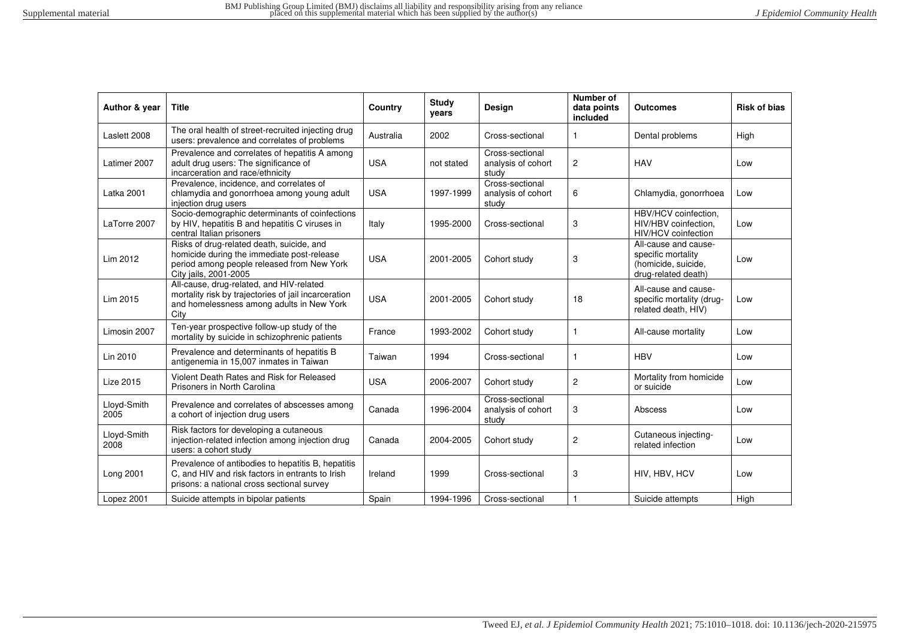| Author & year       | <b>Title</b>                                                                                                                                                   | Country    | <b>Study</b><br>years | Design                                         | Number of<br>data points<br>included | <b>Outcomes</b>                                                                          | <b>Risk of bias</b> |
|---------------------|----------------------------------------------------------------------------------------------------------------------------------------------------------------|------------|-----------------------|------------------------------------------------|--------------------------------------|------------------------------------------------------------------------------------------|---------------------|
| Laslett 2008        | The oral health of street-recruited injecting drug<br>users: prevalence and correlates of problems                                                             | Australia  | 2002                  | Cross-sectional                                | 1                                    | Dental problems                                                                          | High                |
| Latimer 2007        | Prevalence and correlates of hepatitis A among<br>adult drug users: The significance of<br>incarceration and race/ethnicity                                    | <b>USA</b> | not stated            | Cross-sectional<br>analysis of cohort<br>study | $\overline{2}$                       | <b>HAV</b>                                                                               | Low                 |
| Latka 2001          | Prevalence, incidence, and correlates of<br>chlamydia and gonorrhoea among young adult<br>injection drug users                                                 | <b>USA</b> | 1997-1999             | Cross-sectional<br>analysis of cohort<br>study | 6                                    | Chlamydia, gonorrhoea                                                                    | Low                 |
| LaTorre 2007        | Socio-demographic determinants of coinfections<br>by HIV, hepatitis B and hepatitis C viruses in<br>central Italian prisoners                                  | Italy      | 1995-2000             | Cross-sectional                                | 3                                    | HBV/HCV coinfection.<br>HIV/HBV coinfection.<br>HIV/HCV coinfection                      | Low                 |
| Lim 2012            | Risks of drug-related death, suicide, and<br>homicide during the immediate post-release<br>period among people released from New York<br>City jails, 2001-2005 | <b>USA</b> | 2001-2005             | Cohort study                                   | 3                                    | All-cause and cause-<br>specific mortality<br>(homicide, suicide,<br>drug-related death) | Low                 |
| Lim 2015            | All-cause, drug-related, and HIV-related<br>mortality risk by trajectories of jail incarceration<br>and homelessness among adults in New York<br>City          | <b>USA</b> | 2001-2005             | Cohort study                                   | 18                                   | All-cause and cause-<br>specific mortality (drug-<br>related death, HIV)                 | Low                 |
| Limosin 2007        | Ten-year prospective follow-up study of the<br>mortality by suicide in schizophrenic patients                                                                  | France     | 1993-2002             | Cohort study                                   | 1                                    | All-cause mortality                                                                      | Low                 |
| Lin 2010            | Prevalence and determinants of hepatitis B<br>antigenemia in 15,007 inmates in Taiwan                                                                          | Taiwan     | 1994                  | Cross-sectional                                | -1                                   | <b>HBV</b>                                                                               | Low                 |
| <b>Lize 2015</b>    | Violent Death Rates and Risk for Released<br>Prisoners in North Carolina                                                                                       | <b>USA</b> | 2006-2007             | Cohort study                                   | 2                                    | Mortality from homicide<br>or suicide                                                    | Low                 |
| Lloyd-Smith<br>2005 | Prevalence and correlates of abscesses among<br>a cohort of injection drug users                                                                               | Canada     | 1996-2004             | Cross-sectional<br>analysis of cohort<br>study | 3                                    | Abscess                                                                                  | Low                 |
| Lloyd-Smith<br>2008 | Risk factors for developing a cutaneous<br>injection-related infection among injection drug<br>users: a cohort study                                           | Canada     | 2004-2005             | Cohort study                                   | $\overline{2}$                       | Cutaneous injecting-<br>related infection                                                | Low                 |
| Long 2001           | Prevalence of antibodies to hepatitis B, hepatitis<br>C, and HIV and risk factors in entrants to Irish<br>prisons: a national cross sectional survey           | Ireland    | 1999                  | Cross-sectional                                | 3                                    | HIV, HBV, HCV                                                                            | Low                 |
| Lopez 2001          | Suicide attempts in bipolar patients                                                                                                                           | Spain      | 1994-1996             | Cross-sectional                                |                                      | Suicide attempts                                                                         | High                |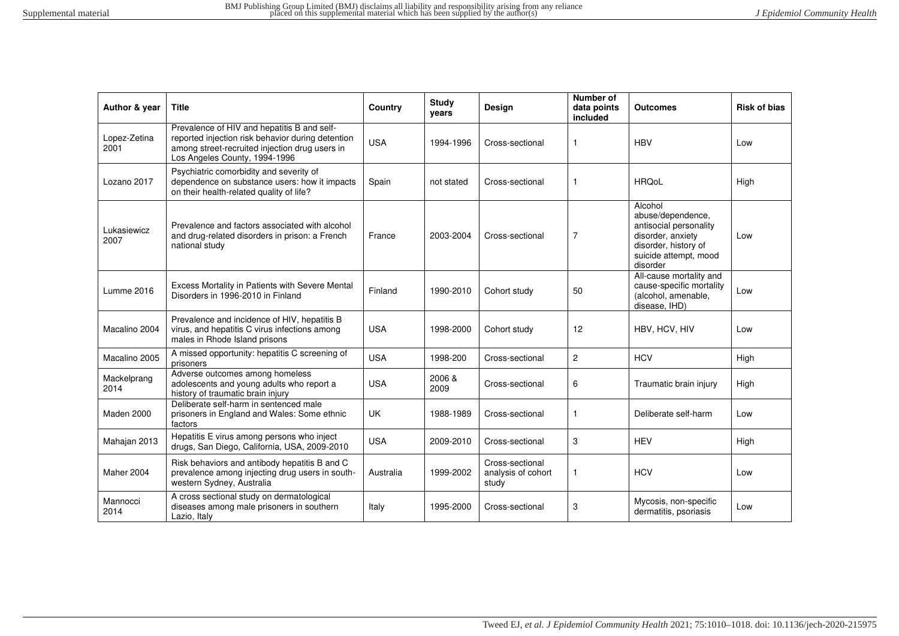| Author & year        | <b>Title</b>                                                                                                                                                                        | Country    | Study<br>years | <b>Design</b>                                  | Number of<br>data points<br>included | <b>Outcomes</b>                                                                                                                          | <b>Risk of bias</b> |
|----------------------|-------------------------------------------------------------------------------------------------------------------------------------------------------------------------------------|------------|----------------|------------------------------------------------|--------------------------------------|------------------------------------------------------------------------------------------------------------------------------------------|---------------------|
| Lopez-Zetina<br>2001 | Prevalence of HIV and hepatitis B and self-<br>reported injection risk behavior during detention<br>among street-recruited injection drug users in<br>Los Angeles County, 1994-1996 | <b>USA</b> | 1994-1996      | Cross-sectional                                | $\mathbf{1}$                         | <b>HBV</b>                                                                                                                               | Low                 |
| Lozano 2017          | Psychiatric comorbidity and severity of<br>dependence on substance users: how it impacts<br>on their health-related quality of life?                                                | Spain      | not stated     | Cross-sectional                                | $\mathbf{1}$                         | <b>HRQoL</b>                                                                                                                             | High                |
| Lukasiewicz<br>2007  | Prevalence and factors associated with alcohol<br>and drug-related disorders in prison: a French<br>national study                                                                  | France     | 2003-2004      | Cross-sectional                                | $\overline{7}$                       | Alcohol<br>abuse/dependence,<br>antisocial personality<br>disorder, anxiety<br>disorder, history of<br>suicide attempt, mood<br>disorder | Low                 |
| Lumme 2016           | Excess Mortality in Patients with Severe Mental<br>Disorders in 1996-2010 in Finland                                                                                                | Finland    | 1990-2010      | Cohort study                                   | 50                                   | All-cause mortality and<br>cause-specific mortality<br>(alcohol, amenable,<br>disease, IHD)                                              | Low                 |
| Macalino 2004        | Prevalence and incidence of HIV, hepatitis B<br>virus, and hepatitis C virus infections among<br>males in Rhode Island prisons                                                      | <b>USA</b> | 1998-2000      | Cohort study                                   | 12                                   | HBV, HCV, HIV                                                                                                                            | Low                 |
| Macalino 2005        | A missed opportunity: hepatitis C screening of<br>prisoners                                                                                                                         | <b>USA</b> | 1998-200       | Cross-sectional                                | 2                                    | <b>HCV</b>                                                                                                                               | High                |
| Mackelprang<br>2014  | Adverse outcomes among homeless<br>adolescents and young adults who report a<br>history of traumatic brain injury                                                                   | <b>USA</b> | 2006 &<br>2009 | Cross-sectional                                | 6                                    | Traumatic brain injury                                                                                                                   | High                |
| Maden 2000           | Deliberate self-harm in sentenced male<br>prisoners in England and Wales: Some ethnic<br>factors                                                                                    | <b>UK</b>  | 1988-1989      | Cross-sectional                                | $\mathbf{1}$                         | Deliberate self-harm                                                                                                                     | Low                 |
| Mahajan 2013         | Hepatitis E virus among persons who inject<br>drugs, San Diego, California, USA, 2009-2010                                                                                          | <b>USA</b> | 2009-2010      | Cross-sectional                                | 3                                    | <b>HEV</b>                                                                                                                               | High                |
| Maher 2004           | Risk behaviors and antibody hepatitis B and C<br>prevalence among injecting drug users in south-<br>western Sydney, Australia                                                       | Australia  | 1999-2002      | Cross-sectional<br>analysis of cohort<br>study | $\mathbf{1}$                         | <b>HCV</b>                                                                                                                               | Low                 |
| Mannocci<br>2014     | A cross sectional study on dermatological<br>diseases among male prisoners in southern<br>Lazio, Italy                                                                              | Italy      | 1995-2000      | Cross-sectional                                | 3                                    | Mycosis, non-specific<br>dermatitis, psoriasis                                                                                           | Low                 |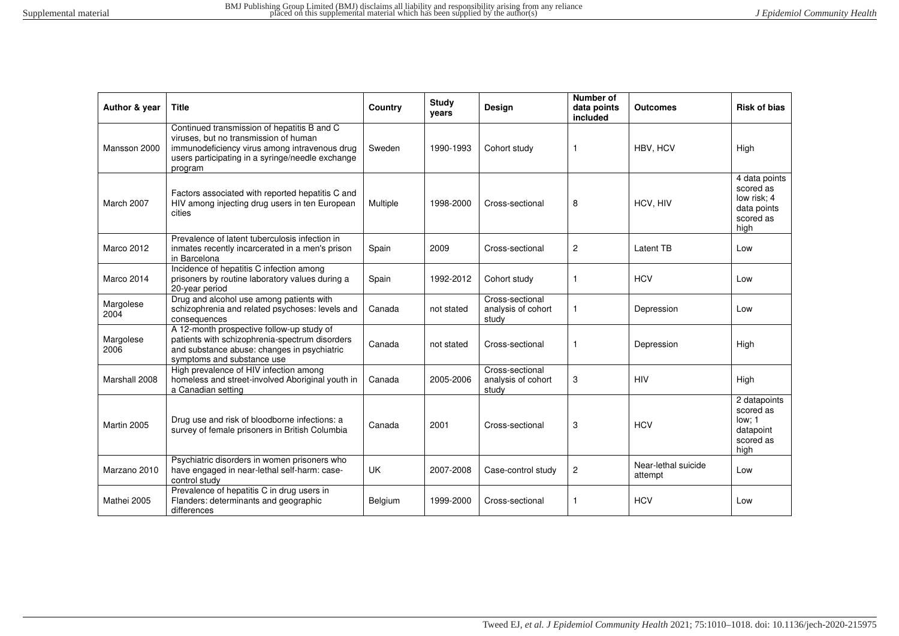| Author & year     | <b>Title</b>                                                                                                                                                                                         | Country  | <b>Study</b><br>years | <b>Design</b>                                  | Number of<br>data points<br>included | <b>Outcomes</b>                | <b>Risk of bias</b>                                                           |
|-------------------|------------------------------------------------------------------------------------------------------------------------------------------------------------------------------------------------------|----------|-----------------------|------------------------------------------------|--------------------------------------|--------------------------------|-------------------------------------------------------------------------------|
| Mansson 2000      | Continued transmission of hepatitis B and C<br>viruses, but no transmission of human<br>immunodeficiency virus among intravenous drug<br>users participating in a syringe/needle exchange<br>program | Sweden   | 1990-1993             | Cohort study                                   | -1                                   | HBV. HCV                       | High                                                                          |
| March 2007        | Factors associated with reported hepatitis C and<br>HIV among injecting drug users in ten European<br>cities                                                                                         | Multiple | 1998-2000             | Cross-sectional                                | 8                                    | HCV, HIV                       | 4 data points<br>scored as<br>low risk: 4<br>data points<br>scored as<br>high |
| Marco 2012        | Prevalence of latent tuberculosis infection in<br>inmates recently incarcerated in a men's prison<br>in Barcelona                                                                                    | Spain    | 2009                  | Cross-sectional                                | $\overline{2}$                       | Latent TB                      | Low                                                                           |
| Marco 2014        | Incidence of hepatitis C infection among<br>prisoners by routine laboratory values during a<br>20-year period                                                                                        | Spain    | 1992-2012             | Cohort study                                   | -1                                   | <b>HCV</b>                     | Low                                                                           |
| Margolese<br>2004 | Drug and alcohol use among patients with<br>schizophrenia and related psychoses: levels and<br>consequences                                                                                          | Canada   | not stated            | Cross-sectional<br>analysis of cohort<br>study | $\mathbf{1}$                         | Depression                     | Low                                                                           |
| Margolese<br>2006 | A 12-month prospective follow-up study of<br>patients with schizophrenia-spectrum disorders<br>and substance abuse: changes in psychiatric<br>symptoms and substance use                             | Canada   | not stated            | Cross-sectional                                | 1                                    | Depression                     | High                                                                          |
| Marshall 2008     | High prevalence of HIV infection among<br>homeless and street-involved Aboriginal youth in<br>a Canadian setting                                                                                     | Canada   | 2005-2006             | Cross-sectional<br>analysis of cohort<br>study | 3                                    | <b>HIV</b>                     | High                                                                          |
| Martin 2005       | Drug use and risk of bloodborne infections: a<br>survey of female prisoners in British Columbia                                                                                                      | Canada   | 2001                  | Cross-sectional                                | 3                                    | <b>HCV</b>                     | 2 datapoints<br>scored as<br>low: 1<br>datapoint<br>scored as<br>high         |
| Marzano 2010      | Psychiatric disorders in women prisoners who<br>have engaged in near-lethal self-harm: case-<br>control study                                                                                        | UK       | 2007-2008             | Case-control study                             | $\overline{c}$                       | Near-lethal suicide<br>attempt | Low                                                                           |
| Mathei 2005       | Prevalence of hepatitis C in drug users in<br>Flanders: determinants and geographic<br>differences                                                                                                   | Belgium  | 1999-2000             | Cross-sectional                                | 1                                    | <b>HCV</b>                     | Low                                                                           |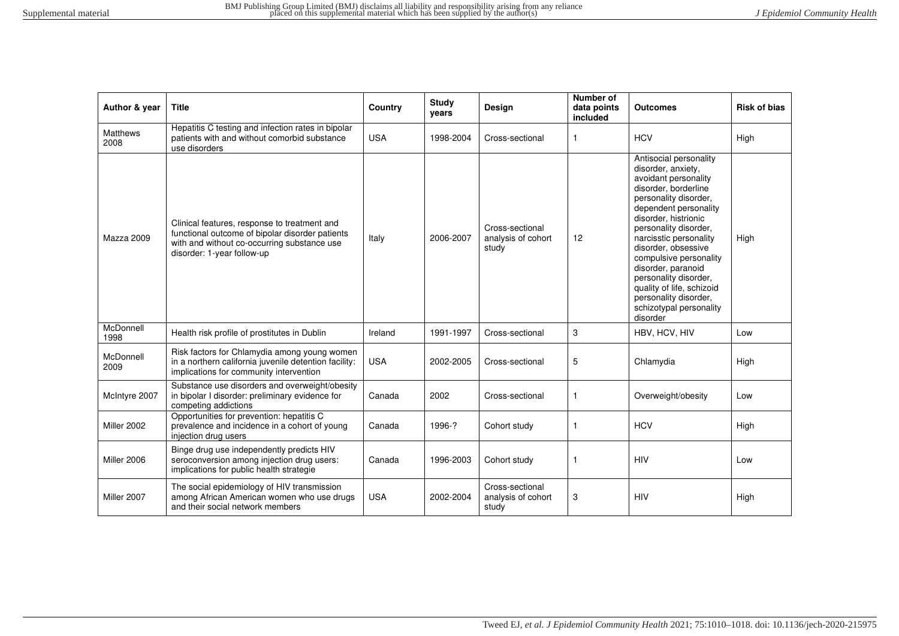| Author & year           | <b>Title</b>                                                                                                                                                                 | Country    | <b>Study</b><br>years | Design                                         | <b>Number of</b><br>data points<br>included | Outcomes                                                                                                                                                                                                                                                                                                                                                                                                               | <b>Risk of bias</b> |
|-------------------------|------------------------------------------------------------------------------------------------------------------------------------------------------------------------------|------------|-----------------------|------------------------------------------------|---------------------------------------------|------------------------------------------------------------------------------------------------------------------------------------------------------------------------------------------------------------------------------------------------------------------------------------------------------------------------------------------------------------------------------------------------------------------------|---------------------|
| <b>Matthews</b><br>2008 | Hepatitis C testing and infection rates in bipolar<br>patients with and without comorbid substance<br>use disorders                                                          | <b>USA</b> | 1998-2004             | Cross-sectional                                | $\mathbf{1}$                                | <b>HCV</b>                                                                                                                                                                                                                                                                                                                                                                                                             | High                |
| Mazza 2009              | Clinical features, response to treatment and<br>functional outcome of bipolar disorder patients<br>with and without co-occurring substance use<br>disorder: 1-year follow-up | Italy      | 2006-2007             | Cross-sectional<br>analysis of cohort<br>study | 12                                          | Antisocial personality<br>disorder, anxiety,<br>avoidant personality<br>disorder, borderline<br>personality disorder,<br>dependent personality<br>disorder, histrionic<br>personality disorder,<br>narcisstic personality<br>disorder, obsessive<br>compulsive personality<br>disorder, paranoid<br>personality disorder,<br>quality of life, schizoid<br>personality disorder,<br>schizotypal personality<br>disorder | High                |
| McDonnell<br>1998       | Health risk profile of prostitutes in Dublin                                                                                                                                 | Ireland    | 1991-1997             | Cross-sectional                                | 3                                           | HBV, HCV, HIV                                                                                                                                                                                                                                                                                                                                                                                                          | Low                 |
| McDonnell<br>2009       | Risk factors for Chlamydia among young women<br>in a northern california juvenile detention facility:<br>implications for community intervention                             | <b>USA</b> | 2002-2005             | Cross-sectional                                | 5                                           | Chlamydia                                                                                                                                                                                                                                                                                                                                                                                                              | High                |
| McIntyre 2007           | Substance use disorders and overweight/obesity<br>in bipolar I disorder: preliminary evidence for<br>competing addictions                                                    | Canada     | 2002                  | Cross-sectional                                | $\mathbf{1}$                                | Overweight/obesity                                                                                                                                                                                                                                                                                                                                                                                                     | Low                 |
| Miller 2002             | Opportunities for prevention: hepatitis C<br>prevalence and incidence in a cohort of young<br>injection drug users                                                           | Canada     | 1996-?                | Cohort study                                   | $\mathbf{1}$                                | <b>HCV</b>                                                                                                                                                                                                                                                                                                                                                                                                             | High                |
| Miller 2006             | Binge drug use independently predicts HIV<br>seroconversion among injection drug users:<br>implications for public health strategie                                          | Canada     | 1996-2003             | Cohort study                                   | $\mathbf{1}$                                | <b>HIV</b>                                                                                                                                                                                                                                                                                                                                                                                                             | Low                 |
| Miller 2007             | The social epidemiology of HIV transmission<br>among African American women who use drugs<br>and their social network members                                                | <b>USA</b> | 2002-2004             | Cross-sectional<br>analysis of cohort<br>study | 3                                           | <b>HIV</b>                                                                                                                                                                                                                                                                                                                                                                                                             | High                |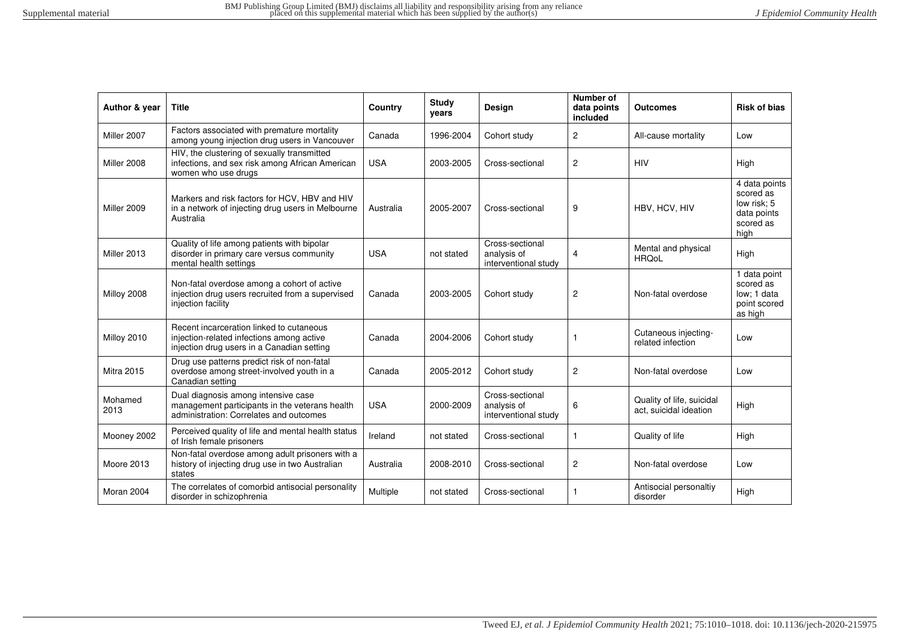| Author & year     | <b>Title</b>                                                                                                                        | Country    | Study<br>years | Design                                                 | Number of<br>data points<br>included | <b>Outcomes</b>                                     | <b>Risk of bias</b>                                                           |
|-------------------|-------------------------------------------------------------------------------------------------------------------------------------|------------|----------------|--------------------------------------------------------|--------------------------------------|-----------------------------------------------------|-------------------------------------------------------------------------------|
| Miller 2007       | Factors associated with premature mortality<br>among young injection drug users in Vancouver                                        | Canada     | 1996-2004      | Cohort study                                           | 2                                    | All-cause mortality                                 | Low                                                                           |
| Miller 2008       | HIV, the clustering of sexually transmitted<br>infections, and sex risk among African American<br>women who use drugs               | <b>USA</b> | 2003-2005      | Cross-sectional                                        | 2                                    | <b>HIV</b>                                          | High                                                                          |
| Miller 2009       | Markers and risk factors for HCV, HBV and HIV<br>in a network of injecting drug users in Melbourne<br>Australia                     | Australia  | 2005-2007      | Cross-sectional                                        | 9                                    | HBV, HCV, HIV                                       | 4 data points<br>scored as<br>low risk; 5<br>data points<br>scored as<br>high |
| Miller 2013       | Quality of life among patients with bipolar<br>disorder in primary care versus community<br>mental health settings                  | <b>USA</b> | not stated     | Cross-sectional<br>analysis of<br>interventional study | 4                                    | Mental and physical<br><b>HRQoL</b>                 | High                                                                          |
| Milloy 2008       | Non-fatal overdose among a cohort of active<br>injection drug users recruited from a supervised<br>injection facility               | Canada     | 2003-2005      | Cohort study                                           | $\overline{2}$                       | Non-fatal overdose                                  | 1 data point<br>scored as<br>low: 1 data<br>point scored<br>as high           |
| Milloy 2010       | Recent incarceration linked to cutaneous<br>injection-related infections among active<br>injection drug users in a Canadian setting | Canada     | 2004-2006      | Cohort study                                           | 1                                    | Cutaneous injecting-<br>related infection           | Low                                                                           |
| <b>Mitra 2015</b> | Drug use patterns predict risk of non-fatal<br>overdose among street-involved youth in a<br>Canadian setting                        | Canada     | 2005-2012      | Cohort study                                           | 2                                    | Non-fatal overdose                                  | Low                                                                           |
| Mohamed<br>2013   | Dual diagnosis among intensive case<br>management participants in the veterans health<br>administration: Correlates and outcomes    | <b>USA</b> | 2000-2009      | Cross-sectional<br>analysis of<br>interventional study | 6                                    | Quality of life, suicidal<br>act, suicidal ideation | High                                                                          |
| Mooney 2002       | Perceived quality of life and mental health status<br>of Irish female prisoners                                                     | Ireland    | not stated     | Cross-sectional                                        | 1                                    | Quality of life                                     | High                                                                          |
| Moore 2013        | Non-fatal overdose among adult prisoners with a<br>history of injecting drug use in two Australian<br>states                        | Australia  | 2008-2010      | Cross-sectional                                        | $\mathbf{2}$                         | Non-fatal overdose                                  | Low                                                                           |
| Moran 2004        | The correlates of comorbid antisocial personality<br>disorder in schizophrenia                                                      | Multiple   | not stated     | Cross-sectional                                        | 1                                    | Antisocial personaltiy<br>disorder                  | High                                                                          |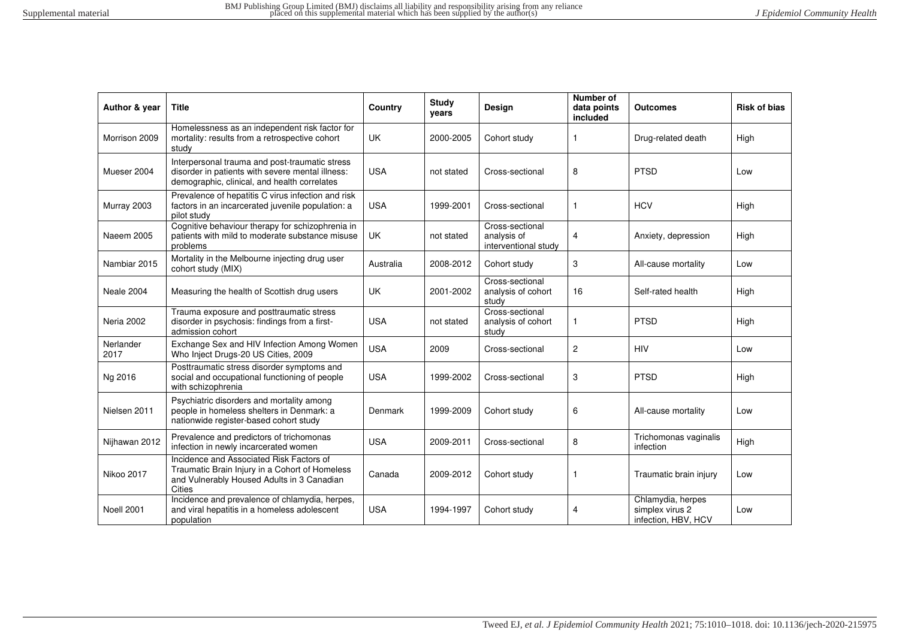| Author & year     | <b>Title</b>                                                                                                                                       | Country    | <b>Study</b><br>vears | Design                                                 | Number of<br>data points<br>included | <b>Outcomes</b>                                             | <b>Risk of bias</b> |
|-------------------|----------------------------------------------------------------------------------------------------------------------------------------------------|------------|-----------------------|--------------------------------------------------------|--------------------------------------|-------------------------------------------------------------|---------------------|
| Morrison 2009     | Homelessness as an independent risk factor for<br>mortality: results from a retrospective cohort<br>study                                          | <b>UK</b>  | 2000-2005             | Cohort study                                           | 1                                    | Drug-related death                                          | High                |
| Mueser 2004       | Interpersonal trauma and post-traumatic stress<br>disorder in patients with severe mental illness:<br>demographic, clinical, and health correlates | <b>USA</b> | not stated            | Cross-sectional                                        | 8                                    | <b>PTSD</b>                                                 | Low                 |
| Murray 2003       | Prevalence of hepatitis C virus infection and risk<br>factors in an incarcerated juvenile population: a<br>pilot study                             | <b>USA</b> | 1999-2001             | Cross-sectional                                        |                                      | <b>HCV</b>                                                  | High                |
| <b>Naeem 2005</b> | Cognitive behaviour therapy for schizophrenia in<br>patients with mild to moderate substance misuse<br>problems                                    | UK         | not stated            | Cross-sectional<br>analysis of<br>interventional study | $\overline{4}$                       | Anxiety, depression                                         | High                |
| Nambiar 2015      | Mortality in the Melbourne injecting drug user<br>cohort study (MIX)                                                                               | Australia  | 2008-2012             | Cohort study                                           | 3                                    | All-cause mortality                                         | Low                 |
| Neale 2004        | Measuring the health of Scottish drug users                                                                                                        | UK         | 2001-2002             | Cross-sectional<br>analysis of cohort<br>study         | 16                                   | Self-rated health                                           | High                |
| Neria 2002        | Trauma exposure and posttraumatic stress<br>disorder in psychosis: findings from a first-<br>admission cohort                                      | <b>USA</b> | not stated            | Cross-sectional<br>analysis of cohort<br>study         | 1                                    | <b>PTSD</b>                                                 | High                |
| Nerlander<br>2017 | Exchange Sex and HIV Infection Among Women<br>Who Inject Drugs-20 US Cities, 2009                                                                  | <b>USA</b> | 2009                  | Cross-sectional                                        | 2                                    | <b>HIV</b>                                                  | Low                 |
| Ng 2016           | Posttraumatic stress disorder symptoms and<br>social and occupational functioning of people<br>with schizophrenia                                  | <b>USA</b> | 1999-2002             | Cross-sectional                                        | 3                                    | <b>PTSD</b>                                                 | High                |
| Nielsen 2011      | Psychiatric disorders and mortality among<br>people in homeless shelters in Denmark: a<br>nationwide register-based cohort study                   | Denmark    | 1999-2009             | Cohort study                                           | 6                                    | All-cause mortality                                         | Low                 |
| Nijhawan 2012     | Prevalence and predictors of trichomonas<br>infection in newly incarcerated women                                                                  | <b>USA</b> | 2009-2011             | Cross-sectional                                        | 8                                    | Trichomonas vaginalis<br>infection                          | High                |
| Nikoo 2017        | Incidence and Associated Risk Factors of<br>Traumatic Brain Injury in a Cohort of Homeless<br>and Vulnerably Housed Adults in 3 Canadian<br>Cities | Canada     | 2009-2012             | Cohort study                                           | 1                                    | Traumatic brain injury                                      | Low                 |
| <b>Noell 2001</b> | Incidence and prevalence of chlamydia, herpes,<br>and viral hepatitis in a homeless adolescent<br>population                                       | <b>USA</b> | 1994-1997             | Cohort study                                           | $\overline{4}$                       | Chlamydia, herpes<br>simplex virus 2<br>infection, HBV, HCV | Low                 |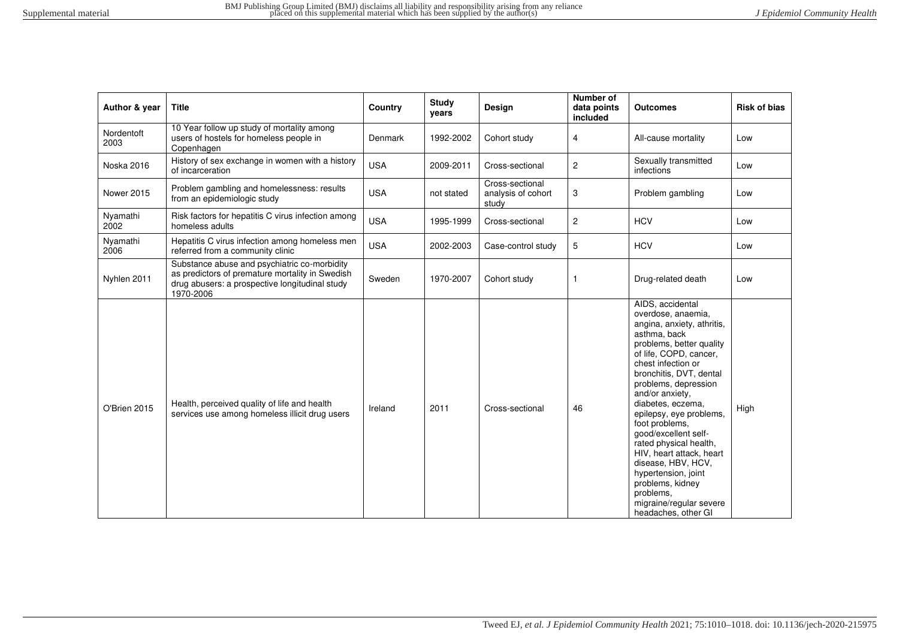| Author & year      | <b>Title</b>                                                                                                                                                   | Country    | <b>Study</b><br>years | <b>Design</b>                                  | Number of<br>data points<br>included | <b>Outcomes</b>                                                                                                                                                                                                                                                                                                                                                                                                                                                                                                        | <b>Risk of bias</b> |
|--------------------|----------------------------------------------------------------------------------------------------------------------------------------------------------------|------------|-----------------------|------------------------------------------------|--------------------------------------|------------------------------------------------------------------------------------------------------------------------------------------------------------------------------------------------------------------------------------------------------------------------------------------------------------------------------------------------------------------------------------------------------------------------------------------------------------------------------------------------------------------------|---------------------|
| Nordentoft<br>2003 | 10 Year follow up study of mortality among<br>users of hostels for homeless people in<br>Copenhagen                                                            | Denmark    | 1992-2002             | Cohort study                                   | 4                                    | All-cause mortality                                                                                                                                                                                                                                                                                                                                                                                                                                                                                                    | Low                 |
| <b>Noska 2016</b>  | History of sex exchange in women with a history<br>of incarceration                                                                                            | <b>USA</b> | 2009-2011             | Cross-sectional                                | $\overline{c}$                       | Sexually transmitted<br>infections                                                                                                                                                                                                                                                                                                                                                                                                                                                                                     | Low                 |
| <b>Nower 2015</b>  | Problem gambling and homelessness: results<br>from an epidemiologic study                                                                                      | <b>USA</b> | not stated            | Cross-sectional<br>analysis of cohort<br>study | 3                                    | Problem gambling                                                                                                                                                                                                                                                                                                                                                                                                                                                                                                       | Low                 |
| Nyamathi<br>2002   | Risk factors for hepatitis C virus infection among<br>homeless adults                                                                                          | <b>USA</b> | 1995-1999             | Cross-sectional                                | $\overline{c}$                       | <b>HCV</b>                                                                                                                                                                                                                                                                                                                                                                                                                                                                                                             | Low                 |
| Nyamathi<br>2006   | Hepatitis C virus infection among homeless men<br>referred from a community clinic                                                                             | <b>USA</b> | 2002-2003             | Case-control study                             | 5                                    | <b>HCV</b>                                                                                                                                                                                                                                                                                                                                                                                                                                                                                                             | Low                 |
| Nyhlen 2011        | Substance abuse and psychiatric co-morbidity<br>as predictors of premature mortality in Swedish<br>drug abusers: a prospective longitudinal study<br>1970-2006 | Sweden     | 1970-2007             | Cohort study                                   | $\mathbf{1}$                         | Drug-related death                                                                                                                                                                                                                                                                                                                                                                                                                                                                                                     | Low                 |
| O'Brien 2015       | Health, perceived quality of life and health<br>services use among homeless illicit drug users                                                                 | Ireland    | 2011                  | Cross-sectional                                | 46                                   | AIDS, accidental<br>overdose, anaemia,<br>angina, anxiety, athritis,<br>asthma, back<br>problems, better quality<br>of life, COPD, cancer,<br>chest infection or<br>bronchitis, DVT, dental<br>problems, depression<br>and/or anxiety.<br>diabetes, eczema,<br>epilepsy, eye problems,<br>foot problems,<br>good/excellent self-<br>rated physical health,<br>HIV, heart attack, heart<br>disease, HBV, HCV,<br>hypertension, joint<br>problems, kidney<br>problems.<br>migraine/regular severe<br>headaches, other GI | High                |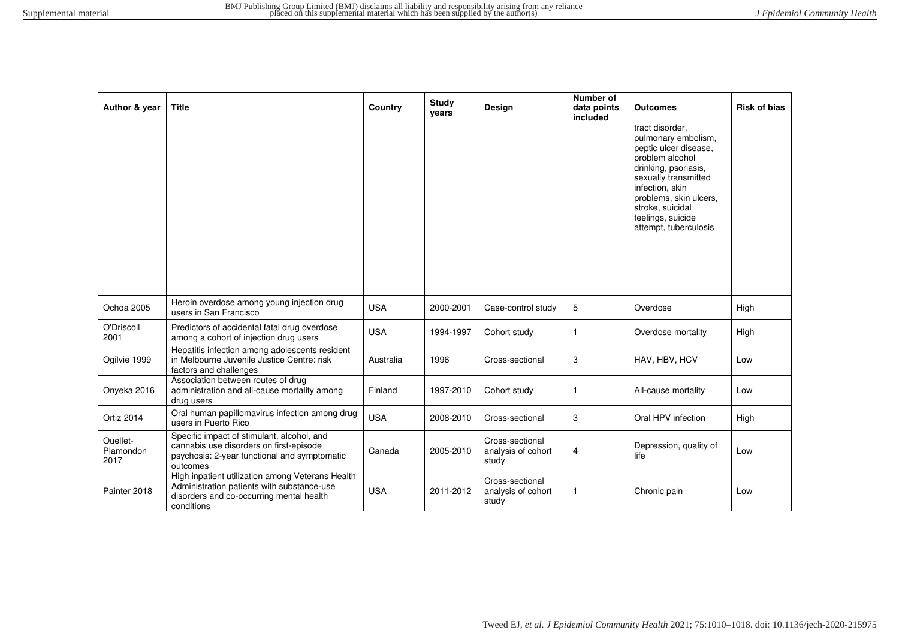| Author & year                 | <b>Title</b>                                                                                                                                             | Country    | Study<br>years | Design                                         | Number of<br>data points<br>included | <b>Outcomes</b>                                                                                                                                                                                                                                   | <b>Risk of bias</b> |
|-------------------------------|----------------------------------------------------------------------------------------------------------------------------------------------------------|------------|----------------|------------------------------------------------|--------------------------------------|---------------------------------------------------------------------------------------------------------------------------------------------------------------------------------------------------------------------------------------------------|---------------------|
|                               |                                                                                                                                                          |            |                |                                                |                                      | tract disorder.<br>pulmonary embolism,<br>peptic ulcer disease.<br>problem alcohol<br>drinking, psoriasis,<br>sexually transmitted<br>infection, skin<br>problems, skin ulcers,<br>stroke, suicidal<br>feelings, suicide<br>attempt, tuberculosis |                     |
| Ochoa 2005                    | Heroin overdose among young injection drug<br>users in San Francisco                                                                                     | <b>USA</b> | 2000-2001      | Case-control study                             | 5                                    | Overdose                                                                                                                                                                                                                                          | High                |
| O'Driscoll<br>2001            | Predictors of accidental fatal drug overdose<br>among a cohort of injection drug users                                                                   | <b>USA</b> | 1994-1997      | Cohort study                                   | $\mathbf{1}$                         | Overdose mortality                                                                                                                                                                                                                                | High                |
| Ogilvie 1999                  | Hepatitis infection among adolescents resident<br>in Melbourne Juvenile Justice Centre: risk<br>factors and challenges                                   | Australia  | 1996           | Cross-sectional                                | 3                                    | HAV, HBV, HCV                                                                                                                                                                                                                                     | Low                 |
| Onyeka 2016                   | Association between routes of drug<br>administration and all-cause mortality among<br>drug users                                                         | Finland    | 1997-2010      | Cohort study                                   | 1                                    | All-cause mortality                                                                                                                                                                                                                               | Low                 |
| Ortiz 2014                    | Oral human papillomavirus infection among drug<br>users in Puerto Rico                                                                                   | <b>USA</b> | 2008-2010      | Cross-sectional                                | 3                                    | Oral HPV infection                                                                                                                                                                                                                                | High                |
| Ouellet-<br>Plamondon<br>2017 | Specific impact of stimulant, alcohol, and<br>cannabis use disorders on first-episode<br>psychosis: 2-year functional and symptomatic<br>outcomes        | Canada     | 2005-2010      | Cross-sectional<br>analysis of cohort<br>study | 4                                    | Depression, quality of<br>life                                                                                                                                                                                                                    | Low                 |
| Painter 2018                  | High inpatient utilization among Veterans Health<br>Administration patients with substance-use<br>disorders and co-occurring mental health<br>conditions | <b>USA</b> | 2011-2012      | Cross-sectional<br>analysis of cohort<br>study | 1                                    | Chronic pain                                                                                                                                                                                                                                      | Low                 |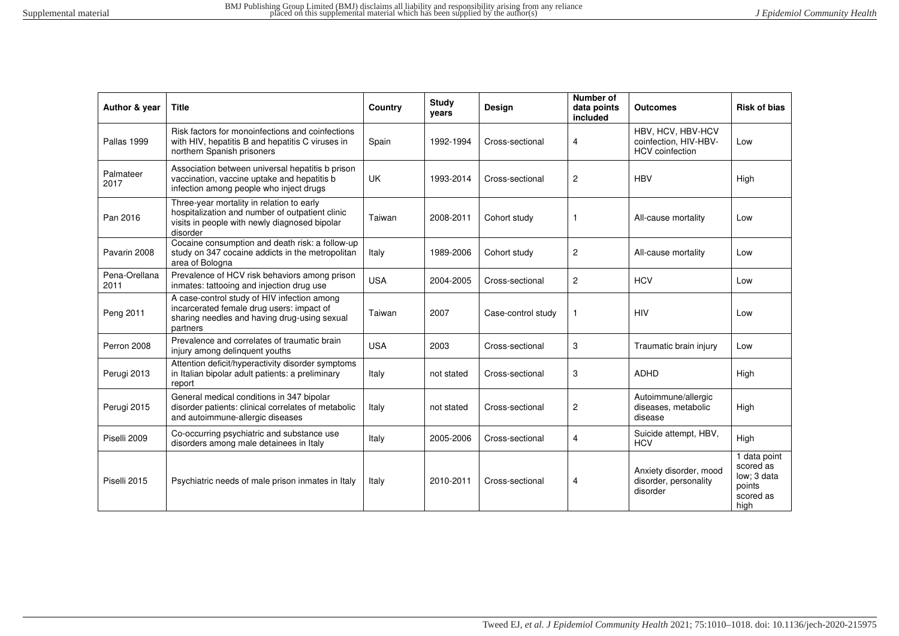| Author & year         | <b>Title</b>                                                                                                                                              | Country    | <b>Study</b><br>years | Design             | Number of<br>data points<br>included | <b>Outcomes</b>                                                      | <b>Risk of bias</b>                                                     |
|-----------------------|-----------------------------------------------------------------------------------------------------------------------------------------------------------|------------|-----------------------|--------------------|--------------------------------------|----------------------------------------------------------------------|-------------------------------------------------------------------------|
| Pallas 1999           | Risk factors for monoinfections and coinfections<br>with HIV, hepatitis B and hepatitis C viruses in<br>northern Spanish prisoners                        | Spain      | 1992-1994             | Cross-sectional    | $\overline{4}$                       | HBV, HCV, HBV-HCV<br>coinfection, HIV-HBV-<br><b>HCV</b> coinfection | Low                                                                     |
| Palmateer<br>2017     | Association between universal hepatitis b prison<br>vaccination, vaccine uptake and hepatitis b<br>infection among people who inject drugs                | <b>UK</b>  | 1993-2014             | Cross-sectional    | $\overline{2}$                       | HBV                                                                  | High                                                                    |
| Pan 2016              | Three-year mortality in relation to early<br>hospitalization and number of outpatient clinic<br>visits in people with newly diagnosed bipolar<br>disorder | Taiwan     | 2008-2011             | Cohort study       | 1                                    | All-cause mortality                                                  | Low                                                                     |
| Pavarin 2008          | Cocaine consumption and death risk: a follow-up<br>study on 347 cocaine addicts in the metropolitan<br>area of Bologna                                    | Italy      | 1989-2006             | Cohort study       | 2                                    | All-cause mortality                                                  | Low                                                                     |
| Pena-Orellana<br>2011 | Prevalence of HCV risk behaviors among prison<br>inmates: tattooing and injection drug use                                                                | <b>USA</b> | 2004-2005             | Cross-sectional    | $\overline{2}$                       | <b>HCV</b>                                                           | Low                                                                     |
| Peng 2011             | A case-control study of HIV infection among<br>incarcerated female drug users: impact of<br>sharing needles and having drug-using sexual<br>partners      | Taiwan     | 2007                  | Case-control study | $\mathbf{1}$                         | <b>HIV</b>                                                           | Low                                                                     |
| Perron 2008           | Prevalence and correlates of traumatic brain<br>injury among delinquent youths                                                                            | <b>USA</b> | 2003                  | Cross-sectional    | 3                                    | Traumatic brain injury                                               | Low                                                                     |
| Perugi 2013           | Attention deficit/hyperactivity disorder symptoms<br>in Italian bipolar adult patients: a preliminary<br>report                                           | Italy      | not stated            | Cross-sectional    | 3                                    | <b>ADHD</b>                                                          | High                                                                    |
| Perugi 2015           | General medical conditions in 347 bipolar<br>disorder patients: clinical correlates of metabolic<br>and autoimmune-allergic diseases                      | Italy      | not stated            | Cross-sectional    | 2                                    | Autoimmune/allergic<br>diseases, metabolic<br>disease                | High                                                                    |
| Piselli 2009          | Co-occurring psychiatric and substance use<br>disorders among male detainees in Italy                                                                     | Italy      | 2005-2006             | Cross-sectional    | $\overline{4}$                       | Suicide attempt, HBV,<br><b>HCV</b>                                  | High                                                                    |
| Piselli 2015          | Psychiatric needs of male prison inmates in Italy                                                                                                         | Italy      | 2010-2011             | Cross-sectional    | 4                                    | Anxiety disorder, mood<br>disorder, personality<br>disorder          | 1 data point<br>scored as<br>low: 3 data<br>points<br>scored as<br>high |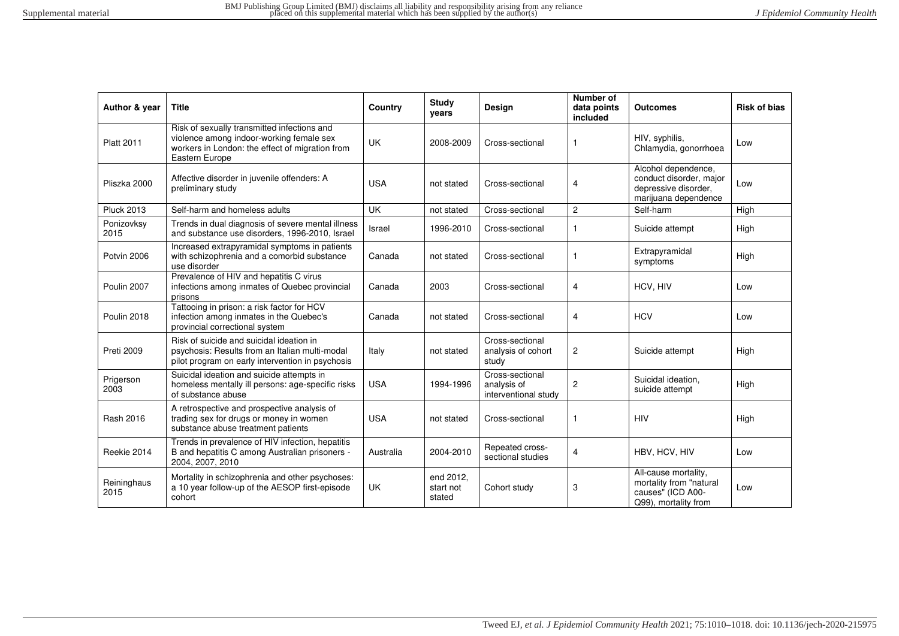| Author & year       | <b>Title</b>                                                                                                                                                 | Country    | <b>Study</b><br>vears            | <b>Design</b>                                          | Number of<br>data points<br>included | Outcomes                                                                                       | <b>Risk of bias</b> |
|---------------------|--------------------------------------------------------------------------------------------------------------------------------------------------------------|------------|----------------------------------|--------------------------------------------------------|--------------------------------------|------------------------------------------------------------------------------------------------|---------------------|
| <b>Platt 2011</b>   | Risk of sexually transmitted infections and<br>violence among indoor-working female sex<br>workers in London: the effect of migration from<br>Eastern Europe | <b>UK</b>  | 2008-2009                        | Cross-sectional                                        | $\mathbf{1}$                         | HIV, syphilis,<br>Chlamydia, gonorrhoea                                                        | Low                 |
| Pliszka 2000        | Affective disorder in juvenile offenders: A<br>preliminary study                                                                                             | <b>USA</b> | not stated                       | Cross-sectional                                        | 4                                    | Alcohol dependence,<br>conduct disorder, major<br>depressive disorder,<br>marijuana dependence | Low                 |
| <b>Pluck 2013</b>   | Self-harm and homeless adults                                                                                                                                | <b>UK</b>  | not stated                       | Cross-sectional                                        | $\overline{c}$                       | Self-harm                                                                                      | High                |
| Ponizovksy<br>2015  | Trends in dual diagnosis of severe mental illness<br>and substance use disorders, 1996-2010, Israel                                                          | Israel     | 1996-2010                        | Cross-sectional                                        | -1                                   | Suicide attempt                                                                                | High                |
| Potvin 2006         | Increased extrapyramidal symptoms in patients<br>with schizophrenia and a comorbid substance<br>use disorder                                                 | Canada     | not stated                       | Cross-sectional                                        |                                      | Extrapyramidal<br>symptoms                                                                     | High                |
| Poulin 2007         | Prevalence of HIV and hepatitis C virus<br>infections among inmates of Quebec provincial<br>prisons                                                          | Canada     | 2003                             | Cross-sectional                                        | 4                                    | HCV, HIV                                                                                       | Low                 |
| Poulin 2018         | Tattooing in prison: a risk factor for HCV<br>infection among inmates in the Quebec's<br>provincial correctional system                                      | Canada     | not stated                       | Cross-sectional                                        | 4                                    | <b>HCV</b>                                                                                     | Low                 |
| Preti 2009          | Risk of suicide and suicidal ideation in<br>psychosis: Results from an Italian multi-modal<br>pilot program on early intervention in psychosis               | Italy      | not stated                       | Cross-sectional<br>analysis of cohort<br>study         | $\overline{c}$                       | Suicide attempt                                                                                | High                |
| Prigerson<br>2003   | Suicidal ideation and suicide attempts in<br>homeless mentally ill persons: age-specific risks<br>of substance abuse                                         | <b>USA</b> | 1994-1996                        | Cross-sectional<br>analysis of<br>interventional study | $\overline{2}$                       | Suicidal ideation,<br>suicide attempt                                                          | High                |
| Rash 2016           | A retrospective and prospective analysis of<br>trading sex for drugs or money in women<br>substance abuse treatment patients                                 | <b>USA</b> | not stated                       | Cross-sectional                                        |                                      | <b>HIV</b>                                                                                     | High                |
| Reekie 2014         | Trends in prevalence of HIV infection, hepatitis<br>B and hepatitis C among Australian prisoners -<br>2004, 2007, 2010                                       | Australia  | 2004-2010                        | Repeated cross-<br>sectional studies                   | 4                                    | HBV, HCV, HIV                                                                                  | Low                 |
| Reininghaus<br>2015 | Mortality in schizophrenia and other psychoses:<br>a 10 year follow-up of the AESOP first-episode<br>cohort                                                  | <b>UK</b>  | end 2012,<br>start not<br>stated | Cohort study                                           | 3                                    | All-cause mortality,<br>mortality from "natural<br>causes" (ICD A00-<br>Q99), mortality from   | Low                 |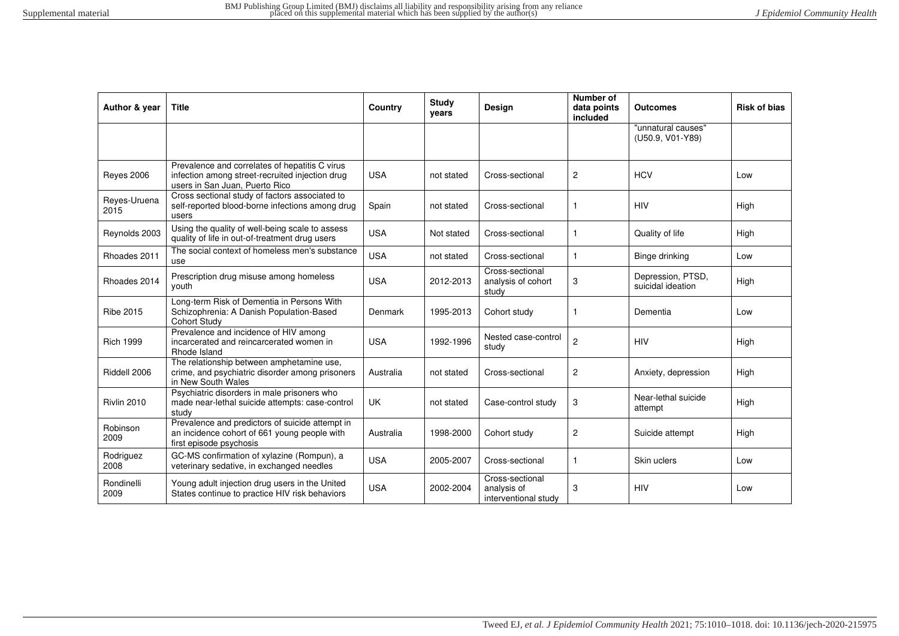| Author & year        | <b>Title</b>                                                                                                                        | Country    | <b>Study</b><br>years | Design                                                 | Number of<br>data points<br>included | <b>Outcomes</b>                        | <b>Risk of bias</b> |
|----------------------|-------------------------------------------------------------------------------------------------------------------------------------|------------|-----------------------|--------------------------------------------------------|--------------------------------------|----------------------------------------|---------------------|
|                      |                                                                                                                                     |            |                       |                                                        |                                      | "unnatural causes"<br>(U50.9, V01-Y89) |                     |
| Reyes 2006           | Prevalence and correlates of hepatitis C virus<br>infection among street-recruited injection drug<br>users in San Juan, Puerto Rico | <b>USA</b> | not stated            | Cross-sectional                                        | $\overline{c}$                       | <b>HCV</b>                             | Low                 |
| Reves-Uruena<br>2015 | Cross sectional study of factors associated to<br>self-reported blood-borne infections among drug<br>users                          | Spain      | not stated            | Cross-sectional                                        | $\mathbf{1}$                         | <b>HIV</b>                             | High                |
| Reynolds 2003        | Using the quality of well-being scale to assess<br>quality of life in out-of-treatment drug users                                   | <b>USA</b> | Not stated            | Cross-sectional                                        |                                      | Quality of life                        | High                |
| Rhoades 2011         | The social context of homeless men's substance<br>use                                                                               | <b>USA</b> | not stated            | Cross-sectional                                        | $\mathbf{1}$                         | Binge drinking                         | Low                 |
| Rhoades 2014         | Prescription drug misuse among homeless<br>youth                                                                                    | <b>USA</b> | 2012-2013             | Cross-sectional<br>analysis of cohort<br>study         | 3                                    | Depression, PTSD,<br>suicidal ideation | High                |
| <b>Ribe 2015</b>     | Long-term Risk of Dementia in Persons With<br>Schizophrenia: A Danish Population-Based<br><b>Cohort Study</b>                       | Denmark    | 1995-2013             | Cohort study                                           | 1                                    | Dementia                               | Low                 |
| <b>Rich 1999</b>     | Prevalence and incidence of HIV among<br>incarcerated and reincarcerated women in<br>Rhode Island                                   | <b>USA</b> | 1992-1996             | Nested case-control<br>study                           | $\overline{c}$                       | <b>HIV</b>                             | High                |
| Riddell 2006         | The relationship between amphetamine use,<br>crime, and psychiatric disorder among prisoners<br>in New South Wales                  | Australia  | not stated            | Cross-sectional                                        | $\overline{c}$                       | Anxiety, depression                    | High                |
| Rivlin 2010          | Psychiatric disorders in male prisoners who<br>made near-lethal suicide attempts: case-control<br>study                             | UK         | not stated            | Case-control study                                     | 3                                    | Near-lethal suicide<br>attempt         | High                |
| Robinson<br>2009     | Prevalence and predictors of suicide attempt in<br>an incidence cohort of 661 young people with<br>first episode psychosis          | Australia  | 1998-2000             | Cohort study                                           | $\overline{c}$                       | Suicide attempt                        | High                |
| Rodriguez<br>2008    | GC-MS confirmation of xylazine (Rompun), a<br>veterinary sedative, in exchanged needles                                             | <b>USA</b> | 2005-2007             | Cross-sectional                                        | 1                                    | Skin uclers                            | Low                 |
| Rondinelli<br>2009   | Young adult injection drug users in the United<br>States continue to practice HIV risk behaviors                                    | <b>USA</b> | 2002-2004             | Cross-sectional<br>analysis of<br>interventional study | 3                                    | <b>HIV</b>                             | Low                 |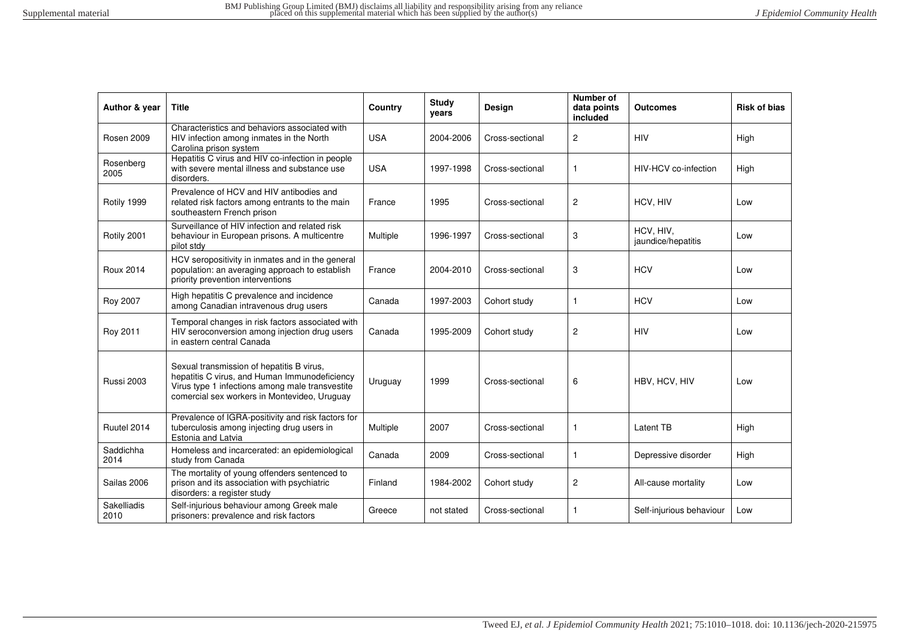| Author & year       | <b>Title</b>                                                                                                                                                                                  | Country    | Study<br>years | Design          | Number of<br>data points<br>included | <b>Outcomes</b>                 | <b>Risk of bias</b> |
|---------------------|-----------------------------------------------------------------------------------------------------------------------------------------------------------------------------------------------|------------|----------------|-----------------|--------------------------------------|---------------------------------|---------------------|
| <b>Rosen 2009</b>   | Characteristics and behaviors associated with<br>HIV infection among inmates in the North<br>Carolina prison system                                                                           | <b>USA</b> | 2004-2006      | Cross-sectional | $\overline{c}$                       | <b>HIV</b>                      | High                |
| Rosenberg<br>2005   | Hepatitis C virus and HIV co-infection in people<br>with severe mental illness and substance use<br>disorders.                                                                                | <b>USA</b> | 1997-1998      | Cross-sectional | $\mathbf{1}$                         | HIV-HCV co-infection            | High                |
| Rotily 1999         | Prevalence of HCV and HIV antibodies and<br>related risk factors among entrants to the main<br>southeastern French prison                                                                     | France     | 1995           | Cross-sectional | $\overline{c}$                       | HCV, HIV                        | Low                 |
| Rotily 2001         | Surveillance of HIV infection and related risk<br>behaviour in European prisons. A multicentre<br>pilot stdy                                                                                  | Multiple   | 1996-1997      | Cross-sectional | 3                                    | HCV, HIV,<br>jaundice/hepatitis | Low                 |
| <b>Roux 2014</b>    | HCV seropositivity in inmates and in the general<br>population: an averaging approach to establish<br>priority prevention interventions                                                       | France     | 2004-2010      | Cross-sectional | 3                                    | <b>HCV</b>                      | Low                 |
| Roy 2007            | High hepatitis C prevalence and incidence<br>among Canadian intravenous drug users                                                                                                            | Canada     | 1997-2003      | Cohort study    | $\mathbf{1}$                         | <b>HCV</b>                      | Low                 |
| Roy 2011            | Temporal changes in risk factors associated with<br>HIV seroconversion among injection drug users<br>in eastern central Canada                                                                | Canada     | 1995-2009      | Cohort study    | 2                                    | <b>HIV</b>                      | Low                 |
| <b>Russi 2003</b>   | Sexual transmission of hepatitis B virus,<br>hepatitis C virus, and Human Immunodeficiency<br>Virus type 1 infections among male transvestite<br>comercial sex workers in Montevideo, Uruguay | Uruguay    | 1999           | Cross-sectional | 6                                    | HBV, HCV, HIV                   | Low                 |
| Ruutel 2014         | Prevalence of IGRA-positivity and risk factors for<br>tuberculosis among injecting drug users in<br>Estonia and Latvia                                                                        | Multiple   | 2007           | Cross-sectional | $\mathbf{1}$                         | Latent TB                       | High                |
| Saddichha<br>2014   | Homeless and incarcerated: an epidemiological<br>study from Canada                                                                                                                            | Canada     | 2009           | Cross-sectional | $\mathbf{1}$                         | Depressive disorder             | High                |
| Sailas 2006         | The mortality of young offenders sentenced to<br>prison and its association with psychiatric<br>disorders: a register study                                                                   | Finland    | 1984-2002      | Cohort study    | $\overline{c}$                       | All-cause mortality             | Low                 |
| Sakelliadis<br>2010 | Self-injurious behaviour among Greek male<br>prisoners: prevalence and risk factors                                                                                                           | Greece     | not stated     | Cross-sectional | $\mathbf{1}$                         | Self-injurious behaviour        | Low                 |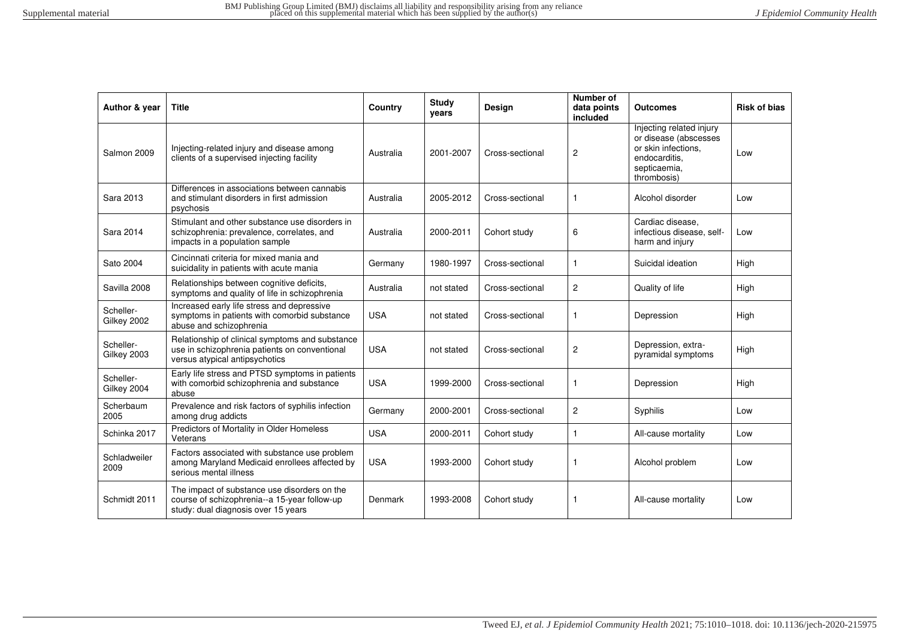| Author & year            | <b>Title</b>                                                                                                                        | Country    | <b>Study</b><br>years | <b>Design</b>   | Number of<br>data points<br>included | <b>Outcomes</b>                                                                                                          | <b>Risk of bias</b> |
|--------------------------|-------------------------------------------------------------------------------------------------------------------------------------|------------|-----------------------|-----------------|--------------------------------------|--------------------------------------------------------------------------------------------------------------------------|---------------------|
| Salmon 2009              | Injecting-related injury and disease among<br>clients of a supervised injecting facility                                            | Australia  | 2001-2007             | Cross-sectional | $\overline{c}$                       | Injecting related injury<br>or disease (abscesses<br>or skin infections.<br>endocarditis.<br>septicaemia,<br>thrombosis) | Low                 |
| Sara 2013                | Differences in associations between cannabis<br>and stimulant disorders in first admission<br>psychosis                             | Australia  | 2005-2012             | Cross-sectional | 1                                    | Alcohol disorder                                                                                                         | Low                 |
| Sara 2014                | Stimulant and other substance use disorders in<br>schizophrenia: prevalence, correlates, and<br>impacts in a population sample      | Australia  | 2000-2011             | Cohort study    | 6                                    | Cardiac disease.<br>infectious disease, self-<br>harm and injury                                                         | Low                 |
| Sato 2004                | Cincinnati criteria for mixed mania and<br>suicidality in patients with acute mania                                                 | Germany    | 1980-1997             | Cross-sectional | $\mathbf{1}$                         | Suicidal ideation                                                                                                        | High                |
| Savilla 2008             | Relationships between cognitive deficits,<br>symptoms and quality of life in schizophrenia                                          | Australia  | not stated            | Cross-sectional | $\overline{c}$                       | Quality of life                                                                                                          | High                |
| Scheller-<br>Gilkey 2002 | Increased early life stress and depressive<br>symptoms in patients with comorbid substance<br>abuse and schizophrenia               | <b>USA</b> | not stated            | Cross-sectional | $\mathbf{1}$                         | Depression                                                                                                               | High                |
| Scheller-<br>Gilkey 2003 | Relationship of clinical symptoms and substance<br>use in schizophrenia patients on conventional<br>versus atypical antipsychotics  | <b>USA</b> | not stated            | Cross-sectional | $\overline{c}$                       | Depression, extra-<br>pyramidal symptoms                                                                                 | High                |
| Scheller-<br>Gilkey 2004 | Early life stress and PTSD symptoms in patients<br>with comorbid schizophrenia and substance<br>abuse                               | <b>USA</b> | 1999-2000             | Cross-sectional | $\mathbf{1}$                         | Depression                                                                                                               | High                |
| Scherbaum<br>2005        | Prevalence and risk factors of syphilis infection<br>among drug addicts                                                             | Germany    | 2000-2001             | Cross-sectional | $\overline{c}$                       | Syphilis                                                                                                                 | Low                 |
| Schinka 2017             | Predictors of Mortality in Older Homeless<br>Veterans                                                                               | <b>USA</b> | 2000-2011             | Cohort study    | $\mathbf{1}$                         | All-cause mortality                                                                                                      | Low                 |
| Schladweiler<br>2009     | Factors associated with substance use problem<br>among Maryland Medicaid enrollees affected by<br>serious mental illness            | <b>USA</b> | 1993-2000             | Cohort study    | -1                                   | Alcohol problem                                                                                                          | Low                 |
| Schmidt 2011             | The impact of substance use disorders on the<br>course of schizophrenia--a 15-year follow-up<br>study: dual diagnosis over 15 years | Denmark    | 1993-2008             | Cohort study    | -1                                   | All-cause mortality                                                                                                      | Low                 |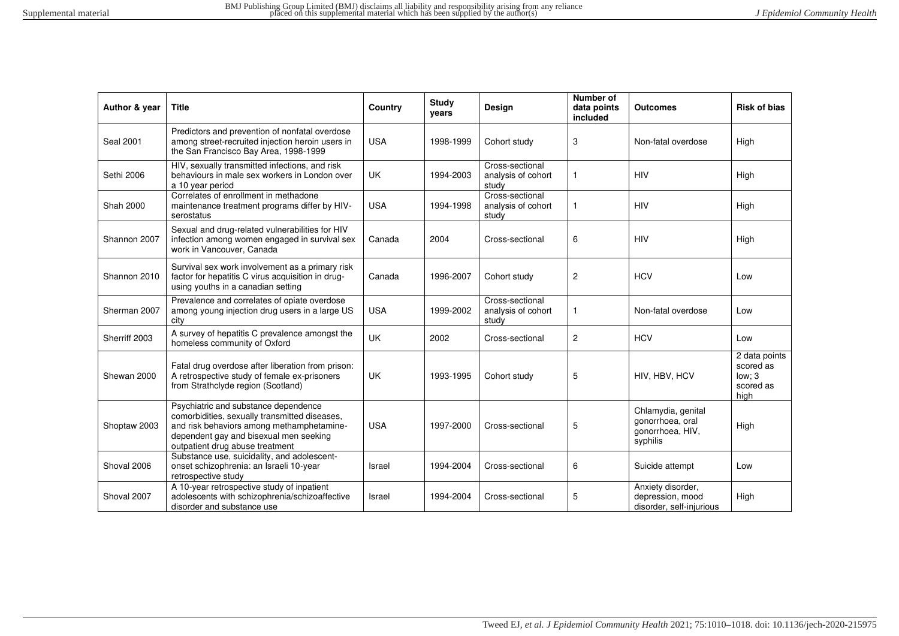| Author & year    | <b>Title</b>                                                                                                                                                                                                    | Country    | <b>Study</b><br>years | Design                                         | Number of<br>data points<br>included | <b>Outcomes</b>                                                        | <b>Risk of bias</b>                                       |
|------------------|-----------------------------------------------------------------------------------------------------------------------------------------------------------------------------------------------------------------|------------|-----------------------|------------------------------------------------|--------------------------------------|------------------------------------------------------------------------|-----------------------------------------------------------|
| <b>Seal 2001</b> | Predictors and prevention of nonfatal overdose<br>among street-recruited injection heroin users in<br>the San Francisco Bay Area, 1998-1999                                                                     | <b>USA</b> | 1998-1999             | Cohort study                                   | 3                                    | Non-fatal overdose                                                     | High                                                      |
| Sethi 2006       | HIV, sexually transmitted infections, and risk<br>behaviours in male sex workers in London over<br>a 10 year period                                                                                             | UK         | 1994-2003             | Cross-sectional<br>analysis of cohort<br>study |                                      | <b>HIV</b>                                                             | High                                                      |
| <b>Shah 2000</b> | Correlates of enrollment in methadone<br>maintenance treatment programs differ by HIV-<br>serostatus                                                                                                            | <b>USA</b> | 1994-1998             | Cross-sectional<br>analysis of cohort<br>study | $\mathbf{1}$                         | <b>HIV</b>                                                             | High                                                      |
| Shannon 2007     | Sexual and drug-related vulnerabilities for HIV<br>infection among women engaged in survival sex<br>work in Vancouver, Canada                                                                                   | Canada     | 2004                  | Cross-sectional                                | 6                                    | <b>HIV</b>                                                             | High                                                      |
| Shannon 2010     | Survival sex work involvement as a primary risk<br>factor for hepatitis C virus acquisition in drug-<br>using youths in a canadian setting                                                                      | Canada     | 1996-2007             | Cohort study                                   | $\overline{c}$                       | <b>HCV</b>                                                             | Low                                                       |
| Sherman 2007     | Prevalence and correlates of opiate overdose<br>among young injection drug users in a large US<br>city                                                                                                          | <b>USA</b> | 1999-2002             | Cross-sectional<br>analysis of cohort<br>study |                                      | Non-fatal overdose                                                     | Low                                                       |
| Sherriff 2003    | A survey of hepatitis C prevalence amongst the<br>homeless community of Oxford                                                                                                                                  | <b>UK</b>  | 2002                  | Cross-sectional                                | $\overline{c}$                       | <b>HCV</b>                                                             | Low                                                       |
| Shewan 2000      | Fatal drug overdose after liberation from prison:<br>A retrospective study of female ex-prisoners<br>from Strathclyde region (Scotland)                                                                         | <b>UK</b>  | 1993-1995             | Cohort study                                   | 5                                    | HIV, HBV, HCV                                                          | 2 data points<br>scored as<br>low: 3<br>scored as<br>high |
| Shoptaw 2003     | Psychiatric and substance dependence<br>comorbidities, sexually transmitted diseases,<br>and risk behaviors among methamphetamine-<br>dependent gay and bisexual men seeking<br>outpatient drug abuse treatment | <b>USA</b> | 1997-2000             | Cross-sectional                                | 5                                    | Chlamydia, genital<br>gonorrhoea, oral<br>gonorrhoea, HIV,<br>syphilis | High                                                      |
| Shoval 2006      | Substance use, suicidality, and adolescent-<br>onset schizophrenia: an Israeli 10-year<br>retrospective study                                                                                                   | Israel     | 1994-2004             | Cross-sectional                                | 6                                    | Suicide attempt                                                        | Low                                                       |
| Shoval 2007      | A 10-year retrospective study of inpatient<br>adolescents with schizophrenia/schizoaffective<br>disorder and substance use                                                                                      | Israel     | 1994-2004             | Cross-sectional                                | 5                                    | Anxiety disorder,<br>depression, mood<br>disorder, self-injurious      | High                                                      |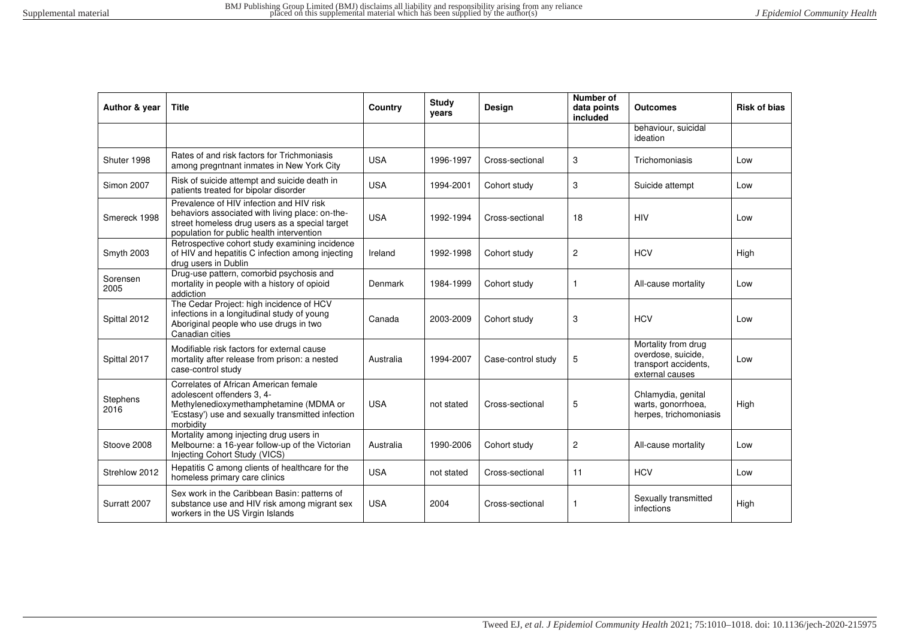| Author & year     | <b>Title</b>                                                                                                                                                                               | Country    | Study<br>years | <b>Design</b>      | Number of<br>data points<br>included | <b>Outcomes</b>                                                                      | <b>Risk of bias</b> |
|-------------------|--------------------------------------------------------------------------------------------------------------------------------------------------------------------------------------------|------------|----------------|--------------------|--------------------------------------|--------------------------------------------------------------------------------------|---------------------|
|                   |                                                                                                                                                                                            |            |                |                    |                                      | behaviour, suicidal<br>ideation                                                      |                     |
| Shuter 1998       | Rates of and risk factors for Trichmoniasis<br>among pregntnant inmates in New York City                                                                                                   | <b>USA</b> | 1996-1997      | Cross-sectional    | 3                                    | Trichomoniasis                                                                       | Low                 |
| <b>Simon 2007</b> | Risk of suicide attempt and suicide death in<br>patients treated for bipolar disorder                                                                                                      | <b>USA</b> | 1994-2001      | Cohort study       | 3                                    | Suicide attempt                                                                      | Low                 |
| Smereck 1998      | Prevalence of HIV infection and HIV risk<br>behaviors associated with living place: on-the-<br>street homeless drug users as a special target<br>population for public health intervention | <b>USA</b> | 1992-1994      | Cross-sectional    | 18                                   | <b>HIV</b>                                                                           | Low                 |
| Smyth 2003        | Retrospective cohort study examining incidence<br>of HIV and hepatitis C infection among injecting<br>drug users in Dublin                                                                 | Ireland    | 1992-1998      | Cohort study       | $\overline{2}$                       | <b>HCV</b>                                                                           | High                |
| Sorensen<br>2005  | Drug-use pattern, comorbid psychosis and<br>mortality in people with a history of opioid<br>addiction                                                                                      | Denmark    | 1984-1999      | Cohort study       | 1                                    | All-cause mortality                                                                  | Low                 |
| Spittal 2012      | The Cedar Project: high incidence of HCV<br>infections in a longitudinal study of young<br>Aboriginal people who use drugs in two<br>Canadian cities                                       | Canada     | 2003-2009      | Cohort study       | 3                                    | <b>HCV</b>                                                                           | Low                 |
| Spittal 2017      | Modifiable risk factors for external cause<br>mortality after release from prison: a nested<br>case-control study                                                                          | Australia  | 1994-2007      | Case-control study | 5                                    | Mortality from drug<br>overdose, suicide,<br>transport accidents.<br>external causes | Low                 |
| Stephens<br>2016  | Correlates of African American female<br>adolescent offenders 3, 4-<br>Methylenedioxymethamphetamine (MDMA or<br>'Ecstasy') use and sexually transmitted infection<br>morbidity            | <b>USA</b> | not stated     | Cross-sectional    | 5                                    | Chlamydia, genital<br>warts, gonorrhoea,<br>herpes, trichomoniasis                   | High                |
| Stoove 2008       | Mortality among injecting drug users in<br>Melbourne: a 16-year follow-up of the Victorian<br>Injecting Cohort Study (VICS)                                                                | Australia  | 1990-2006      | Cohort study       | 2                                    | All-cause mortality                                                                  | Low                 |
| Strehlow 2012     | Hepatitis C among clients of healthcare for the<br>homeless primary care clinics                                                                                                           | <b>USA</b> | not stated     | Cross-sectional    | 11                                   | <b>HCV</b>                                                                           | Low                 |
| Surratt 2007      | Sex work in the Caribbean Basin: patterns of<br>substance use and HIV risk among migrant sex<br>workers in the US Virgin Islands                                                           | <b>USA</b> | 2004           | Cross-sectional    | 1                                    | Sexually transmitted<br>infections                                                   | High                |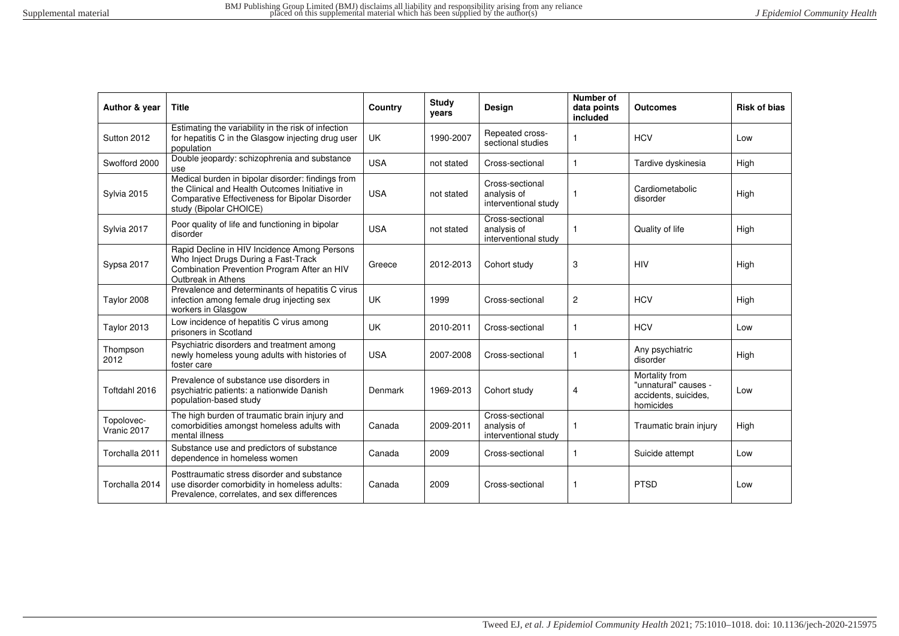| Author & year             | <b>Title</b>                                                                                                                                                                    | Country    | Study<br>vears | <b>Design</b>                                          | Number of<br>data points<br>included | <b>Outcomes</b>                                                             | <b>Risk of bias</b> |
|---------------------------|---------------------------------------------------------------------------------------------------------------------------------------------------------------------------------|------------|----------------|--------------------------------------------------------|--------------------------------------|-----------------------------------------------------------------------------|---------------------|
| Sutton 2012               | Estimating the variability in the risk of infection<br>for hepatitis C in the Glasgow injecting drug user<br>population                                                         | UK.        | 1990-2007      | Repeated cross-<br>sectional studies                   |                                      | <b>HCV</b>                                                                  | Low                 |
| Swofford 2000             | Double jeopardy: schizophrenia and substance<br>use                                                                                                                             | <b>USA</b> | not stated     | Cross-sectional                                        | $\mathbf{1}$                         | Tardive dyskinesia                                                          | High                |
| Sylvia 2015               | Medical burden in bipolar disorder: findings from<br>the Clinical and Health Outcomes Initiative in<br>Comparative Effectiveness for Bipolar Disorder<br>study (Bipolar CHOICE) | <b>USA</b> | not stated     | Cross-sectional<br>analysis of<br>interventional study |                                      | Cardiometabolic<br>disorder                                                 | High                |
| Sylvia 2017               | Poor quality of life and functioning in bipolar<br>disorder                                                                                                                     | <b>USA</b> | not stated     | Cross-sectional<br>analysis of<br>interventional study |                                      | Quality of life                                                             | High                |
| Sypsa 2017                | Rapid Decline in HIV Incidence Among Persons<br>Who Inject Drugs During a Fast-Track<br>Combination Prevention Program After an HIV<br>Outbreak in Athens                       | Greece     | 2012-2013      | Cohort study                                           | 3                                    | <b>HIV</b>                                                                  | High                |
| Taylor 2008               | Prevalence and determinants of hepatitis C virus<br>infection among female drug injecting sex<br>workers in Glasgow                                                             | UK.        | 1999           | Cross-sectional                                        | $\overline{c}$                       | <b>HCV</b>                                                                  | High                |
| Taylor 2013               | Low incidence of hepatitis C virus among<br>prisoners in Scotland                                                                                                               | <b>UK</b>  | 2010-2011      | Cross-sectional                                        | 1                                    | <b>HCV</b>                                                                  | Low                 |
| Thompson<br>2012          | Psychiatric disorders and treatment among<br>newly homeless young adults with histories of<br>foster care                                                                       | <b>USA</b> | 2007-2008      | Cross-sectional                                        |                                      | Any psychiatric<br>disorder                                                 | High                |
| Toftdahl 2016             | Prevalence of substance use disorders in<br>psychiatric patients: a nationwide Danish<br>population-based study                                                                 | Denmark    | 1969-2013      | Cohort study                                           | 4                                    | Mortality from<br>"unnatural" causes -<br>accidents, suicides,<br>homicides | Low                 |
| Topolovec-<br>Vranic 2017 | The high burden of traumatic brain injury and<br>comorbidities amongst homeless adults with<br>mental illness                                                                   | Canada     | 2009-2011      | Cross-sectional<br>analysis of<br>interventional study |                                      | Traumatic brain injury                                                      | High                |
| Torchalla 2011            | Substance use and predictors of substance<br>dependence in homeless women                                                                                                       | Canada     | 2009           | Cross-sectional                                        | 1                                    | Suicide attempt                                                             | Low                 |
| Torchalla 2014            | Posttraumatic stress disorder and substance<br>use disorder comorbidity in homeless adults:<br>Prevalence, correlates, and sex differences                                      | Canada     | 2009           | Cross-sectional                                        | $\mathbf{1}$                         | <b>PTSD</b>                                                                 | Low                 |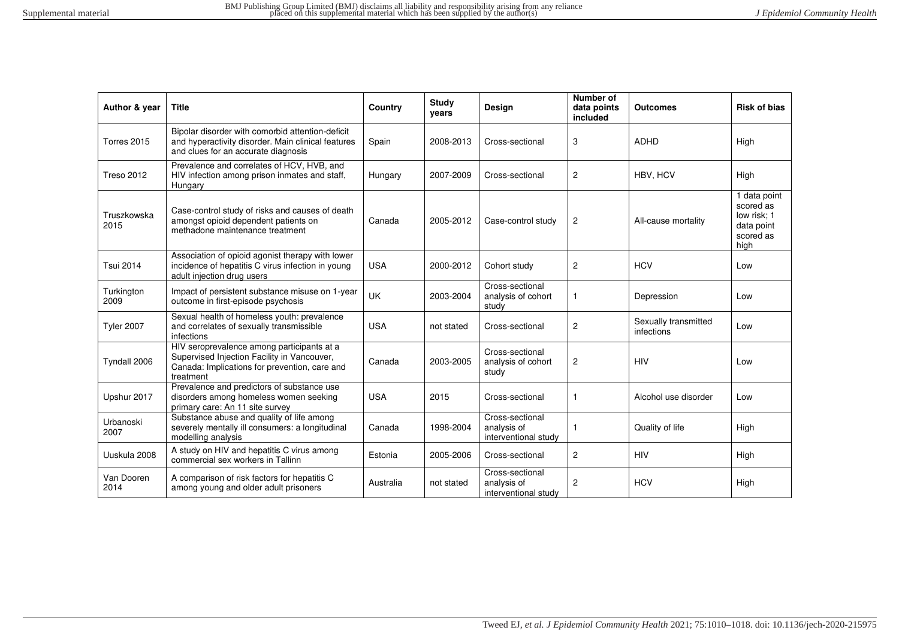| Author & year       | <b>Title</b>                                                                                                                                            | Country    | <b>Study</b><br>years | Design                                                 | Number of<br>data points<br>included | <b>Outcomes</b>                    | <b>Risk of bias</b>                                                         |
|---------------------|---------------------------------------------------------------------------------------------------------------------------------------------------------|------------|-----------------------|--------------------------------------------------------|--------------------------------------|------------------------------------|-----------------------------------------------------------------------------|
| Torres 2015         | Bipolar disorder with comorbid attention-deficit<br>and hyperactivity disorder. Main clinical features<br>and clues for an accurate diagnosis           | Spain      | 2008-2013             | Cross-sectional                                        | 3                                    | <b>ADHD</b>                        | High                                                                        |
| <b>Treso 2012</b>   | Prevalence and correlates of HCV, HVB, and<br>HIV infection among prison inmates and staff,<br>Hungary                                                  | Hungary    | 2007-2009             | Cross-sectional                                        | 2                                    | HBV, HCV                           | High                                                                        |
| Truszkowska<br>2015 | Case-control study of risks and causes of death<br>amongst opioid dependent patients on<br>methadone maintenance treatment                              | Canada     | 2005-2012             | Case-control study                                     | $\overline{c}$                       | All-cause mortality                | 1 data point<br>scored as<br>low risk; 1<br>data point<br>scored as<br>high |
| <b>Tsui 2014</b>    | Association of opioid agonist therapy with lower<br>incidence of hepatitis C virus infection in young<br>adult injection drug users                     | <b>USA</b> | 2000-2012             | Cohort study                                           | $\overline{c}$                       | <b>HCV</b>                         | Low                                                                         |
| Turkington<br>2009  | Impact of persistent substance misuse on 1-year<br>outcome in first-episode psychosis                                                                   | <b>UK</b>  | 2003-2004             | Cross-sectional<br>analysis of cohort<br>study         |                                      | Depression                         | Low                                                                         |
| <b>Tyler 2007</b>   | Sexual health of homeless youth: prevalence<br>and correlates of sexually transmissible<br>infections                                                   | <b>USA</b> | not stated            | Cross-sectional                                        | $\overline{2}$                       | Sexually transmitted<br>infections | Low                                                                         |
| Tyndall 2006        | HIV seroprevalence among participants at a<br>Supervised Injection Facility in Vancouver,<br>Canada: Implications for prevention, care and<br>treatment | Canada     | 2003-2005             | Cross-sectional<br>analysis of cohort<br>study         | $\overline{\mathbf{c}}$              | <b>HIV</b>                         | Low                                                                         |
| Upshur 2017         | Prevalence and predictors of substance use<br>disorders among homeless women seeking<br>primary care: An 11 site survey                                 | <b>USA</b> | 2015                  | Cross-sectional                                        | 1                                    | Alcohol use disorder               | Low                                                                         |
| Urbanoski<br>2007   | Substance abuse and quality of life among<br>severely mentally ill consumers: a longitudinal<br>modelling analysis                                      | Canada     | 1998-2004             | Cross-sectional<br>analysis of<br>interventional study |                                      | Quality of life                    | High                                                                        |
| Uuskula 2008        | A study on HIV and hepatitis C virus among<br>commercial sex workers in Tallinn                                                                         | Estonia    | 2005-2006             | Cross-sectional                                        | $\overline{2}$                       | <b>HIV</b>                         | High                                                                        |
| Van Dooren<br>2014  | A comparison of risk factors for hepatitis C<br>among young and older adult prisoners                                                                   | Australia  | not stated            | Cross-sectional<br>analysis of<br>interventional study | 2                                    | <b>HCV</b>                         | High                                                                        |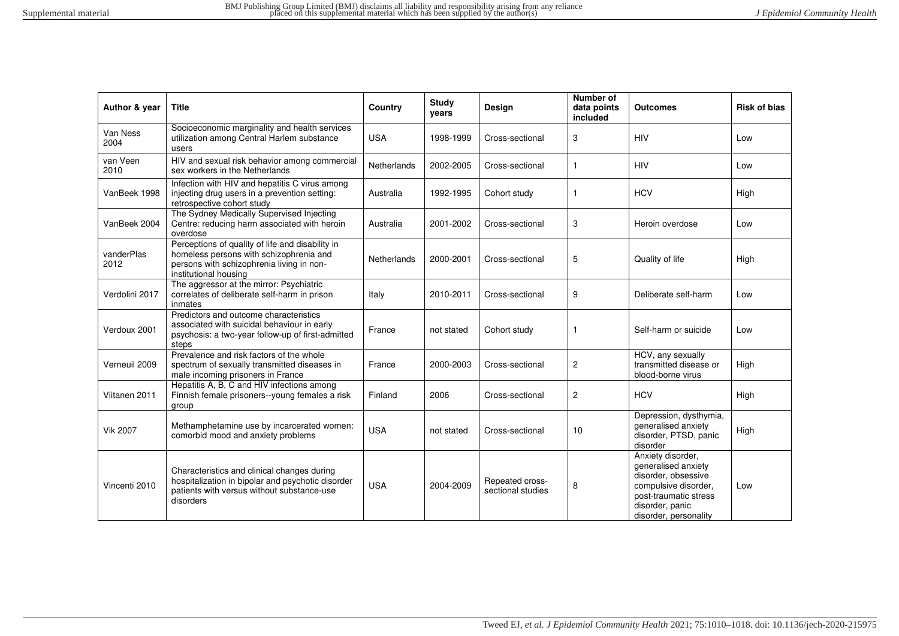| Author & year      | <b>Title</b>                                                                                                                                                      | Country            | <b>Study</b><br>years | Design                               | Number of<br>data points<br>included | <b>Outcomes</b>                                                                                                                                              | <b>Risk of bias</b> |
|--------------------|-------------------------------------------------------------------------------------------------------------------------------------------------------------------|--------------------|-----------------------|--------------------------------------|--------------------------------------|--------------------------------------------------------------------------------------------------------------------------------------------------------------|---------------------|
| Van Ness<br>2004   | Socioeconomic marginality and health services<br>utilization among Central Harlem substance<br>users                                                              | <b>USA</b>         | 1998-1999             | Cross-sectional                      | 3                                    | <b>HIV</b>                                                                                                                                                   | Low                 |
| van Veen<br>2010   | HIV and sexual risk behavior among commercial<br>sex workers in the Netherlands                                                                                   | Netherlands        | 2002-2005             | Cross-sectional                      | 1                                    | <b>HIV</b>                                                                                                                                                   | Low                 |
| VanBeek 1998       | Infection with HIV and hepatitis C virus among<br>injecting drug users in a prevention setting:<br>retrospective cohort study                                     | Australia          | 1992-1995             | Cohort study                         | 1                                    | <b>HCV</b>                                                                                                                                                   | High                |
| VanBeek 2004       | The Sydney Medically Supervised Injecting<br>Centre: reducing harm associated with heroin<br>overdose                                                             | Australia          | 2001-2002             | Cross-sectional                      | 3                                    | Heroin overdose                                                                                                                                              | Low                 |
| vanderPlas<br>2012 | Perceptions of quality of life and disability in<br>homeless persons with schizophrenia and<br>persons with schizophrenia living in non-<br>institutional housing | <b>Netherlands</b> | 2000-2001             | Cross-sectional                      | 5                                    | Quality of life                                                                                                                                              | High                |
| Verdolini 2017     | The aggressor at the mirror: Psychiatric<br>correlates of deliberate self-harm in prison<br>inmates                                                               | Italy              | 2010-2011             | Cross-sectional                      | 9                                    | Deliberate self-harm                                                                                                                                         | Low                 |
| Verdoux 2001       | Predictors and outcome characteristics<br>associated with suicidal behaviour in early<br>psychosis: a two-year follow-up of first-admitted<br>steps               | France             | not stated            | Cohort study                         | 1                                    | Self-harm or suicide                                                                                                                                         | Low                 |
| Verneuil 2009      | Prevalence and risk factors of the whole<br>spectrum of sexually transmitted diseases in<br>male incoming prisoners in France                                     | France             | 2000-2003             | Cross-sectional                      | 2                                    | HCV, any sexually<br>transmitted disease or<br>blood-borne virus                                                                                             | High                |
| Viitanen 2011      | Hepatitis A, B, C and HIV infections among<br>Finnish female prisoners--young females a risk<br>group                                                             | Finland            | 2006                  | Cross-sectional                      | $\overline{2}$                       | <b>HCV</b>                                                                                                                                                   | High                |
| <b>Vik 2007</b>    | Methamphetamine use by incarcerated women:<br>comorbid mood and anxiety problems                                                                                  | <b>USA</b>         | not stated            | Cross-sectional                      | 10                                   | Depression, dysthymia,<br>generalised anxiety<br>disorder, PTSD, panic<br>disorder                                                                           | High                |
| Vincenti 2010      | Characteristics and clinical changes during<br>hospitalization in bipolar and psychotic disorder<br>patients with versus without substance-use<br>disorders       | <b>USA</b>         | 2004-2009             | Repeated cross-<br>sectional studies | 8                                    | Anxiety disorder,<br>generalised anxiety<br>disorder, obsessive<br>compulsive disorder,<br>post-traumatic stress<br>disorder, panic<br>disorder, personality | Low                 |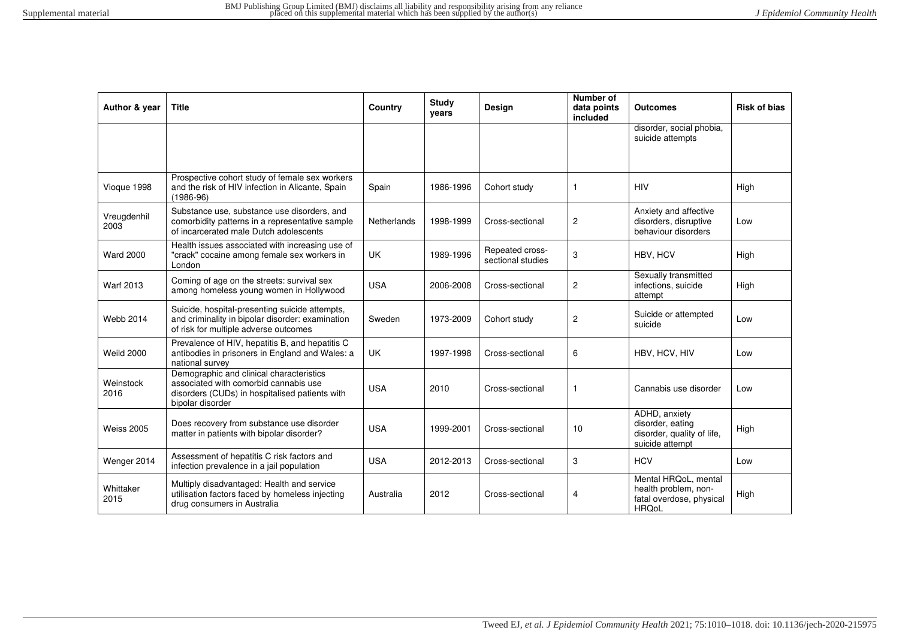| Author & year       | <b>Title</b>                                                                                                                                            | Country            | <b>Study</b><br>years | <b>Design</b>                        | Number of<br>data points<br>included | <b>Outcomes</b>                                                                          | <b>Risk of bias</b> |
|---------------------|---------------------------------------------------------------------------------------------------------------------------------------------------------|--------------------|-----------------------|--------------------------------------|--------------------------------------|------------------------------------------------------------------------------------------|---------------------|
|                     |                                                                                                                                                         |                    |                       |                                      |                                      | disorder, social phobia,<br>suicide attempts                                             |                     |
| Vioque 1998         | Prospective cohort study of female sex workers<br>and the risk of HIV infection in Alicante, Spain<br>$(1986 - 96)$                                     | Spain              | 1986-1996             | Cohort study                         | $\mathbf{1}$                         | <b>HIV</b>                                                                               | High                |
| Vreugdenhil<br>2003 | Substance use, substance use disorders, and<br>comorbidity patterns in a representative sample<br>of incarcerated male Dutch adolescents                | <b>Netherlands</b> | 1998-1999             | Cross-sectional                      | $\mathbf{2}$                         | Anxiety and affective<br>disorders, disruptive<br>behaviour disorders                    | Low                 |
| <b>Ward 2000</b>    | Health issues associated with increasing use of<br>"crack" cocaine among female sex workers in<br>London                                                | <b>UK</b>          | 1989-1996             | Repeated cross-<br>sectional studies | 3                                    | HBV. HCV                                                                                 | High                |
| <b>Warf 2013</b>    | Coming of age on the streets: survival sex<br>among homeless young women in Hollywood                                                                   | <b>USA</b>         | 2006-2008             | Cross-sectional                      | $\overline{c}$                       | Sexually transmitted<br>infections, suicide<br>attempt                                   | High                |
| <b>Webb 2014</b>    | Suicide, hospital-presenting suicide attempts,<br>and criminality in bipolar disorder: examination<br>of risk for multiple adverse outcomes             | Sweden             | 1973-2009             | Cohort study                         | $\overline{c}$                       | Suicide or attempted<br>suicide                                                          | Low                 |
| <b>Weild 2000</b>   | Prevalence of HIV, hepatitis B, and hepatitis C<br>antibodies in prisoners in England and Wales: a<br>national survey                                   | <b>UK</b>          | 1997-1998             | Cross-sectional                      | 6                                    | HBV, HCV, HIV                                                                            | Low                 |
| Weinstock<br>2016   | Demographic and clinical characteristics<br>associated with comorbid cannabis use<br>disorders (CUDs) in hospitalised patients with<br>bipolar disorder | <b>USA</b>         | 2010                  | Cross-sectional                      | $\mathbf{1}$                         | Cannabis use disorder                                                                    | Low                 |
| <b>Weiss 2005</b>   | Does recovery from substance use disorder<br>matter in patients with bipolar disorder?                                                                  | <b>USA</b>         | 1999-2001             | Cross-sectional                      | 10                                   | ADHD, anxiety<br>disorder, eating<br>disorder, quality of life,<br>suicide attempt       | High                |
| Wenger 2014         | Assessment of hepatitis C risk factors and<br>infection prevalence in a jail population                                                                 | <b>USA</b>         | 2012-2013             | Cross-sectional                      | 3                                    | <b>HCV</b>                                                                               | Low                 |
| Whittaker<br>2015   | Multiply disadvantaged: Health and service<br>utilisation factors faced by homeless injecting<br>drug consumers in Australia                            | Australia          | 2012                  | Cross-sectional                      | 4                                    | Mental HRQoL, mental<br>health problem, non-<br>fatal overdose, physical<br><b>HRQoL</b> | High                |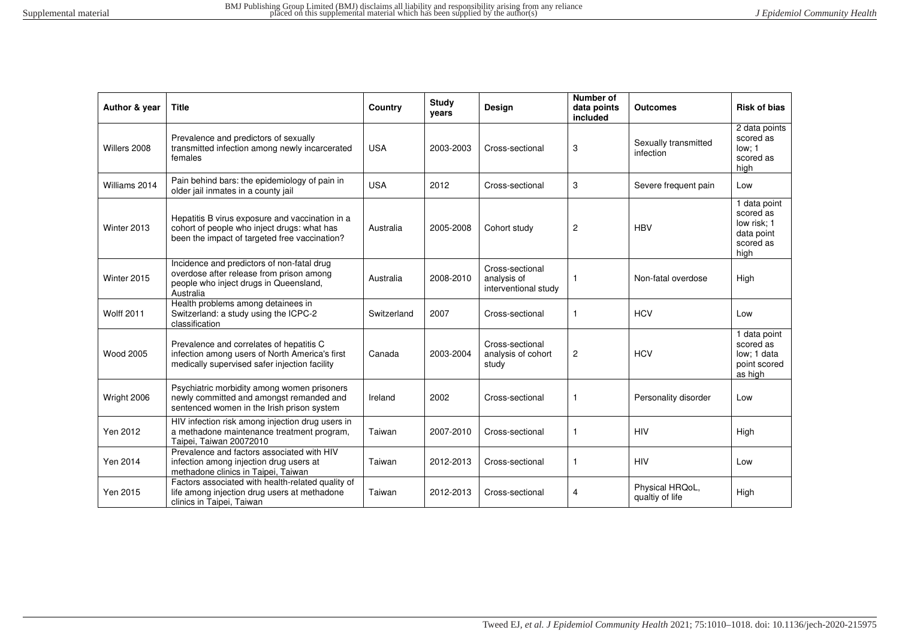| Author & year     | <b>Title</b>                                                                                                                                    | Country     | <b>Study</b><br>years | <b>Design</b>                                          | Number of<br>data points<br>included | <b>Outcomes</b>                    | <b>Risk of bias</b>                                                         |
|-------------------|-------------------------------------------------------------------------------------------------------------------------------------------------|-------------|-----------------------|--------------------------------------------------------|--------------------------------------|------------------------------------|-----------------------------------------------------------------------------|
| Willers 2008      | Prevalence and predictors of sexually<br>transmitted infection among newly incarcerated<br>females                                              | <b>USA</b>  | 2003-2003             | Cross-sectional                                        | 3                                    | Sexually transmitted<br>infection  | $\overline{2}$ data points<br>scored as<br>low: 1<br>scored as<br>high      |
| Williams 2014     | Pain behind bars: the epidemiology of pain in<br>older jail inmates in a county jail                                                            | <b>USA</b>  | 2012                  | Cross-sectional                                        | 3                                    | Severe frequent pain               | Low                                                                         |
| Winter 2013       | Hepatitis B virus exposure and vaccination in a<br>cohort of people who inject drugs: what has<br>been the impact of targeted free vaccination? | Australia   | 2005-2008             | Cohort study                                           | $\overline{2}$                       | <b>HBV</b>                         | 1 data point<br>scored as<br>low risk: 1<br>data point<br>scored as<br>high |
| Winter 2015       | Incidence and predictors of non-fatal drug<br>overdose after release from prison among<br>people who inject drugs in Queensland,<br>Australia   | Australia   | 2008-2010             | Cross-sectional<br>analysis of<br>interventional study | $\mathbf{1}$                         | Non-fatal overdose                 | High                                                                        |
| <b>Wolff 2011</b> | Health problems among detainees in<br>Switzerland: a study using the ICPC-2<br>classification                                                   | Switzerland | 2007                  | Cross-sectional                                        | -1                                   | <b>HCV</b>                         | Low                                                                         |
| <b>Wood 2005</b>  | Prevalence and correlates of hepatitis C<br>infection among users of North America's first<br>medically supervised safer injection facility     | Canada      | 2003-2004             | Cross-sectional<br>analysis of cohort<br>study         | $\overline{\mathbf{c}}$              | <b>HCV</b>                         | 1 data point<br>scored as<br>low: 1 data<br>point scored<br>as high         |
| Wright 2006       | Psychiatric morbidity among women prisoners<br>newly committed and amongst remanded and<br>sentenced women in the Irish prison system           | Ireland     | 2002                  | Cross-sectional                                        | $\mathbf{1}$                         | Personality disorder               | Low                                                                         |
| Yen 2012          | HIV infection risk among injection drug users in<br>a methadone maintenance treatment program,<br>Taipei, Taiwan 20072010                       | Taiwan      | 2007-2010             | Cross-sectional                                        | $\mathbf{1}$                         | <b>HIV</b>                         | High                                                                        |
| Yen 2014          | Prevalence and factors associated with HIV<br>infection among injection drug users at<br>methadone clinics in Taipei, Taiwan                    | Taiwan      | 2012-2013             | Cross-sectional                                        | $\mathbf{1}$                         | <b>HIV</b>                         | Low                                                                         |
| Yen 2015          | Factors associated with health-related quality of<br>life among injection drug users at methadone<br>clinics in Taipei, Taiwan                  | Taiwan      | 2012-2013             | Cross-sectional                                        | 4                                    | Physical HRQoL,<br>qualtiy of life | High                                                                        |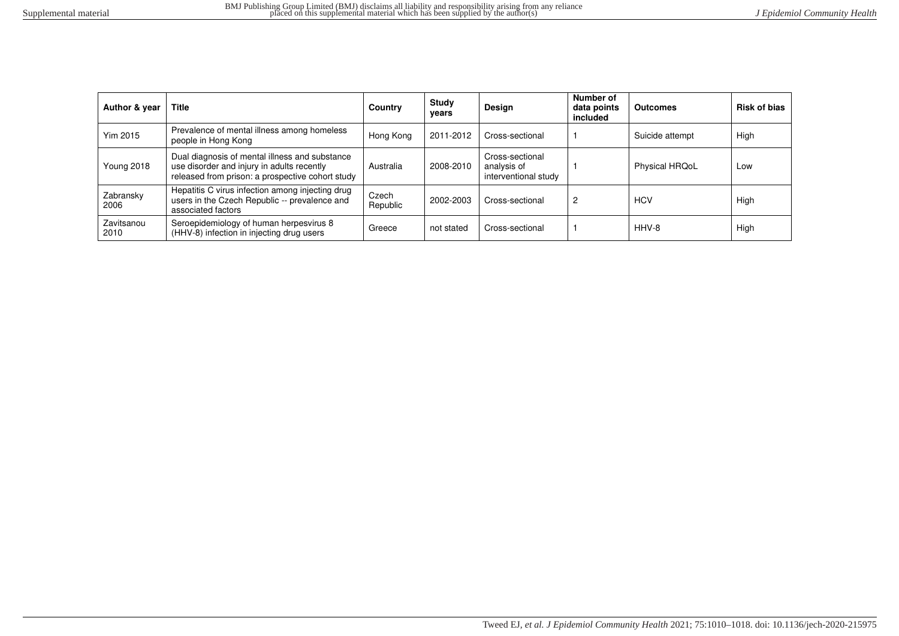| Author & year      | <b>Title</b>                                                                                                                                     | Country           | Study<br>vears | <b>Design</b>                                          | Number of<br>data points<br>included | <b>Outcomes</b>       | <b>Risk of bias</b> |
|--------------------|--------------------------------------------------------------------------------------------------------------------------------------------------|-------------------|----------------|--------------------------------------------------------|--------------------------------------|-----------------------|---------------------|
| <b>Yim 2015</b>    | Prevalence of mental illness among homeless<br>people in Hong Kong                                                                               | Hong Kong         | 2011-2012      | Cross-sectional                                        |                                      | Suicide attempt       | High                |
| <b>Young 2018</b>  | Dual diagnosis of mental illness and substance<br>use disorder and injury in adults recently<br>released from prison: a prospective cohort study | Australia         | 2008-2010      | Cross-sectional<br>analysis of<br>interventional study |                                      | <b>Physical HRQoL</b> | Low                 |
| Zabransky<br>2006  | Hepatitis C virus infection among injecting drug<br>users in the Czech Republic -- prevalence and<br>associated factors                          | Czech<br>Republic | 2002-2003      | Cross-sectional                                        | 2                                    | <b>HCV</b>            | High                |
| Zavitsanou<br>2010 | Seroepidemiology of human herpesvirus 8<br>(HHV-8) infection in injecting drug users                                                             | Greece            | not stated     | Cross-sectional                                        |                                      | HHV-8                 | High                |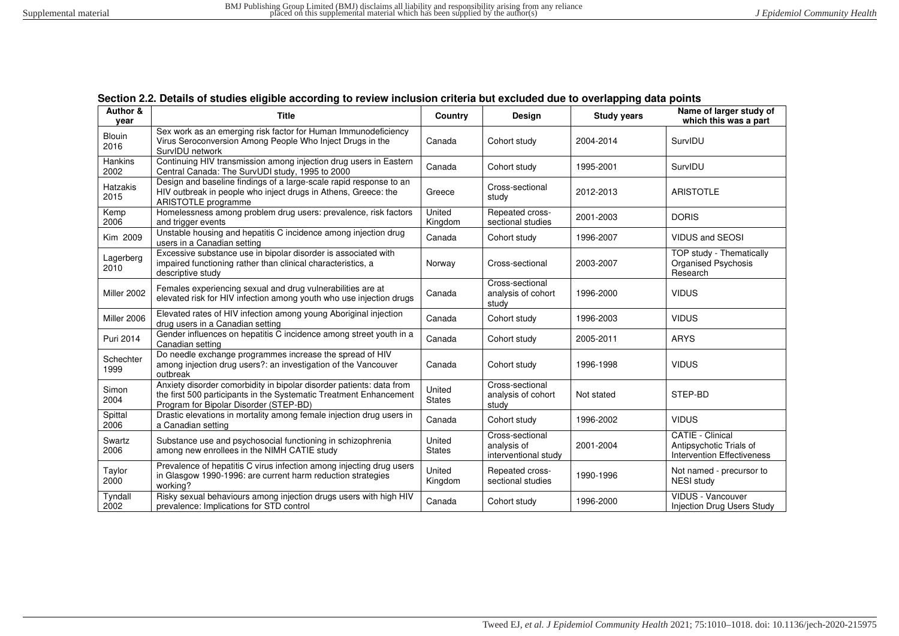<span id="page-56-0"></span>

| Author &<br>vear       | <b>Title</b>                                                                                                                                                                         | Country                 | <b>Design</b>                                          | <b>Study years</b> | Name of larger study of<br>which this was a part                                        |
|------------------------|--------------------------------------------------------------------------------------------------------------------------------------------------------------------------------------|-------------------------|--------------------------------------------------------|--------------------|-----------------------------------------------------------------------------------------|
| <b>Blouin</b><br>2016  | Sex work as an emerging risk factor for Human Immunodeficiency<br>Virus Seroconversion Among People Who Inject Drugs in the<br>SurvIDU network                                       | Canada                  | Cohort study                                           | 2004-2014          | SurvIDU                                                                                 |
| <b>Hankins</b><br>2002 | Continuing HIV transmission among injection drug users in Eastern<br>Central Canada: The SurvUDI study, 1995 to 2000                                                                 | Canada                  | Cohort study                                           | 1995-2001          | SurvIDU                                                                                 |
| Hatzakis<br>2015       | Design and baseline findings of a large-scale rapid response to an<br>HIV outbreak in people who inject drugs in Athens, Greece: the<br>ARISTOTLE programme                          | Greece                  | Cross-sectional<br>study                               | 2012-2013          | <b>ARISTOTLE</b>                                                                        |
| Kemp<br>2006           | Homelessness among problem drug users: prevalence, risk factors<br>and trigger events                                                                                                | United<br>Kingdom       | Repeated cross-<br>sectional studies                   | 2001-2003          | <b>DORIS</b>                                                                            |
| Kim 2009               | Unstable housing and hepatitis C incidence among injection drug<br>users in a Canadian setting                                                                                       | Canada                  | Cohort study                                           | 1996-2007          | <b>VIDUS and SEOSI</b>                                                                  |
| Lagerberg<br>2010      | Excessive substance use in bipolar disorder is associated with<br>impaired functioning rather than clinical characteristics, a<br>descriptive study                                  | Norway                  | Cross-sectional                                        | 2003-2007          | <b>TOP study - Thematically</b><br>Organised Psychosis<br>Research                      |
| Miller 2002            | Females experiencing sexual and drug vulnerabilities are at<br>elevated risk for HIV infection among youth who use injection drugs                                                   | Canada                  | Cross-sectional<br>analysis of cohort<br>study         | 1996-2000          | <b>VIDUS</b>                                                                            |
| Miller 2006            | Elevated rates of HIV infection among young Aboriginal injection<br>drug users in a Canadian setting                                                                                 | Canada                  | Cohort study                                           | 1996-2003          | <b>VIDUS</b>                                                                            |
| Puri 2014              | Gender influences on hepatitis C incidence among street youth in a<br>Canadian setting                                                                                               | Canada                  | Cohort study                                           | 2005-2011          | <b>ARYS</b>                                                                             |
| Schechter<br>1999      | Do needle exchange programmes increase the spread of HIV<br>among injection drug users?: an investigation of the Vancouver<br>outbreak                                               | Canada                  | Cohort study                                           | 1996-1998          | <b>VIDUS</b>                                                                            |
| Simon<br>2004          | Anxiety disorder comorbidity in bipolar disorder patients: data from<br>the first 500 participants in the Systematic Treatment Enhancement<br>Program for Bipolar Disorder (STEP-BD) | United<br><b>States</b> | Cross-sectional<br>analysis of cohort<br>study         | Not stated         | STEP-BD                                                                                 |
| Spittal<br>2006        | Drastic elevations in mortality among female injection drug users in<br>a Canadian setting                                                                                           | Canada                  | Cohort study                                           | 1996-2002          | <b>VIDUS</b>                                                                            |
| Swartz<br>2006         | Substance use and psychosocial functioning in schizophrenia<br>among new enrollees in the NIMH CATIE study                                                                           | United<br><b>States</b> | Cross-sectional<br>analysis of<br>interventional study | 2001-2004          | <b>CATIE - Clinical</b><br>Antipsychotic Trials of<br><b>Intervention Effectiveness</b> |
| Taylor<br>2000         | Prevalence of hepatitis C virus infection among injecting drug users<br>in Glasgow 1990-1996: are current harm reduction strategies<br>working?                                      | United<br>Kingdom       | Repeated cross-<br>sectional studies                   | 1990-1996          | Not named - precursor to<br><b>NESI study</b>                                           |
| Tyndall<br>2002        | Risky sexual behaviours among injection drugs users with high HIV<br>prevalence: Implications for STD control                                                                        | Canada                  | Cohort study                                           | 1996-2000          | VIDUS - Vancouver<br><b>Injection Drug Users Study</b>                                  |

|  |  |  |  |  |  | Section 2.2. Details of studies eligible according to review inclusion criteria but excluded due to overlapping data points |
|--|--|--|--|--|--|-----------------------------------------------------------------------------------------------------------------------------|
|--|--|--|--|--|--|-----------------------------------------------------------------------------------------------------------------------------|